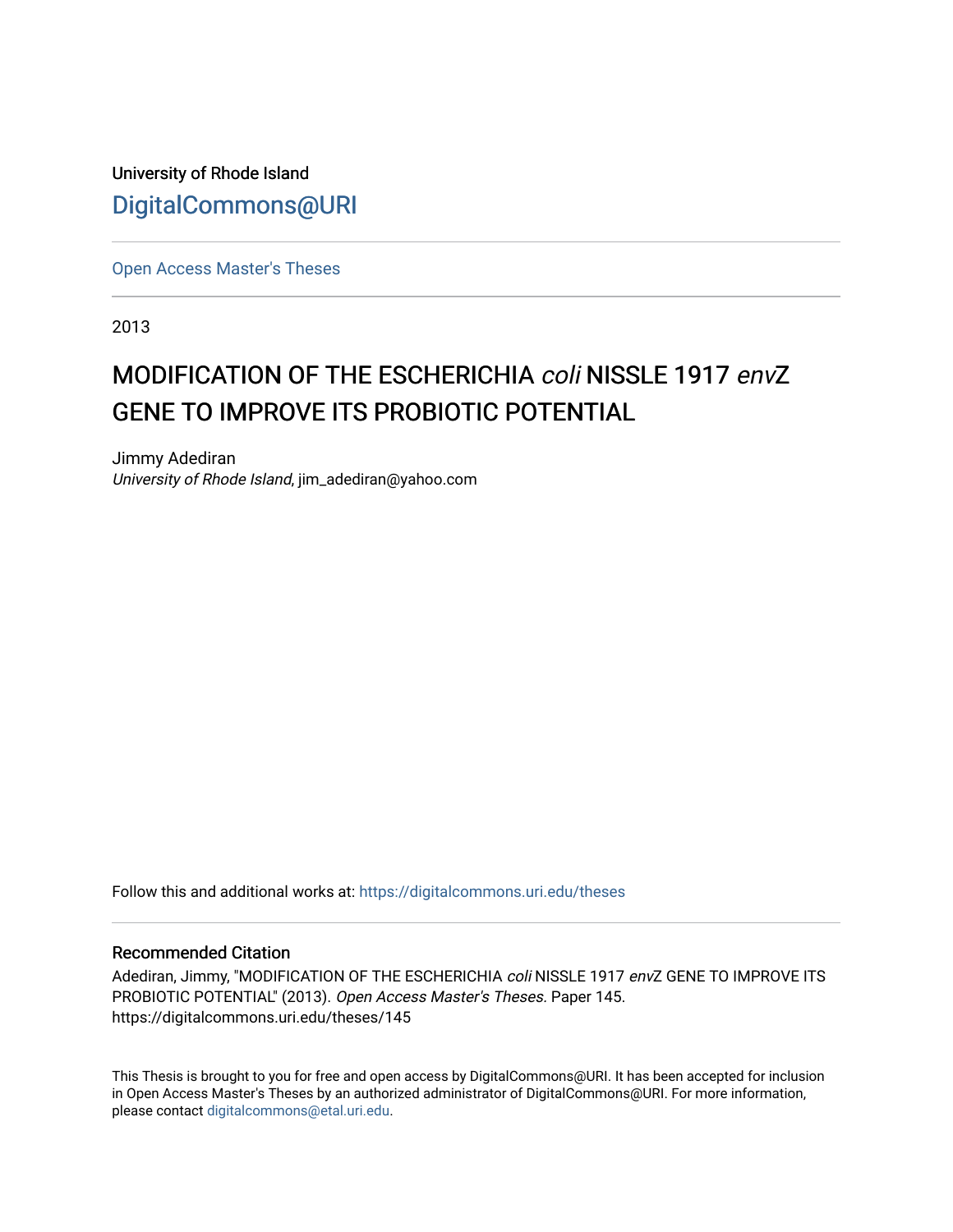University of Rhode Island [DigitalCommons@URI](https://digitalcommons.uri.edu/) 

[Open Access Master's Theses](https://digitalcommons.uri.edu/theses) 

2013

# MODIFICATION OF THE ESCHERICHIA coli NISSLE 1917 envZ GENE TO IMPROVE ITS PROBIOTIC POTENTIAL

Jimmy Adediran University of Rhode Island, jim\_adediran@yahoo.com

Follow this and additional works at: [https://digitalcommons.uri.edu/theses](https://digitalcommons.uri.edu/theses?utm_source=digitalcommons.uri.edu%2Ftheses%2F145&utm_medium=PDF&utm_campaign=PDFCoverPages)

### Recommended Citation

Adediran, Jimmy, "MODIFICATION OF THE ESCHERICHIA coli NISSLE 1917 envZ GENE TO IMPROVE ITS PROBIOTIC POTENTIAL" (2013). Open Access Master's Theses. Paper 145. https://digitalcommons.uri.edu/theses/145

This Thesis is brought to you for free and open access by DigitalCommons@URI. It has been accepted for inclusion in Open Access Master's Theses by an authorized administrator of DigitalCommons@URI. For more information, please contact [digitalcommons@etal.uri.edu.](mailto:digitalcommons@etal.uri.edu)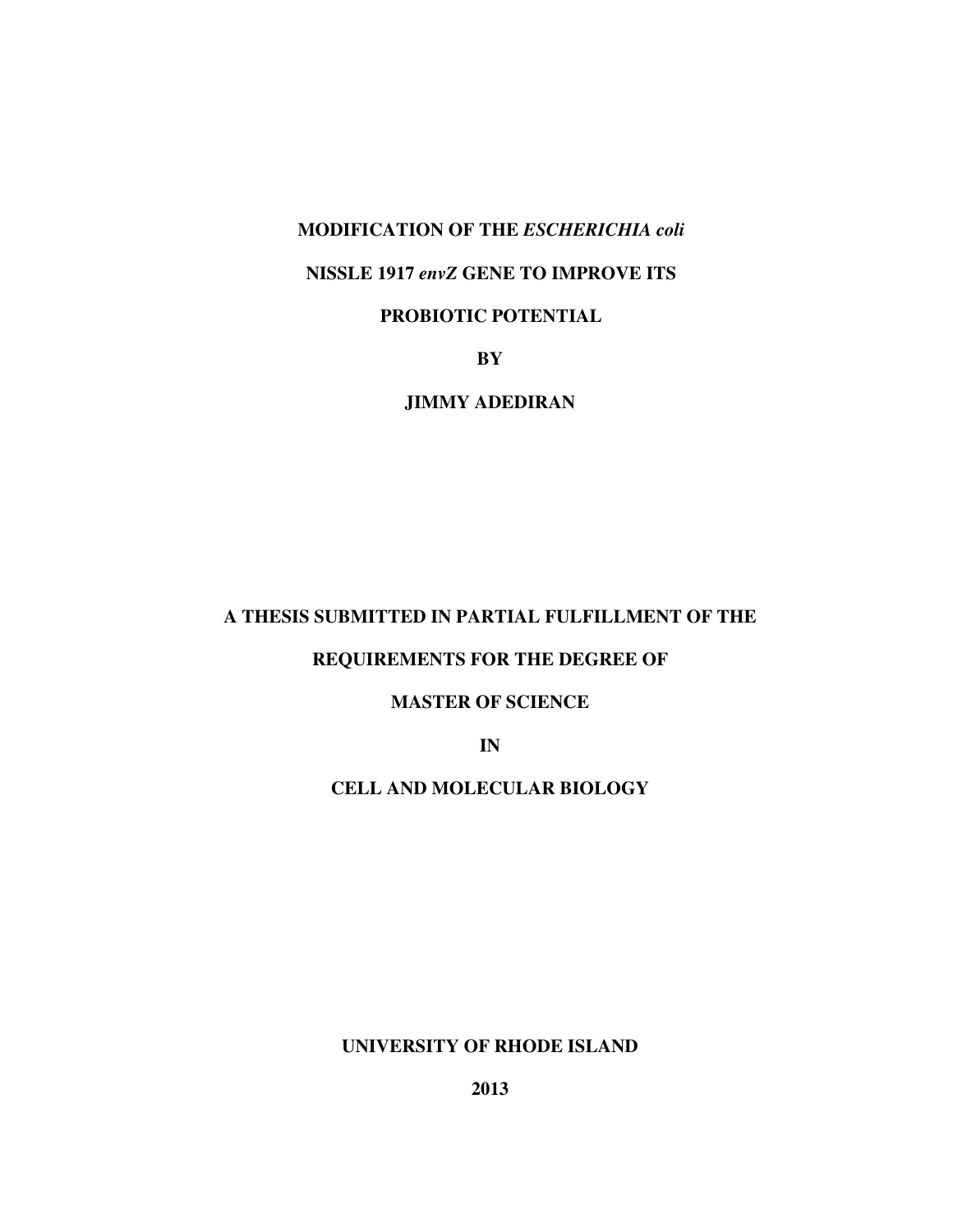### **MODIFICATION OF THE** *ESCHERICHIA coli*

## **NISSLE 1917** *envZ* **GENE TO IMPROVE ITS**

# **PROBIOTIC POTENTIAL**

**BY** 

**JIMMY ADEDIRAN** 

# **A THESIS SUBMITTED IN PARTIAL FULFILLMENT OF THE**

# **REQUIREMENTS FOR THE DEGREE OF**

## **MASTER OF SCIENCE**

**IN** 

# **CELL AND MOLECULAR BIOLOGY**

**UNIVERSITY OF RHODE ISLAND**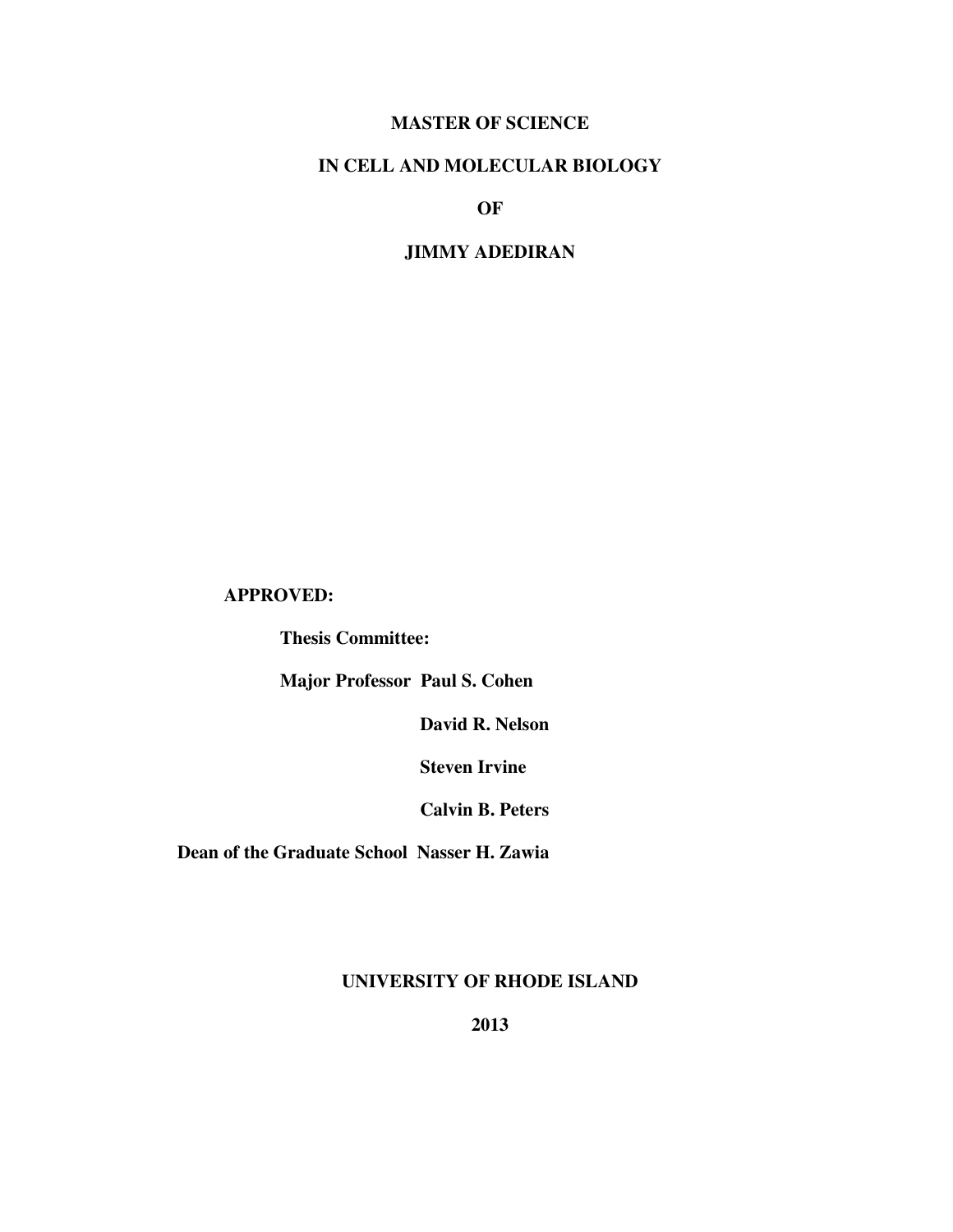# **MASTER OF SCIENCE**

# **IN CELL AND MOLECULAR BIOLOGY**

**OF** 

## **JIMMY ADEDIRAN**

## **APPROVED:**

 **Thesis Committee:** 

 **Major Professor Paul S. Cohen** 

 **David R. Nelson** 

 **Steven Irvine** 

 **Calvin B. Peters** 

 **Dean of the Graduate School Nasser H. Zawia** 

**UNIVERSITY OF RHODE ISLAND**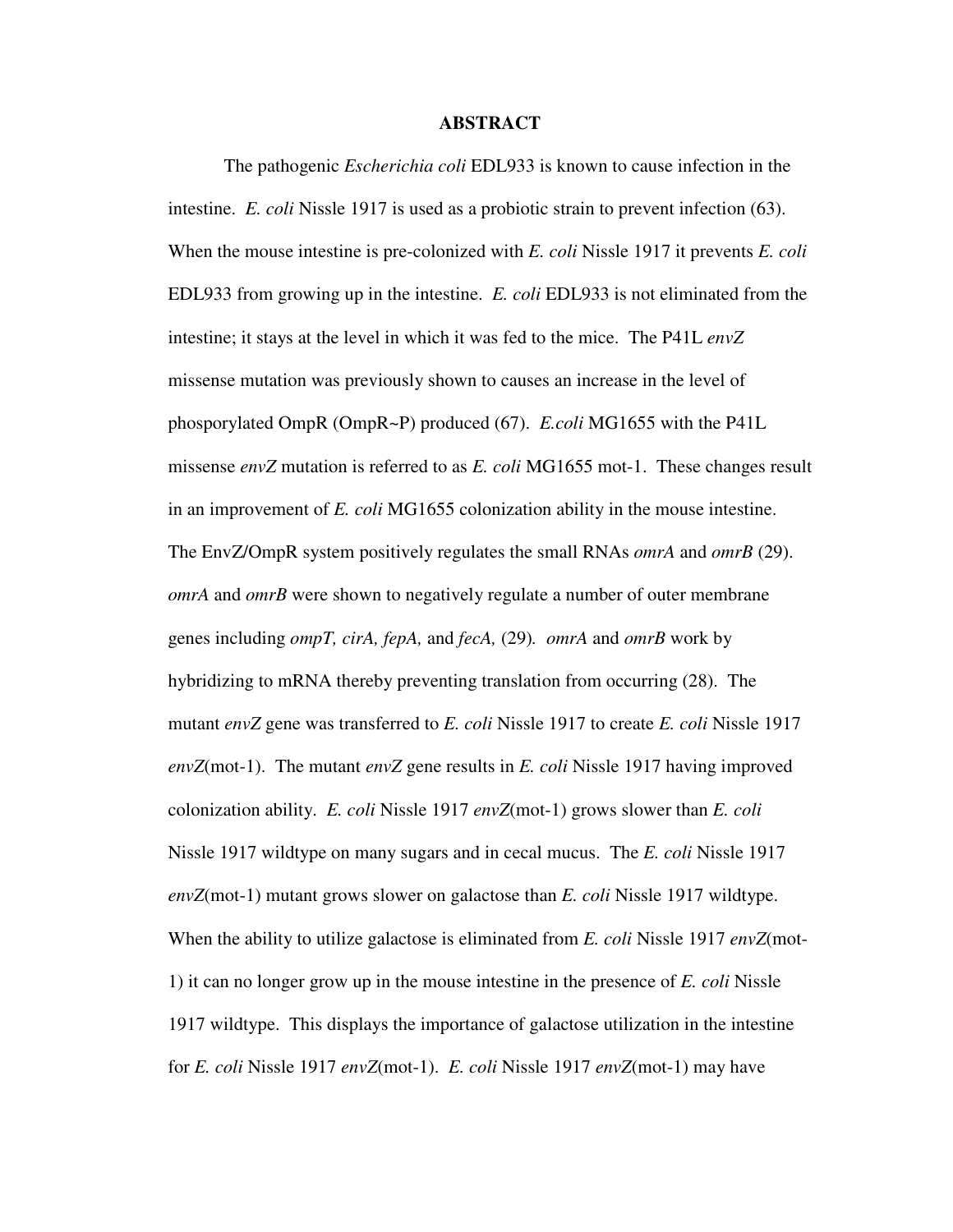### **ABSTRACT**

 The pathogenic *Escherichia coli* EDL933 is known to cause infection in the intestine. *E. coli* Nissle 1917 is used as a probiotic strain to prevent infection (63). When the mouse intestine is pre-colonized with *E. coli* Nissle 1917 it prevents *E. coli*  EDL933 from growing up in the intestine. *E. coli* EDL933 is not eliminated from the intestine; it stays at the level in which it was fed to the mice. The P41L *envZ* missense mutation was previously shown to causes an increase in the level of phosporylated OmpR (OmpR~P) produced (67). *E.coli* MG1655 with the P41L missense *envZ* mutation is referred to as *E. coli* MG1655 mot-1. These changes result in an improvement of *E. coli* MG1655 colonization ability in the mouse intestine. The EnvZ/OmpR system positively regulates the small RNAs *omrA* and *omrB* (29). *omrA* and *omrB* were shown to negatively regulate a number of outer membrane genes including *ompT, cirA, fepA,* and *fecA,* (29)*. omrA* and *omrB* work by hybridizing to mRNA thereby preventing translation from occurring (28). The mutant *envZ* gene was transferred to *E. coli* Nissle 1917 to create *E. coli* Nissle 1917 *envZ*(mot-1). The mutant *envZ* gene results in *E. coli* Nissle 1917 having improved colonization ability. *E. coli* Nissle 1917 *envZ*(mot-1) grows slower than *E. coli* Nissle 1917 wildtype on many sugars and in cecal mucus. The *E. coli* Nissle 1917 *envZ*(mot-1) mutant grows slower on galactose than *E. coli* Nissle 1917 wildtype. When the ability to utilize galactose is eliminated from *E. coli* Nissle 1917 *envZ*(mot-1) it can no longer grow up in the mouse intestine in the presence of *E. coli* Nissle 1917 wildtype. This displays the importance of galactose utilization in the intestine for *E. coli* Nissle 1917 *envZ*(mot-1). *E. coli* Nissle 1917 *envZ*(mot-1) may have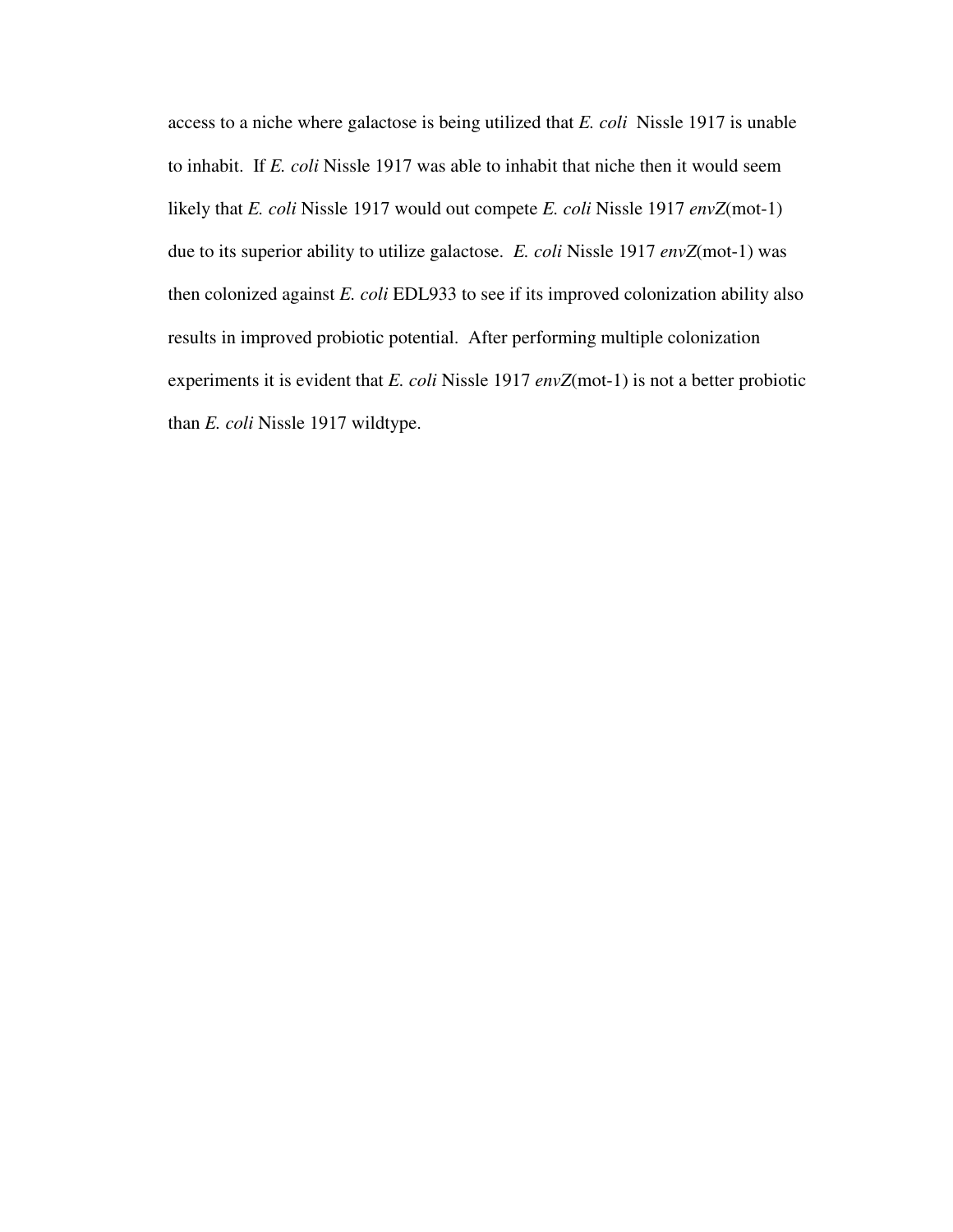access to a niche where galactose is being utilized that *E. coli* Nissle 1917 is unable to inhabit. If *E. coli* Nissle 1917 was able to inhabit that niche then it would seem likely that *E. coli* Nissle 1917 would out compete *E. coli* Nissle 1917 *envZ*(mot-1) due to its superior ability to utilize galactose. *E. coli* Nissle 1917 *envZ*(mot-1) was then colonized against *E. coli* EDL933 to see if its improved colonization ability also results in improved probiotic potential. After performing multiple colonization experiments it is evident that *E. coli* Nissle 1917 *envZ*(mot-1) is not a better probiotic than *E. coli* Nissle 1917 wildtype.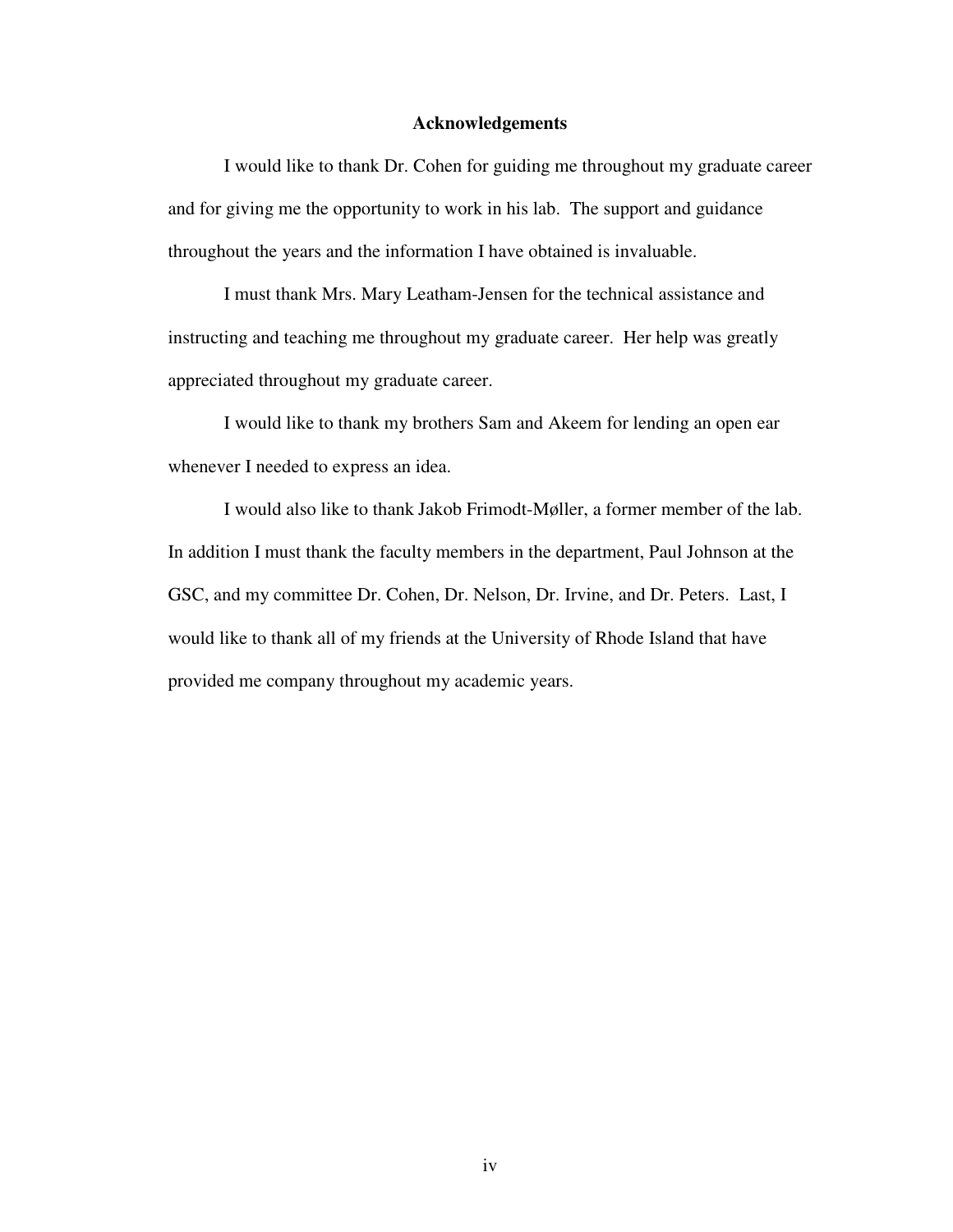### **Acknowledgements**

I would like to thank Dr. Cohen for guiding me throughout my graduate career and for giving me the opportunity to work in his lab. The support and guidance throughout the years and the information I have obtained is invaluable.

I must thank Mrs. Mary Leatham-Jensen for the technical assistance and instructing and teaching me throughout my graduate career. Her help was greatly appreciated throughout my graduate career.

 I would like to thank my brothers Sam and Akeem for lending an open ear whenever I needed to express an idea.

 I would also like to thank Jakob Frimodt-Møller, a former member of the lab. In addition I must thank the faculty members in the department, Paul Johnson at the GSC, and my committee Dr. Cohen, Dr. Nelson, Dr. Irvine, and Dr. Peters. Last, I would like to thank all of my friends at the University of Rhode Island that have provided me company throughout my academic years.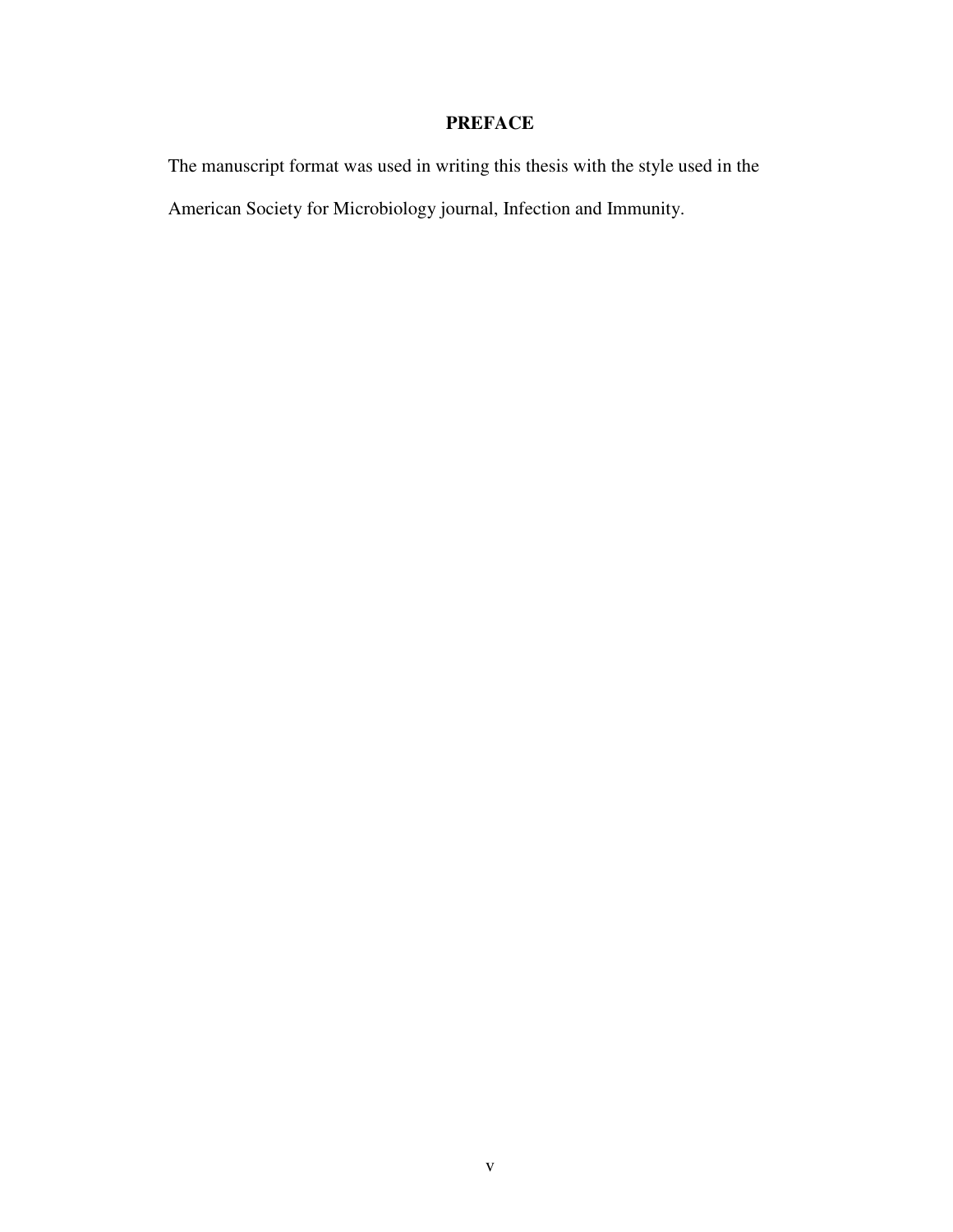# **PREFACE**

The manuscript format was used in writing this thesis with the style used in the

American Society for Microbiology journal, Infection and Immunity.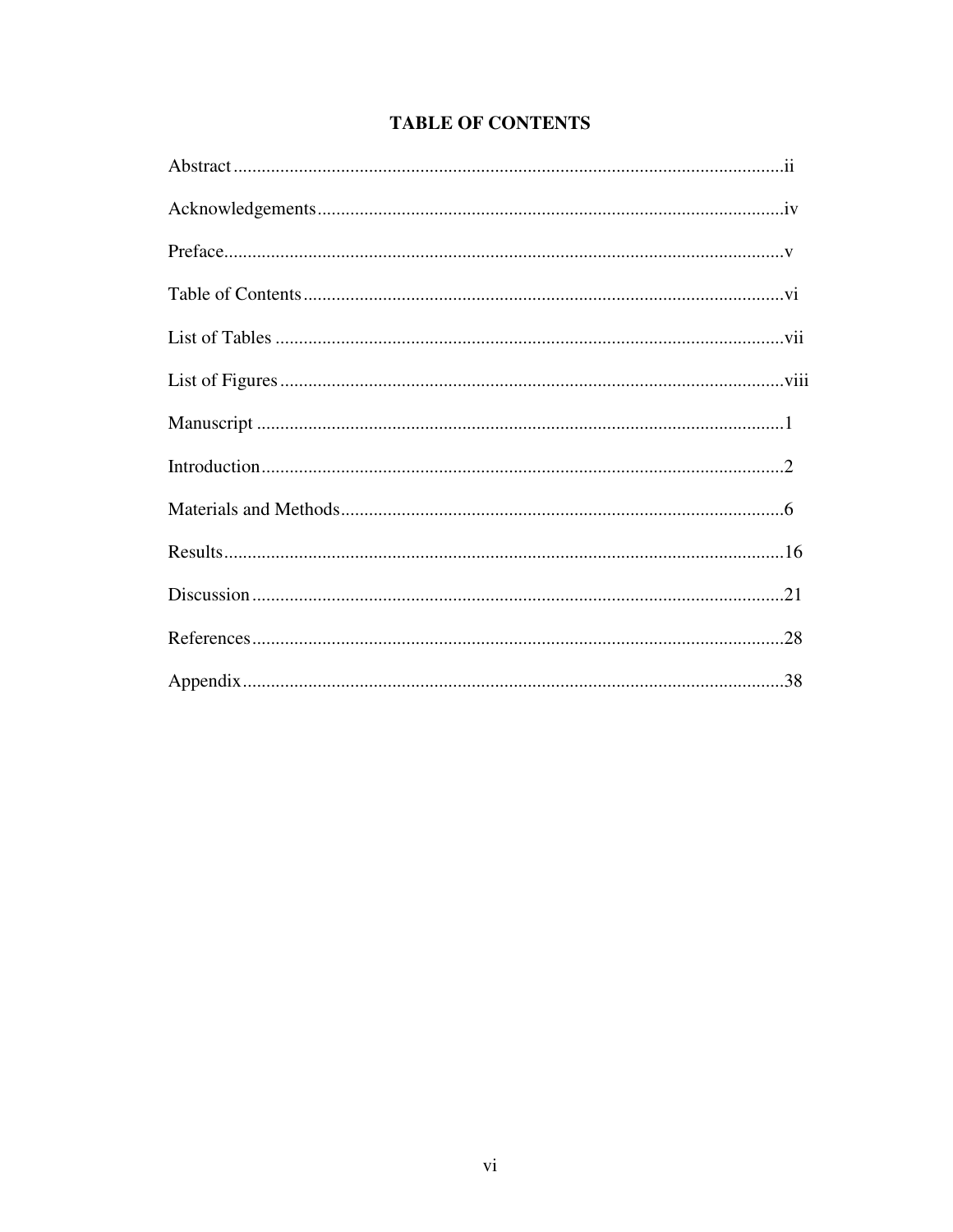# **TABLE OF CONTENTS**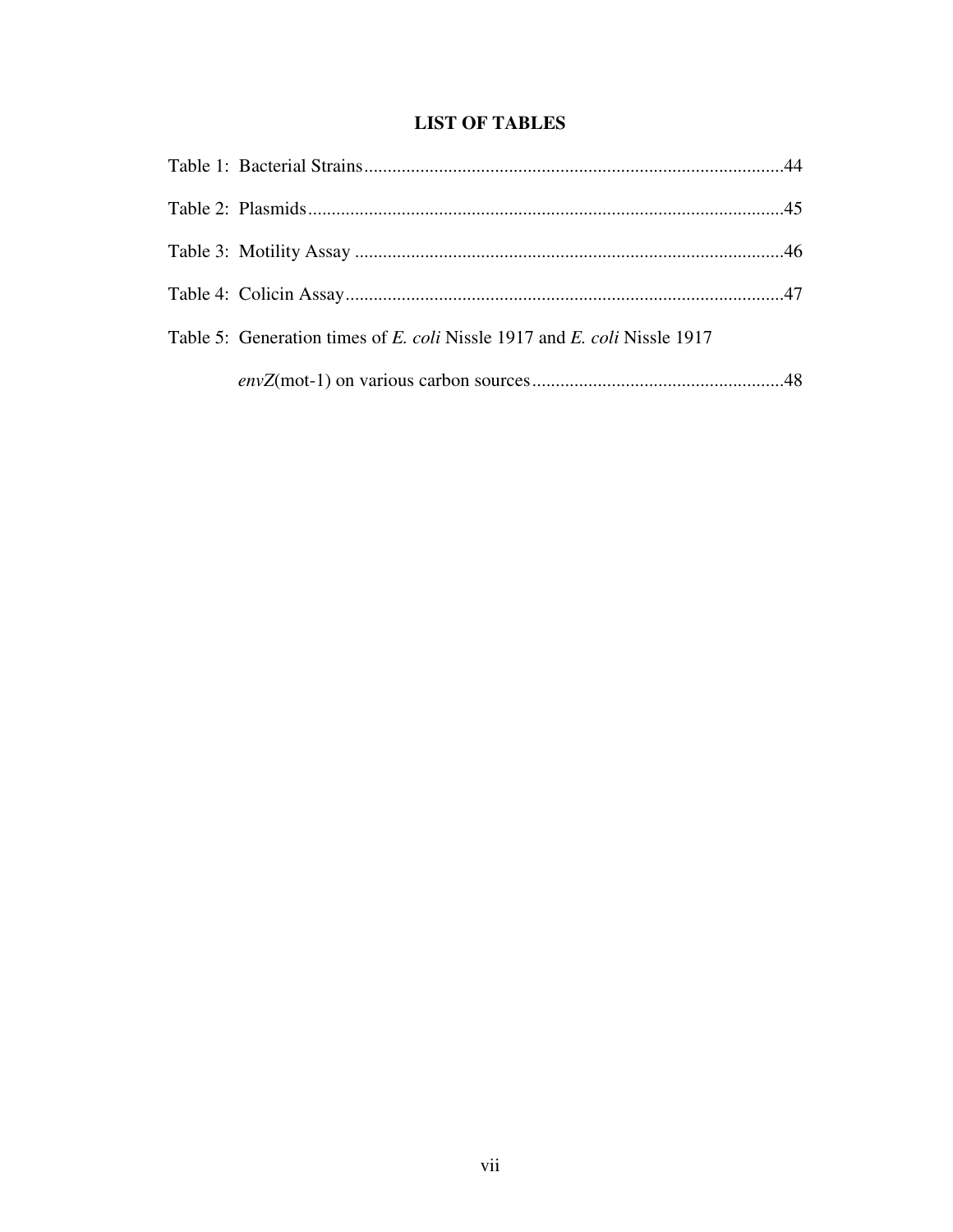# **LIST OF TABLES**

| Table 5: Generation times of E. coli Nissle 1917 and E. coli Nissle 1917 |  |
|--------------------------------------------------------------------------|--|
|                                                                          |  |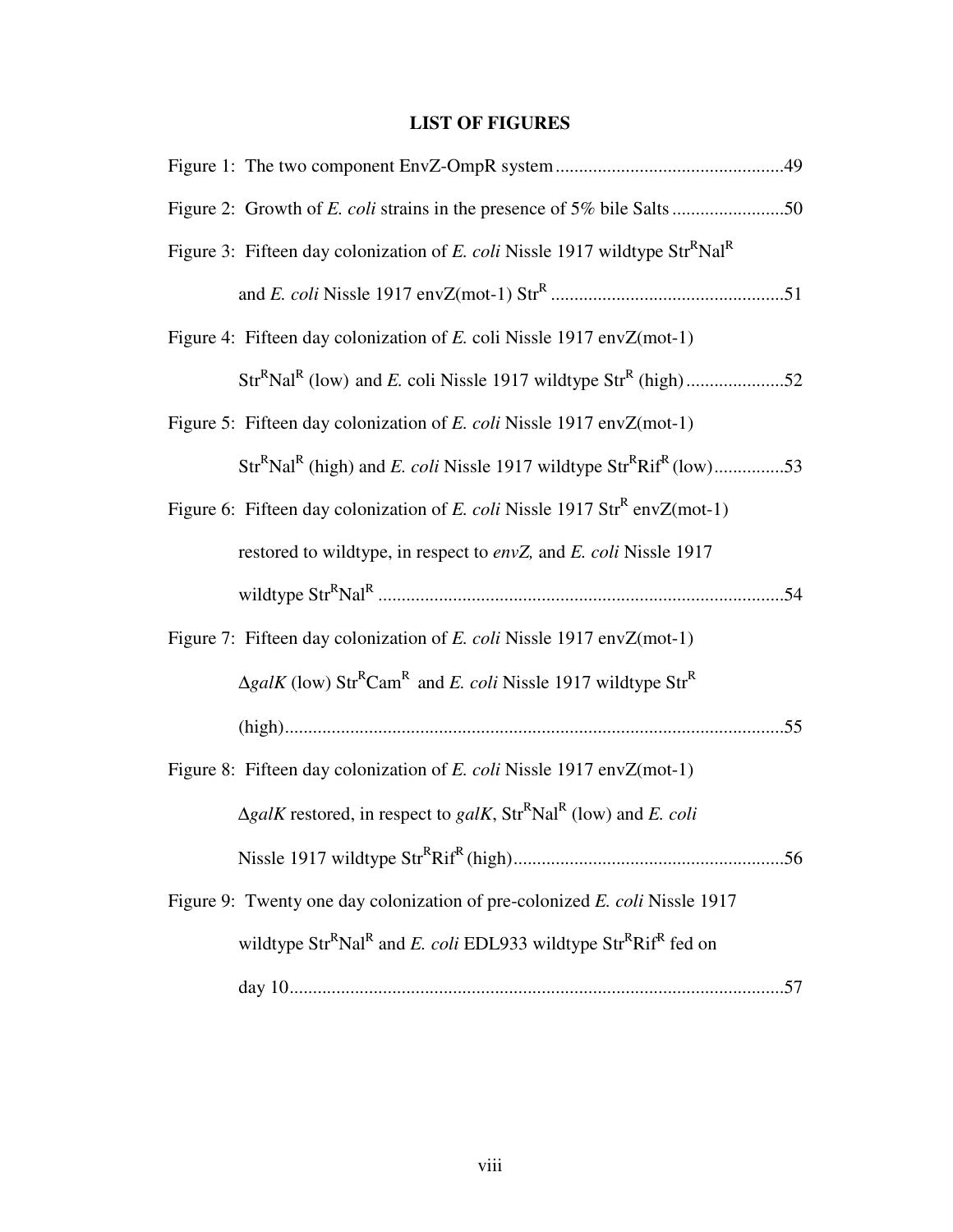# **LIST OF FIGURES**

| Figure 3: Fifteen day colonization of E. coli Nissle 1917 wildtype Str <sup>R</sup> Nal <sup>R</sup>           |
|----------------------------------------------------------------------------------------------------------------|
|                                                                                                                |
| Figure 4: Fifteen day colonization of E. coli Nissle 1917 env $Z(mot-1)$                                       |
|                                                                                                                |
| Figure 5: Fifteen day colonization of E. coli Nissle 1917 envZ(mot-1)                                          |
| $StrRNalR$ (high) and <i>E. coli</i> Nissle 1917 wildtype $StrRRifR$ (low)53                                   |
| Figure 6: Fifteen day colonization of E. coli Nissle 1917 Str <sup>R</sup> envZ(mot-1)                         |
| restored to wildtype, in respect to envZ, and E. coli Nissle 1917                                              |
|                                                                                                                |
| Figure 7: Fifteen day colonization of <i>E. coli</i> Nissle 1917 envZ(mot-1)                                   |
| $\Delta galK$ (low) Str <sup>R</sup> Cam <sup>R</sup> and <i>E. coli</i> Nissle 1917 wildtype Str <sup>R</sup> |
|                                                                                                                |
| Figure 8: Fifteen day colonization of E. coli Nissle 1917 envZ(mot-1)                                          |
| $\Delta galK$ restored, in respect to galK, Str <sup>R</sup> Nal <sup>R</sup> (low) and E. coli                |
|                                                                                                                |
| Figure 9: Twenty one day colonization of pre-colonized E. coli Nissle 1917                                     |
| wildtype $Str^R$ Nal <sup>R</sup> and <i>E. coli</i> EDL933 wildtype $Str^R$ Rif <sup>R</sup> fed on           |
|                                                                                                                |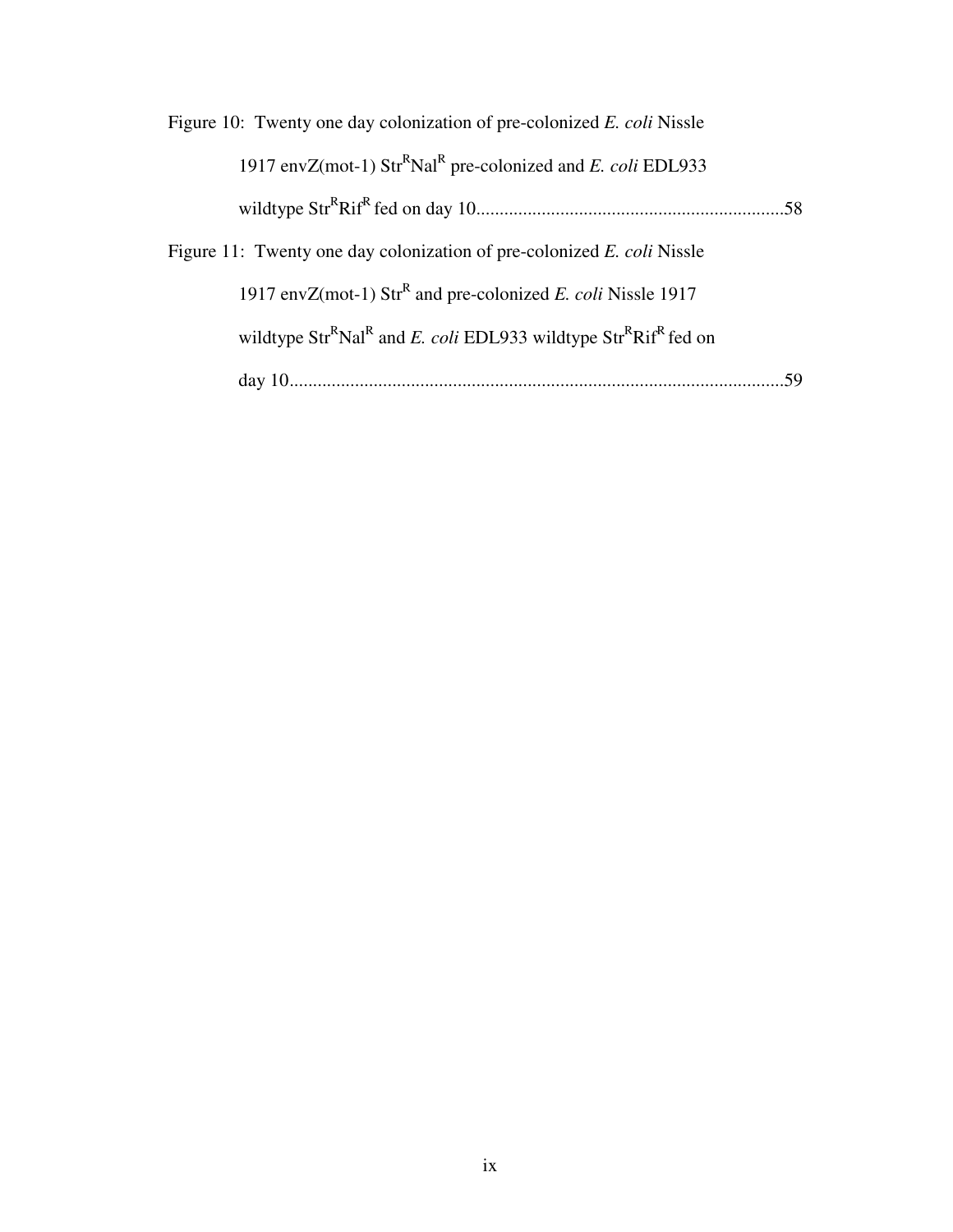| Figure 10: Twenty one day colonization of pre-colonized E. coli Nissle                               |  |
|------------------------------------------------------------------------------------------------------|--|
| 1917 envZ(mot-1) $\text{Str}^R\text{Nal}^R$ pre-colonized and E. coli EDL933                         |  |
|                                                                                                      |  |
| Figure 11: Twenty one day colonization of pre-colonized E. coli Nissle                               |  |
| 1917 envZ(mot-1) $\text{Str}^R$ and pre-colonized <i>E. coli</i> Nissle 1917                         |  |
| wildtype $Str^R$ Nal <sup>R</sup> and <i>E. coli</i> EDL933 wildtype $Str^R$ Rif <sup>R</sup> fed on |  |
|                                                                                                      |  |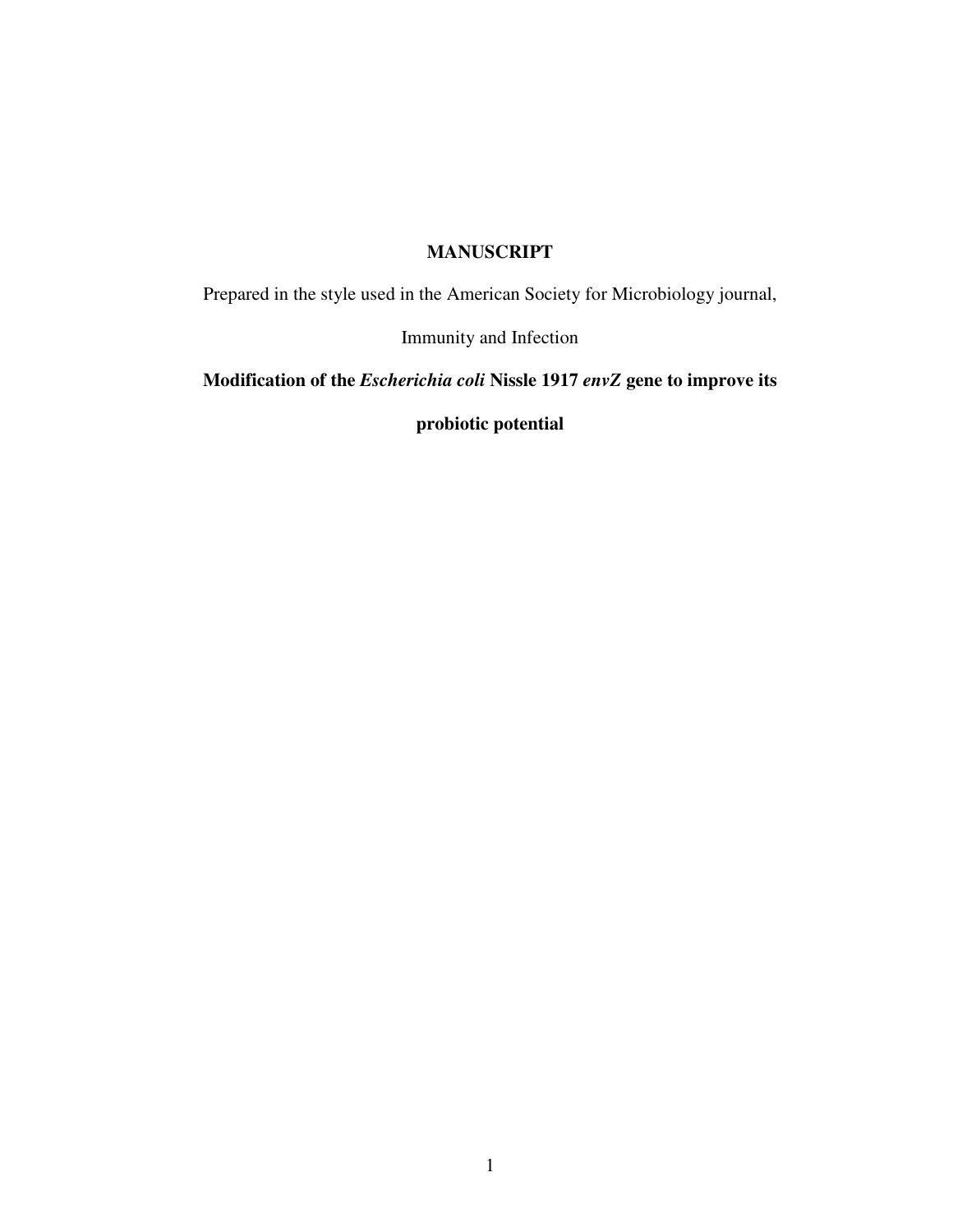# **MANUSCRIPT**

Prepared in the style used in the American Society for Microbiology journal,

Immunity and Infection

**Modification of the** *Escherichia coli* **Nissle 1917** *envZ* **gene to improve its** 

**probiotic potential**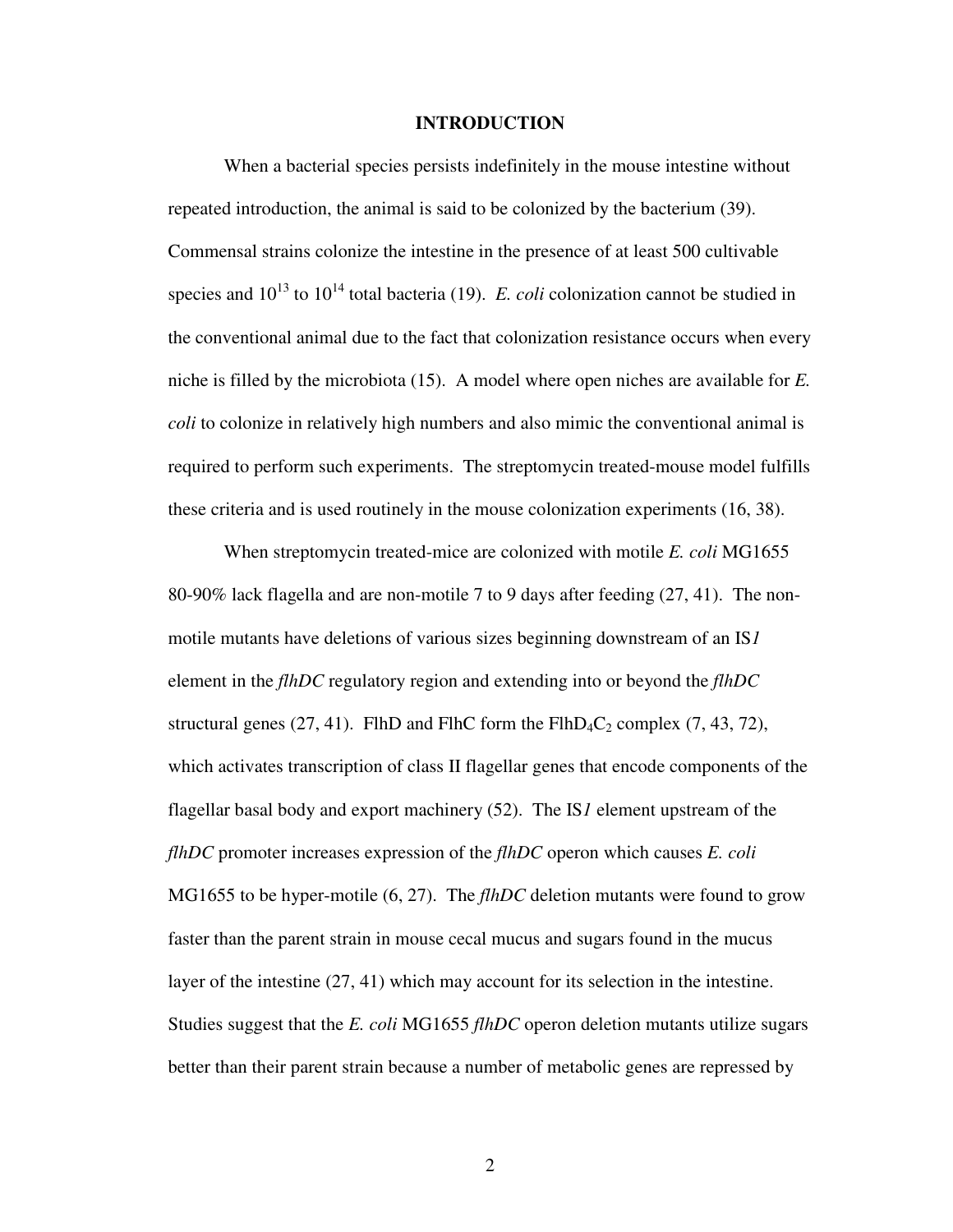### **INTRODUCTION**

When a bacterial species persists indefinitely in the mouse intestine without repeated introduction, the animal is said to be colonized by the bacterium (39). Commensal strains colonize the intestine in the presence of at least 500 cultivable species and  $10^{13}$  to  $10^{14}$  total bacteria (19). *E. coli* colonization cannot be studied in the conventional animal due to the fact that colonization resistance occurs when every niche is filled by the microbiota (15). A model where open niches are available for *E. coli* to colonize in relatively high numbers and also mimic the conventional animal is required to perform such experiments. The streptomycin treated-mouse model fulfills these criteria and is used routinely in the mouse colonization experiments (16, 38).

When streptomycin treated-mice are colonized with motile *E. coli* MG1655 80-90% lack flagella and are non-motile 7 to 9 days after feeding (27, 41). The nonmotile mutants have deletions of various sizes beginning downstream of an IS*1* element in the *flhDC* regulatory region and extending into or beyond the *flhDC* structural genes (27, 41). FlhD and FlhC form the  $FlhD_4C_2$  complex (7, 43, 72), which activates transcription of class II flagellar genes that encode components of the flagellar basal body and export machinery (52). The IS*1* element upstream of the *flhDC* promoter increases expression of the *flhDC* operon which causes *E. coli* MG1655 to be hyper-motile (6, 27). The *flhDC* deletion mutants were found to grow faster than the parent strain in mouse cecal mucus and sugars found in the mucus layer of the intestine (27, 41) which may account for its selection in the intestine. Studies suggest that the *E. coli* MG1655 *flhDC* operon deletion mutants utilize sugars better than their parent strain because a number of metabolic genes are repressed by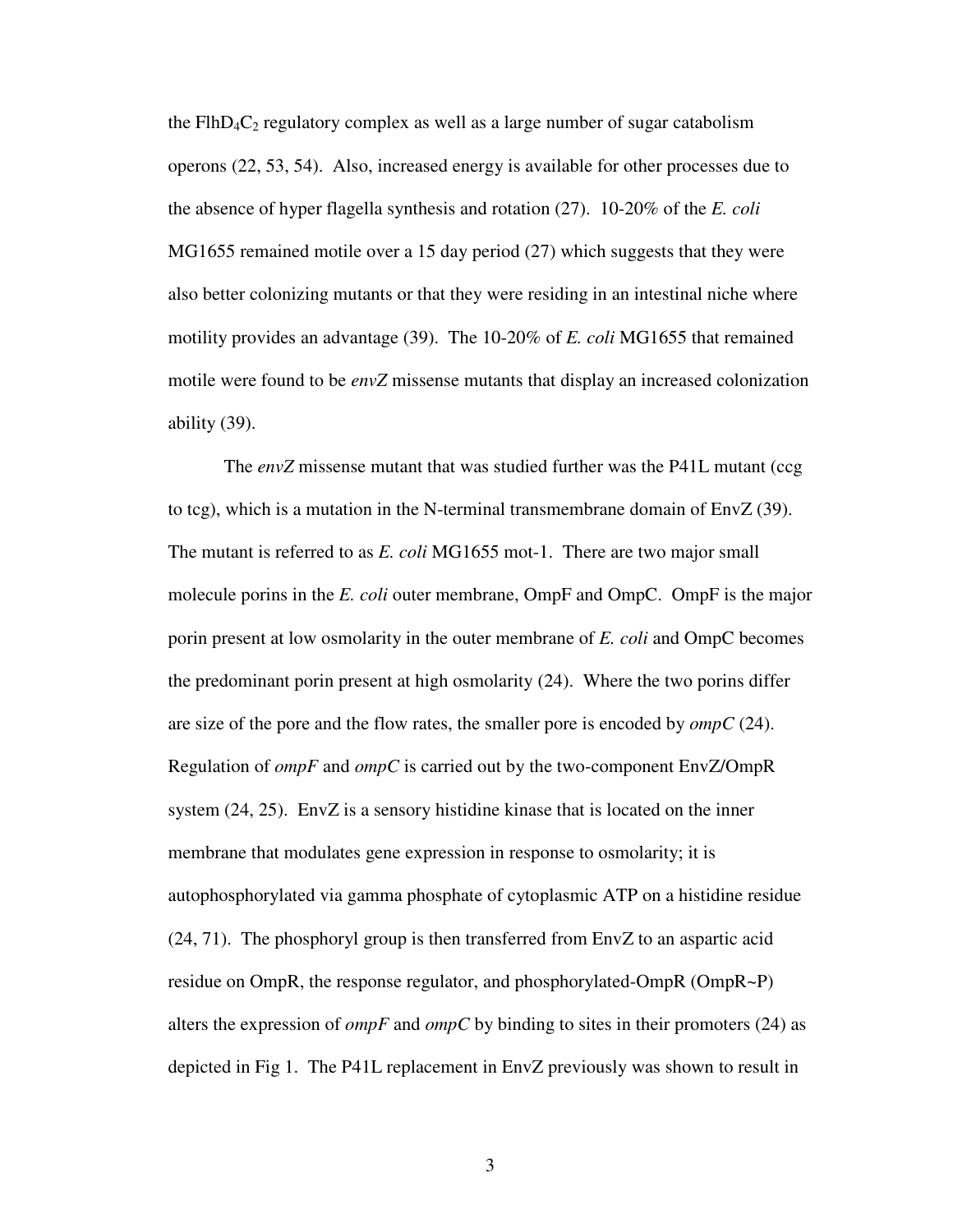the FlhD<sub>4</sub> $C_2$  regulatory complex as well as a large number of sugar catabolism operons (22, 53, 54). Also, increased energy is available for other processes due to the absence of hyper flagella synthesis and rotation (27). 10-20% of the *E. coli* MG1655 remained motile over a 15 day period (27) which suggests that they were also better colonizing mutants or that they were residing in an intestinal niche where motility provides an advantage (39). The 10-20% of *E. coli* MG1655 that remained motile were found to be *envZ* missense mutants that display an increased colonization ability (39).

The *envZ* missense mutant that was studied further was the P41L mutant (ccg to tcg), which is a mutation in the N-terminal transmembrane domain of EnvZ (39). The mutant is referred to as *E. coli* MG1655 mot-1. There are two major small molecule porins in the *E. coli* outer membrane, OmpF and OmpC. OmpF is the major porin present at low osmolarity in the outer membrane of *E. coli* and OmpC becomes the predominant porin present at high osmolarity (24). Where the two porins differ are size of the pore and the flow rates, the smaller pore is encoded by *ompC* (24). Regulation of *ompF* and *ompC* is carried out by the two-component EnvZ/OmpR system (24, 25). EnvZ is a sensory histidine kinase that is located on the inner membrane that modulates gene expression in response to osmolarity; it is autophosphorylated via gamma phosphate of cytoplasmic ATP on a histidine residue  $(24, 71)$ . The phosphoryl group is then transferred from EnvZ to an aspartic acid residue on OmpR, the response regulator, and phosphorylated-OmpR (OmpR~P) alters the expression of *ompF* and *ompC* by binding to sites in their promoters (24) as depicted in Fig 1. The P41L replacement in EnvZ previously was shown to result in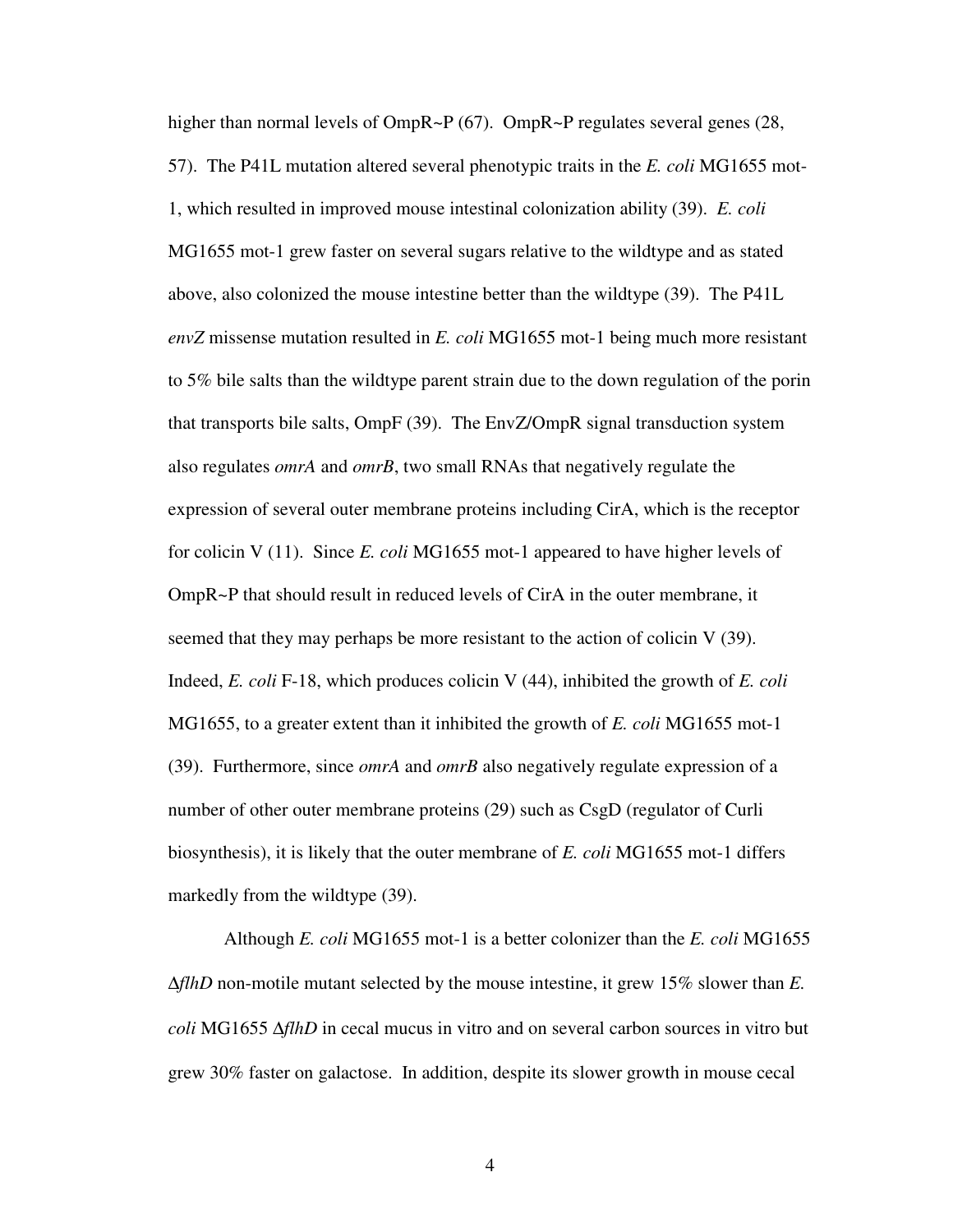higher than normal levels of OmpR~P (67). OmpR~P regulates several genes (28, 57). The P41L mutation altered several phenotypic traits in the *E. coli* MG1655 mot-1, which resulted in improved mouse intestinal colonization ability (39). *E. coli* MG1655 mot-1 grew faster on several sugars relative to the wildtype and as stated above, also colonized the mouse intestine better than the wildtype (39). The P41L *envZ* missense mutation resulted in *E. coli* MG1655 mot-1 being much more resistant to 5% bile salts than the wildtype parent strain due to the down regulation of the porin that transports bile salts, OmpF (39). The EnvZ/OmpR signal transduction system also regulates *omrA* and *omrB*, two small RNAs that negatively regulate the expression of several outer membrane proteins including CirA, which is the receptor for colicin V (11). Since *E. coli* MG1655 mot-1 appeared to have higher levels of OmpR~P that should result in reduced levels of CirA in the outer membrane, it seemed that they may perhaps be more resistant to the action of colicin V (39). Indeed, *E. coli* F-18, which produces colicin V (44), inhibited the growth of *E. coli* MG1655, to a greater extent than it inhibited the growth of *E. coli* MG1655 mot-1 (39). Furthermore, since *omrA* and *omrB* also negatively regulate expression of a number of other outer membrane proteins (29) such as CsgD (regulator of Curli biosynthesis), it is likely that the outer membrane of *E. coli* MG1655 mot-1 differs markedly from the wildtype (39).

Although *E. coli* MG1655 mot-1 is a better colonizer than the *E. coli* MG1655 ∆*flhD* non-motile mutant selected by the mouse intestine, it grew 15% slower than *E. coli* MG1655 ∆*flhD* in cecal mucus in vitro and on several carbon sources in vitro but grew 30% faster on galactose. In addition, despite its slower growth in mouse cecal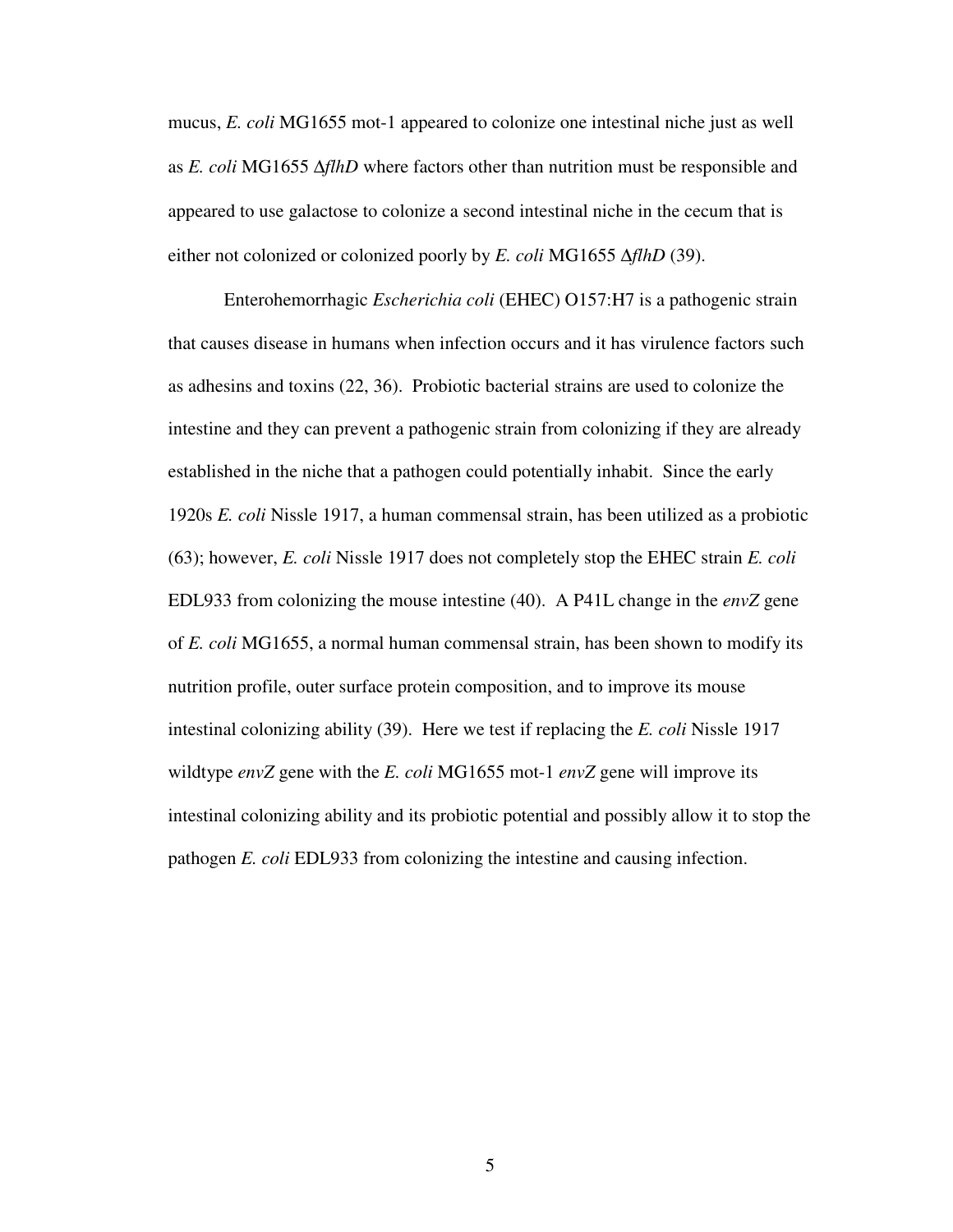mucus, *E. coli* MG1655 mot-1 appeared to colonize one intestinal niche just as well as *E. coli* MG1655 ∆*flhD* where factors other than nutrition must be responsible and appeared to use galactose to colonize a second intestinal niche in the cecum that is either not colonized or colonized poorly by *E. coli* MG1655 ∆*flhD* (39).

Enterohemorrhagic *Escherichia coli* (EHEC) O157:H7 is a pathogenic strain that causes disease in humans when infection occurs and it has virulence factors such as adhesins and toxins (22, 36). Probiotic bacterial strains are used to colonize the intestine and they can prevent a pathogenic strain from colonizing if they are already established in the niche that a pathogen could potentially inhabit. Since the early 1920s *E. coli* Nissle 1917, a human commensal strain, has been utilized as a probiotic (63); however, *E. coli* Nissle 1917 does not completely stop the EHEC strain *E. coli*  EDL933 from colonizing the mouse intestine (40). A P41L change in the *envZ* gene of *E. coli* MG1655, a normal human commensal strain, has been shown to modify its nutrition profile, outer surface protein composition, and to improve its mouse intestinal colonizing ability (39). Here we test if replacing the *E. coli* Nissle 1917 wildtype *envZ* gene with the *E. coli* MG1655 mot-1 *envZ* gene will improve its intestinal colonizing ability and its probiotic potential and possibly allow it to stop the pathogen *E. coli* EDL933 from colonizing the intestine and causing infection.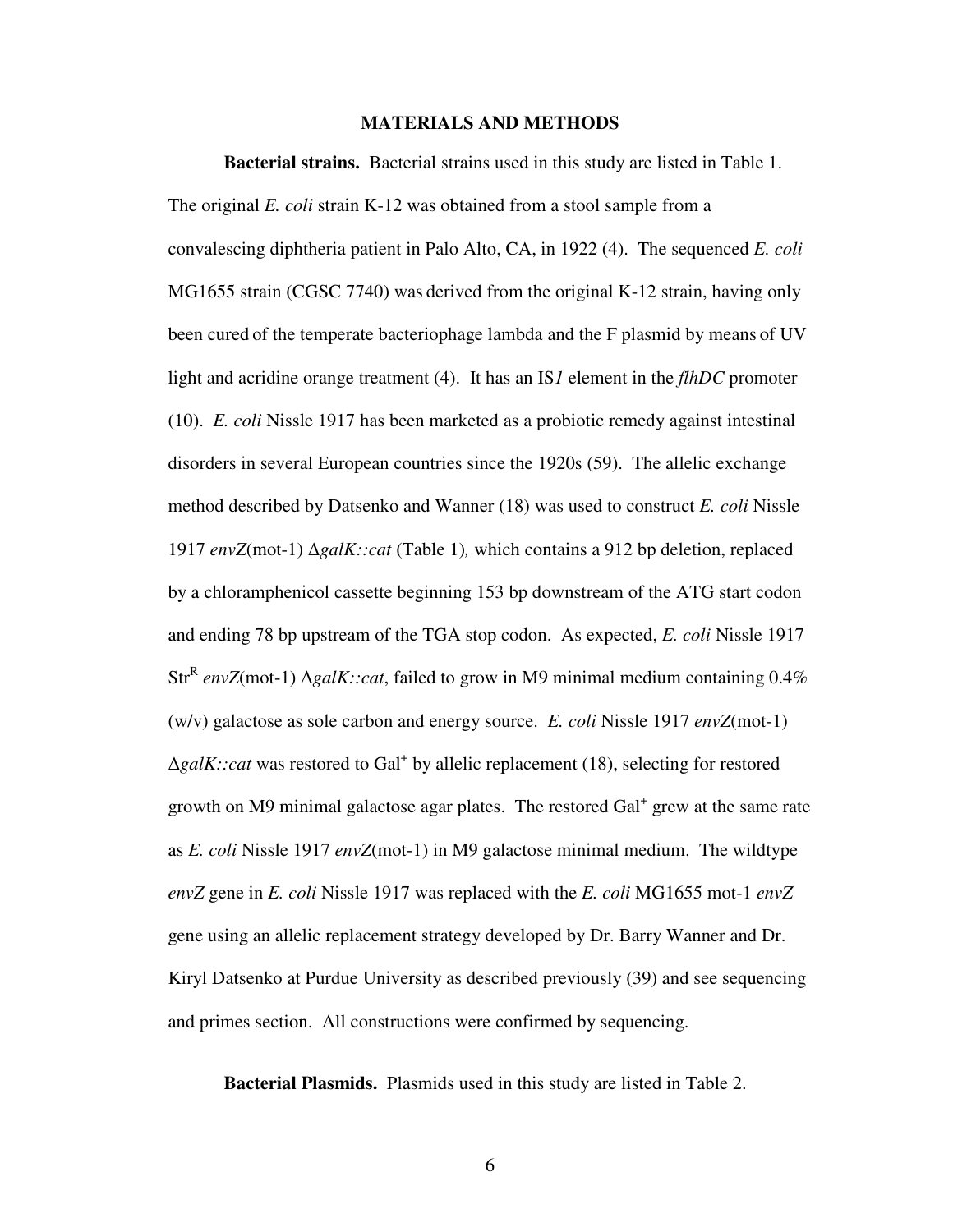### **MATERIALS AND METHODS**

**Bacterial strains.** Bacterial strains used in this study are listed in Table 1. The original *E. coli* strain K-12 was obtained from a stool sample from a convalescing diphtheria patient in Palo Alto, CA, in 1922 (4). The sequenced *E. coli* MG1655 strain (CGSC 7740) was derived from the original K-12 strain, having only been cured of the temperate bacteriophage lambda and the F plasmid by means of UV light and acridine orange treatment (4). It has an IS*1* element in the *flhDC* promoter (10). *E. coli* Nissle 1917 has been marketed as a probiotic remedy against intestinal disorders in several European countries since the 1920s (59). The allelic exchange method described by Datsenko and Wanner (18) was used to construct *E. coli* Nissle 1917 *envZ*(mot-1) ∆*galK::cat* (Table 1)*,* which contains a 912 bp deletion, replaced by a chloramphenicol cassette beginning 153 bp downstream of the ATG start codon and ending 78 bp upstream of the TGA stop codon. As expected, *E. coli* Nissle 1917 Str<sup>R</sup> envZ(mot-1) ∆*galK::cat*, failed to grow in M9 minimal medium containing 0.4% (w/v) galactose as sole carbon and energy source. *E. coli* Nissle 1917 *envZ*(mot-1) ∆*galK::cat* was restored to Gal<sup>+</sup> by allelic replacement (18), selecting for restored growth on M9 minimal galactose agar plates. The restored Gal<sup>+</sup> grew at the same rate as *E. coli* Nissle 1917 *envZ*(mot-1) in M9 galactose minimal medium. The wildtype *envZ* gene in *E. coli* Nissle 1917 was replaced with the *E. coli* MG1655 mot-1 *envZ*  gene using an allelic replacement strategy developed by Dr. Barry Wanner and Dr. Kiryl Datsenko at Purdue University as described previously (39) and see sequencing and primes section. All constructions were confirmed by sequencing.

**Bacterial Plasmids.** Plasmids used in this study are listed in Table 2.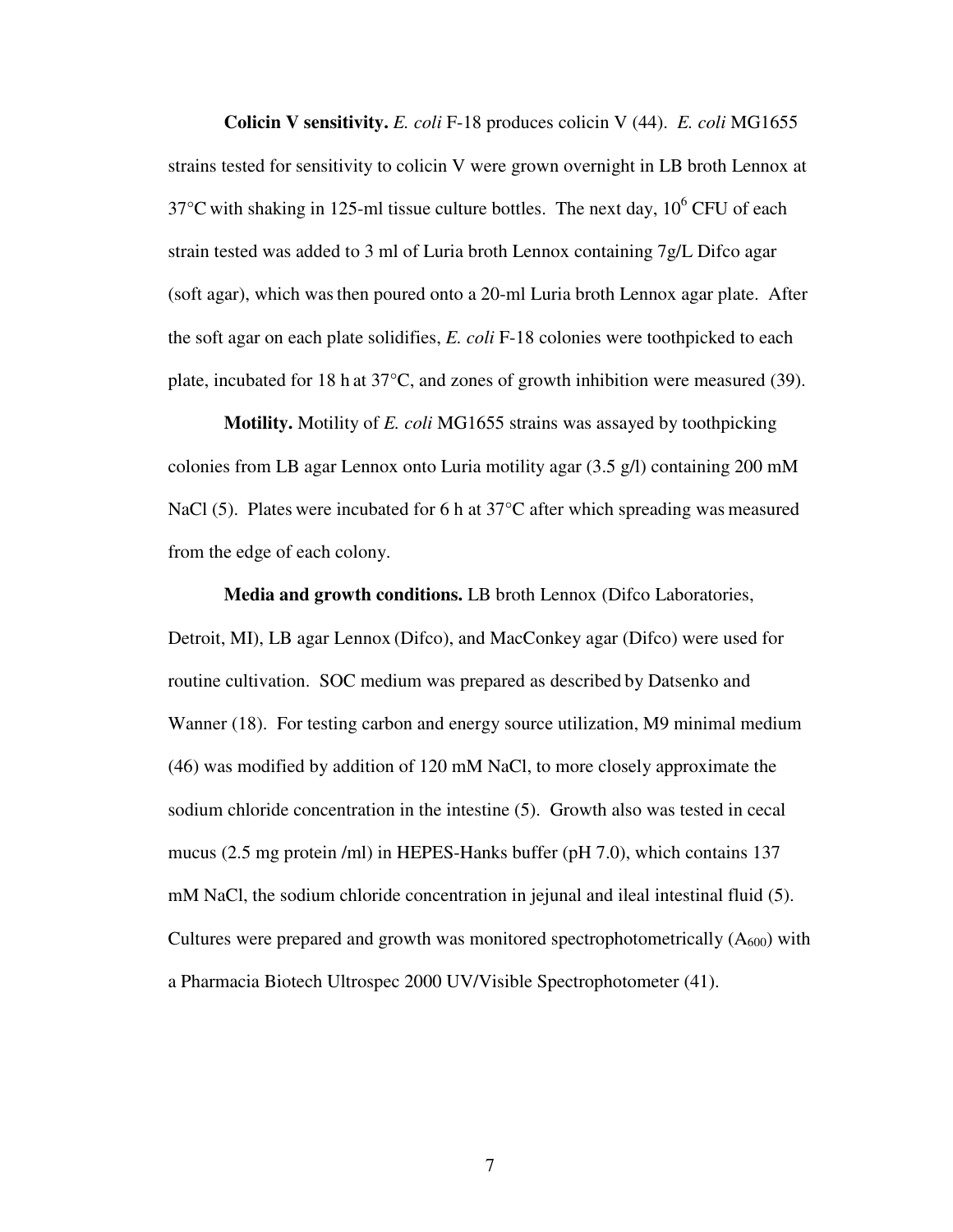**Colicin V sensitivity.** *E. coli* F-18 produces colicin V (44). *E. coli* MG1655 strains tested for sensitivity to colicin V were grown overnight in LB broth Lennox at 37 $\degree$ C with shaking in 125-ml tissue culture bottles. The next day, 10 $\degree$  CFU of each strain tested was added to 3 ml of Luria broth Lennox containing 7g/L Difco agar (soft agar), which wasthen poured onto a 20-ml Luria broth Lennox agar plate. After the soft agar on each plate solidifies, *E. coli* F-18 colonies were toothpicked to each plate, incubated for 18 h at 37°C, and zones of growth inhibition were measured (39).

**Motility.** Motility of *E. coli* MG1655 strains was assayed by toothpicking colonies from LB agar Lennox onto Luria motility agar (3.5 g/l) containing 200 mM NaCl (5). Plates were incubated for 6 h at 37°C after which spreading was measured from the edge of each colony.

**Media and growth conditions.** LB broth Lennox (Difco Laboratories, Detroit, MI), LB agar Lennox (Difco), and MacConkey agar (Difco) were used for routine cultivation. SOC medium was prepared as described by Datsenko and Wanner (18). For testing carbon and energy source utilization, M9 minimal medium (46) was modified by addition of 120 mM NaCl, to more closely approximate the sodium chloride concentration in the intestine (5). Growth also was tested in cecal mucus (2.5 mg protein /ml) in HEPES-Hanks buffer (pH 7.0), which contains 137 mM NaCl, the sodium chloride concentration in jejunal and ileal intestinal fluid (5). Cultures were prepared and growth was monitored spectrophotometrically  $(A_{600})$  with a Pharmacia Biotech Ultrospec 2000 UV/Visible Spectrophotometer (41).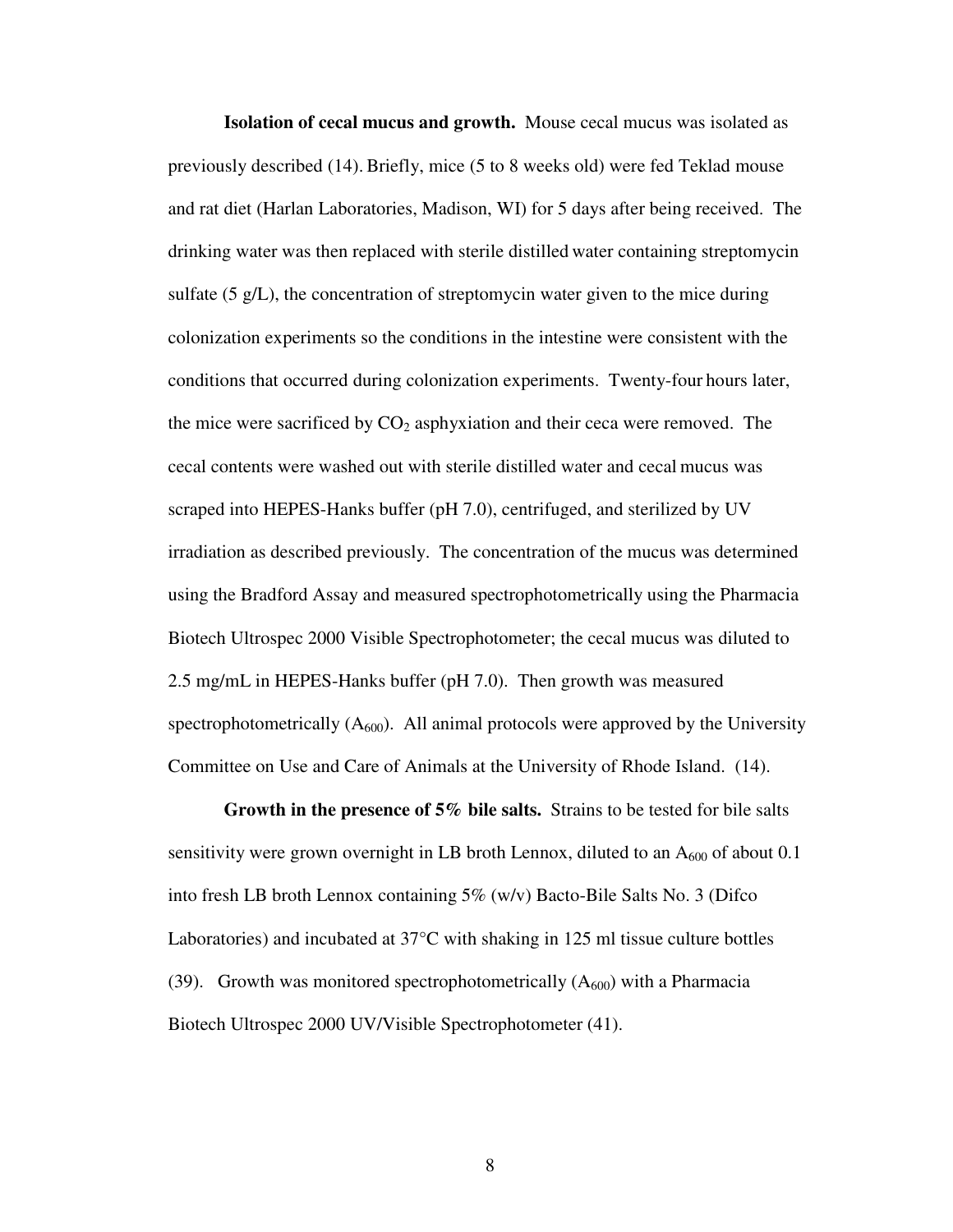**Isolation of cecal mucus and growth.** Mouse cecal mucus was isolated as previously described (14). Briefly, mice (5 to 8 weeks old) were fed Teklad mouse and rat diet (Harlan Laboratories, Madison, WI) for 5 days after being received. The drinking water was then replaced with sterile distilled water containing streptomycin sulfate (5 g/L), the concentration of streptomycin water given to the mice during colonization experiments so the conditions in the intestine were consistent with the conditions that occurred during colonization experiments. Twenty-four hours later, the mice were sacrificed by  $CO<sub>2</sub>$  asphyxiation and their ceca were removed. The cecal contents were washed out with sterile distilled water and cecal mucus was scraped into HEPES-Hanks buffer (pH 7.0), centrifuged, and sterilized by UV irradiation as described previously. The concentration of the mucus was determined using the Bradford Assay and measured spectrophotometrically using the Pharmacia Biotech Ultrospec 2000 Visible Spectrophotometer; the cecal mucus was diluted to 2.5 mg/mL in HEPES-Hanks buffer (pH 7.0). Then growth was measured spectrophotometrically  $(A_{600})$ . All animal protocols were approved by the University Committee on Use and Care of Animals at the University of Rhode Island. (14).

**Growth in the presence of 5% bile salts.** Strains to be tested for bile salts sensitivity were grown overnight in LB broth Lennox, diluted to an  $A_{600}$  of about 0.1 into fresh LB broth Lennox containing 5% (w/v) Bacto-Bile Salts No. 3 (Difco Laboratories) and incubated at  $37^{\circ}$ C with shaking in 125 ml tissue culture bottles (39). Growth was monitored spectrophotometrically  $(A_{600})$  with a Pharmacia Biotech Ultrospec 2000 UV/Visible Spectrophotometer (41).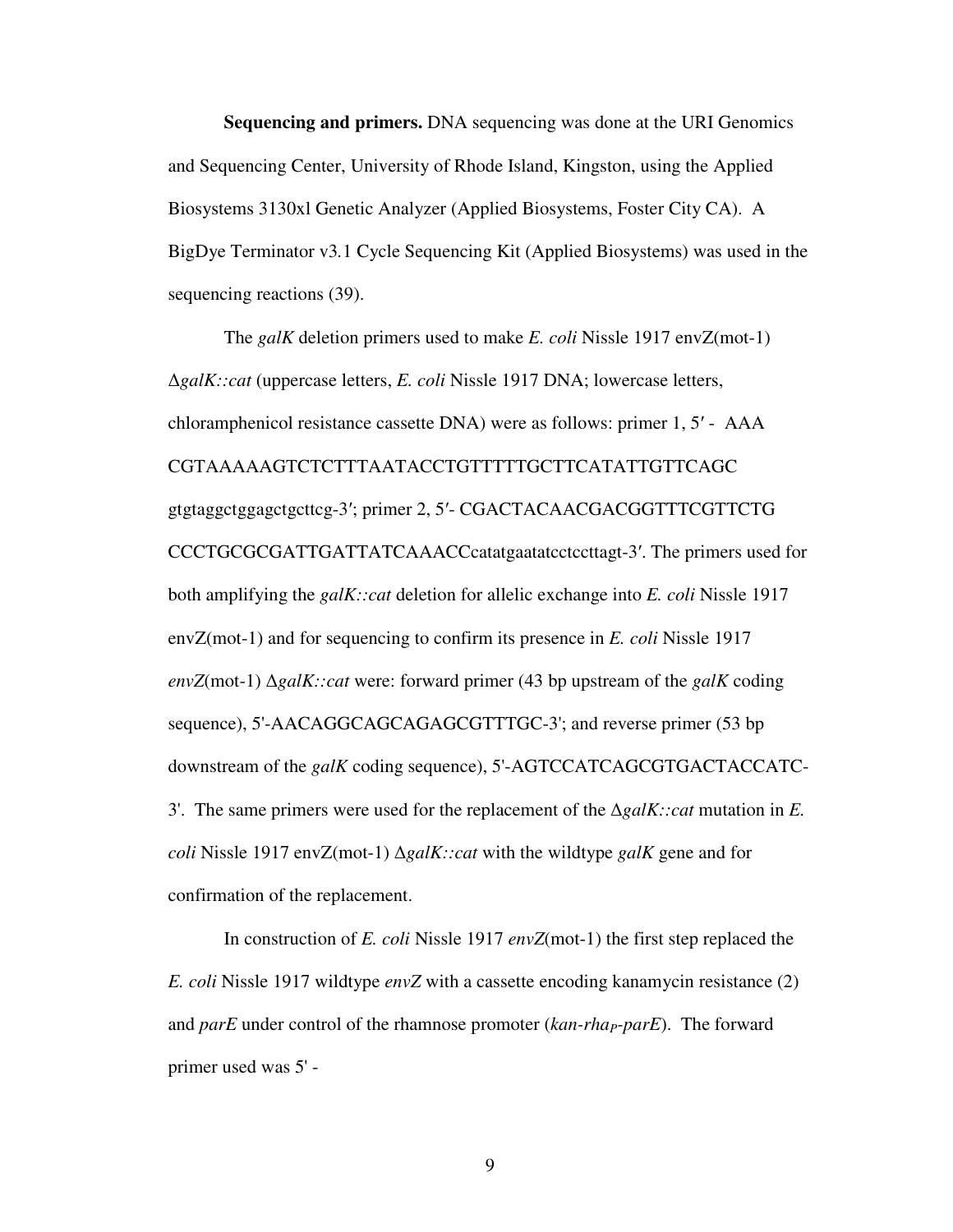**Sequencing and primers.** DNA sequencing was done at the URI Genomics and Sequencing Center, University of Rhode Island, Kingston, using the Applied Biosystems 3130xl Genetic Analyzer (Applied Biosystems, Foster City CA). A BigDye Terminator v3*.*1 Cycle Sequencing Kit (Applied Biosystems) was used in the sequencing reactions (39).

 The *galK* deletion primers used to make *E. coli* Nissle 1917 envZ(mot-1) ∆*galK::cat* (uppercase letters, *E. coli* Nissle 1917 DNA; lowercase letters, chloramphenicol resistance cassette DNA) were as follows: primer 1, 5′ - AAA CGTAAAAAGTCTCTTTAATACCTGTTTTTGCTTCATATTGTTCAGC gtgtaggctggagctgcttcg-3′; primer 2, 5′- CGACTACAACGACGGTTTCGTTCTG CCCTGCGCGATTGATTATCAAACCcatatgaatatcctccttagt-3′. The primers used for both amplifying the *galK::cat* deletion for allelic exchange into *E. coli* Nissle 1917 envZ(mot-1) and for sequencing to confirm its presence in *E. coli* Nissle 1917 *envZ*(mot-1) ∆*galK::cat* were: forward primer (43 bp upstream of the *galK* coding sequence), 5'-AACAGGCAGCAGAGCGTTTGC-3'; and reverse primer (53 bp downstream of the *galK* coding sequence), 5'-AGTCCATCAGCGTGACTACCATC-3'. The same primers were used for the replacement of the ∆*galK::cat* mutation in *E. coli* Nissle 1917 envZ(mot-1) ∆*galK::cat* with the wildtype *galK* gene and for confirmation of the replacement.

In construction of *E. coli* Nissle 1917 *envZ*(mot-1) the first step replaced the *E. coli* Nissle 1917 wildtype *envZ* with a cassette encoding kanamycin resistance (2) and *parE* under control of the rhamnose promoter (*kan-rhaP-parE*). The forward primer used was 5' -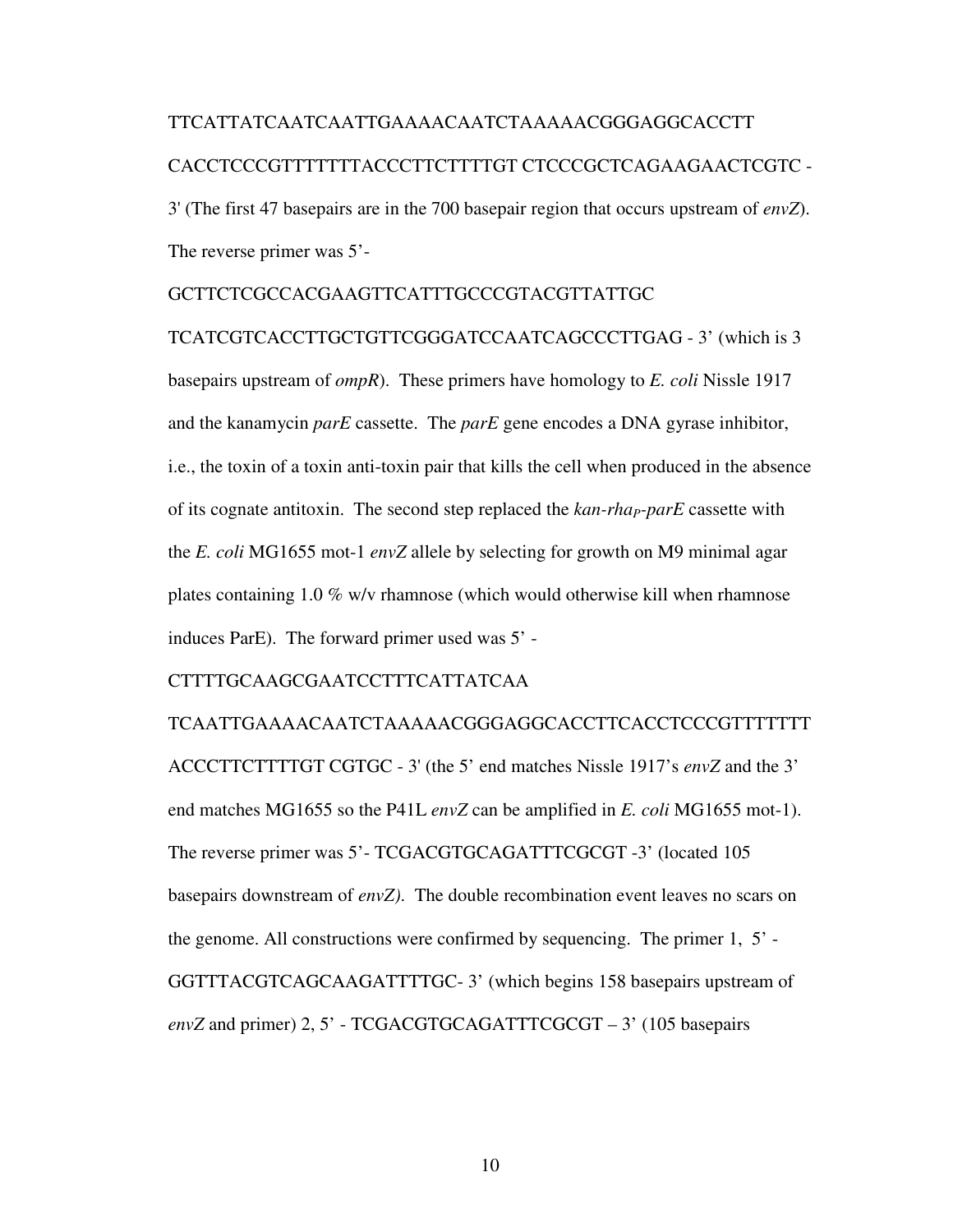# TTCATTATCAATCAATTGAAAACAATCTAAAAACGGGAGGCACCTT CACCTCCCGTTTTTTTACCCTTCTTTTGT CTCCCGCTCAGAAGAACTCGTC - 3' (The first 47 basepairs are in the 700 basepair region that occurs upstream of *envZ*). The reverse primer was 5'-

### GCTTCTCGCCACGAAGTTCATTTGCCCGTACGTTATTGC

TCATCGTCACCTTGCTGTTCGGGATCCAATCAGCCCTTGAG - 3' (which is 3 basepairs upstream of *ompR*). These primers have homology to *E. coli* Nissle 1917 and the kanamycin *parE* cassette. The *parE* gene encodes a DNA gyrase inhibitor, i.e., the toxin of a toxin anti-toxin pair that kills the cell when produced in the absence of its cognate antitoxin. The second step replaced the *kan-rhaP-parE* cassette with the *E. coli* MG1655 mot-1 *envZ* allele by selecting for growth on M9 minimal agar plates containing 1.0 % w/v rhamnose (which would otherwise kill when rhamnose induces ParE). The forward primer used was 5' -

### CTTTTGCAAGCGAATCCTTTCATTATCAA

TCAATTGAAAACAATCTAAAAACGGGAGGCACCTTCACCTCCCGTTTTTTT ACCCTTCTTTTGT CGTGC - 3' (the 5' end matches Nissle 1917's *envZ* and the 3' end matches MG1655 so the P41L *envZ* can be amplified in *E. coli* MG1655 mot-1). The reverse primer was 5'- TCGACGTGCAGATTTCGCGT -3' (located 105 basepairs downstream of *envZ)*. The double recombination event leaves no scars on the genome. All constructions were confirmed by sequencing. The primer 1, 5' - GGTTTACGTCAGCAAGATTTTGC- 3' (which begins 158 basepairs upstream of *envZ* and primer) 2, 5' - TCGACGTGCAGATTTCGCGT – 3' (105 basepairs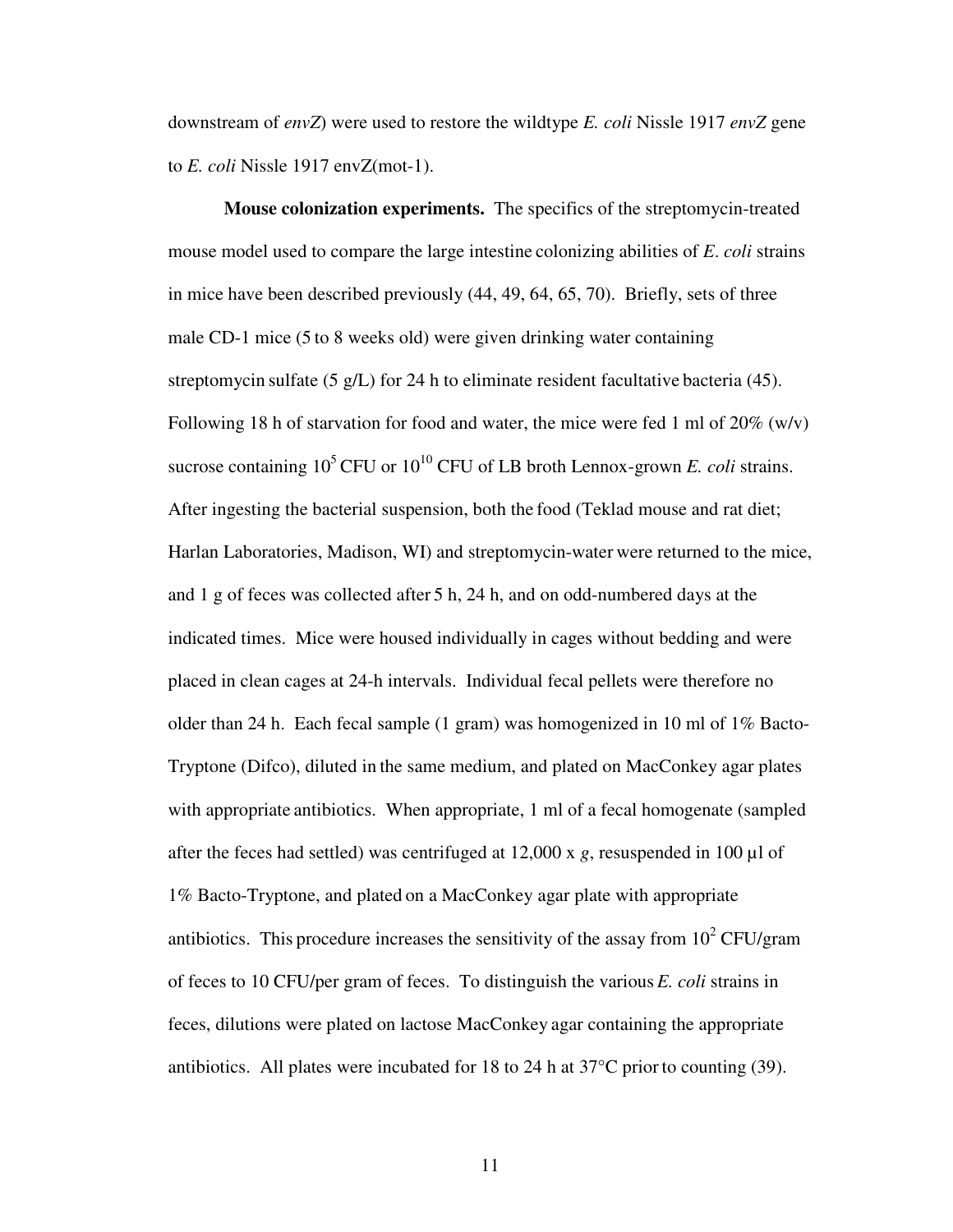downstream of *envZ*) were used to restore the wildtype *E. coli* Nissle 1917 *envZ* gene to *E. coli* Nissle 1917 envZ(mot-1).

 **Mouse colonization experiments.** The specifics of the streptomycin-treated mouse model used to compare the large intestine colonizing abilities of *E*. *coli* strains in mice have been described previously (44, 49, 64, 65, 70). Briefly, sets of three male CD-1 mice (5 to 8 weeks old) were given drinking water containing streptomycin sulfate (5 g/L) for 24 h to eliminate resident facultative bacteria (45). Following 18 h of starvation for food and water, the mice were fed 1 ml of  $20\%$  (w/v) sucrose containing  $10^5$  CFU or  $10^{10}$  CFU of LB broth Lennox-grown *E. coli* strains. After ingesting the bacterial suspension, both the food (Teklad mouse and rat diet; Harlan Laboratories, Madison, WI) and streptomycin-water were returned to the mice, and 1 g of feces was collected after 5 h, 24 h, and on odd-numbered days at the indicated times. Mice were housed individually in cages without bedding and were placed in clean cages at 24-h intervals. Individual fecal pellets were therefore no older than 24 h. Each fecal sample (1 gram) was homogenized in 10 ml of 1% Bacto-Tryptone (Difco), diluted in the same medium, and plated on MacConkey agar plates with appropriate antibiotics. When appropriate, 1 ml of a fecal homogenate (sampled after the feces had settled) was centrifuged at 12,000 x *g*, resuspended in 100 µl of 1% Bacto-Tryptone, and plated on a MacConkey agar plate with appropriate antibiotics. This procedure increases the sensitivity of the assay from  $10^2$  CFU/gram of feces to 10 CFU/per gram of feces. To distinguish the various *E. coli* strains in feces, dilutions were plated on lactose MacConkey agar containing the appropriate antibiotics. All plates were incubated for 18 to 24 h at 37°C prior to counting (39).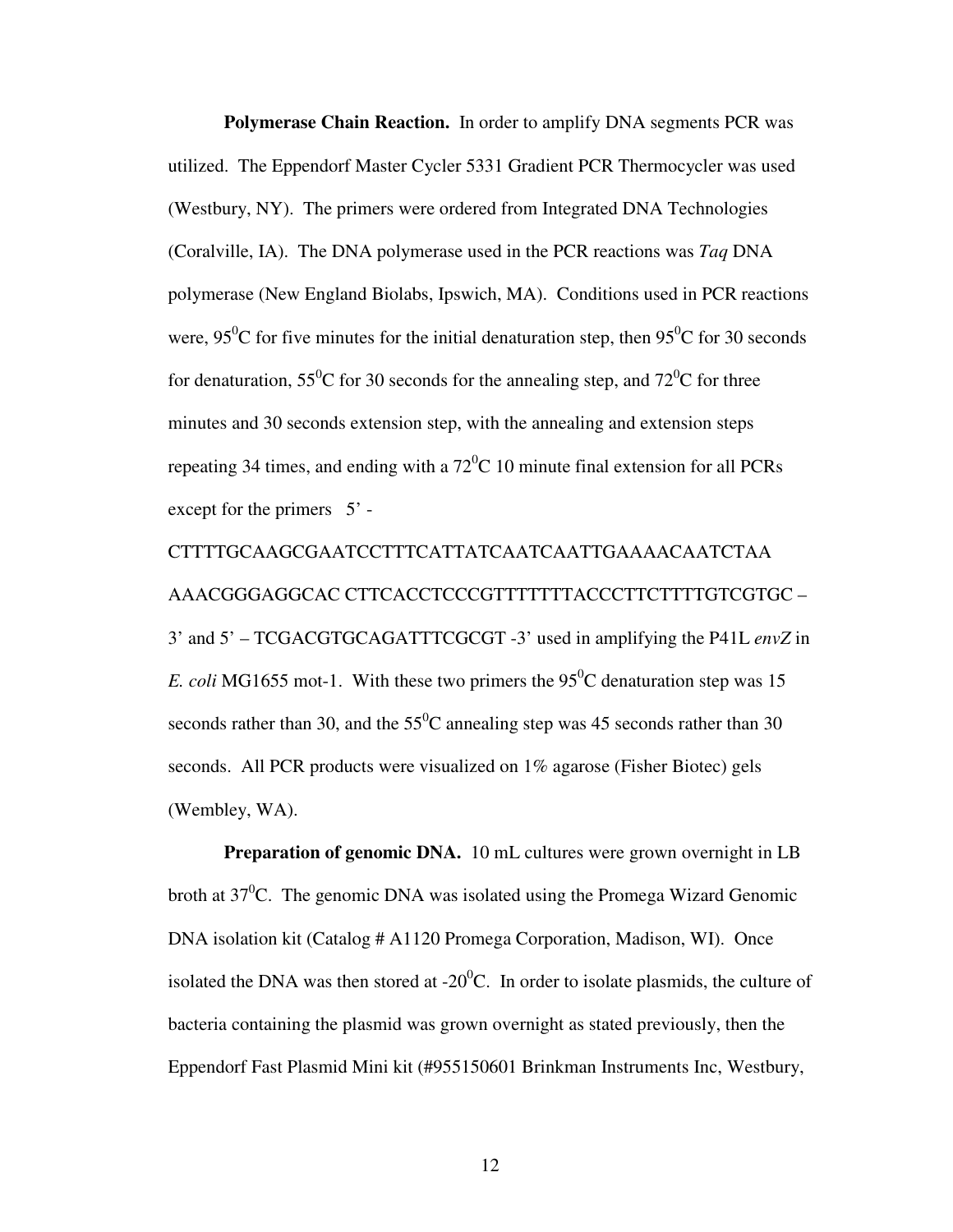**Polymerase Chain Reaction.** In order to amplify DNA segments PCR was utilized. The Eppendorf Master Cycler 5331 Gradient PCR Thermocycler was used (Westbury, NY). The primers were ordered from Integrated DNA Technologies (Coralville, IA). The DNA polymerase used in the PCR reactions was *Taq* DNA polymerase (New England Biolabs, Ipswich, MA). Conditions used in PCR reactions were, 95<sup>0</sup>C for five minutes for the initial denaturation step, then 95<sup>0</sup>C for 30 seconds for denaturation,  $55^{\circ}$ C for 30 seconds for the annealing step, and  $72^{\circ}$ C for three minutes and 30 seconds extension step, with the annealing and extension steps repeating 34 times, and ending with a  $72^{\circ}$ C 10 minute final extension for all PCRs except for the primers  $5'$  -

CTTTTGCAAGCGAATCCTTTCATTATCAATCAATTGAAAACAATCTAA AAACGGGAGGCAC CTTCACCTCCCGTTTTTTTACCCTTCTTTTGTCGTGC – 3' and 5' – TCGACGTGCAGATTTCGCGT -3' used in amplifying the P41L *envZ* in *E. coli* MG1655 mot-1. With these two primers the  $95^{\circ}$ C denaturation step was 15 seconds rather than 30, and the  $55^{\circ}$ C annealing step was 45 seconds rather than 30 seconds. All PCR products were visualized on 1% agarose (Fisher Biotec) gels (Wembley, WA).

**Preparation of genomic DNA.** 10 mL cultures were grown overnight in LB broth at  $37^0$ C. The genomic DNA was isolated using the Promega Wizard Genomic DNA isolation kit (Catalog # A1120 Promega Corporation, Madison, WI). Once isolated the DNA was then stored at  $-20^{\circ}$ C. In order to isolate plasmids, the culture of bacteria containing the plasmid was grown overnight as stated previously, then the Eppendorf Fast Plasmid Mini kit (#955150601 Brinkman Instruments Inc, Westbury,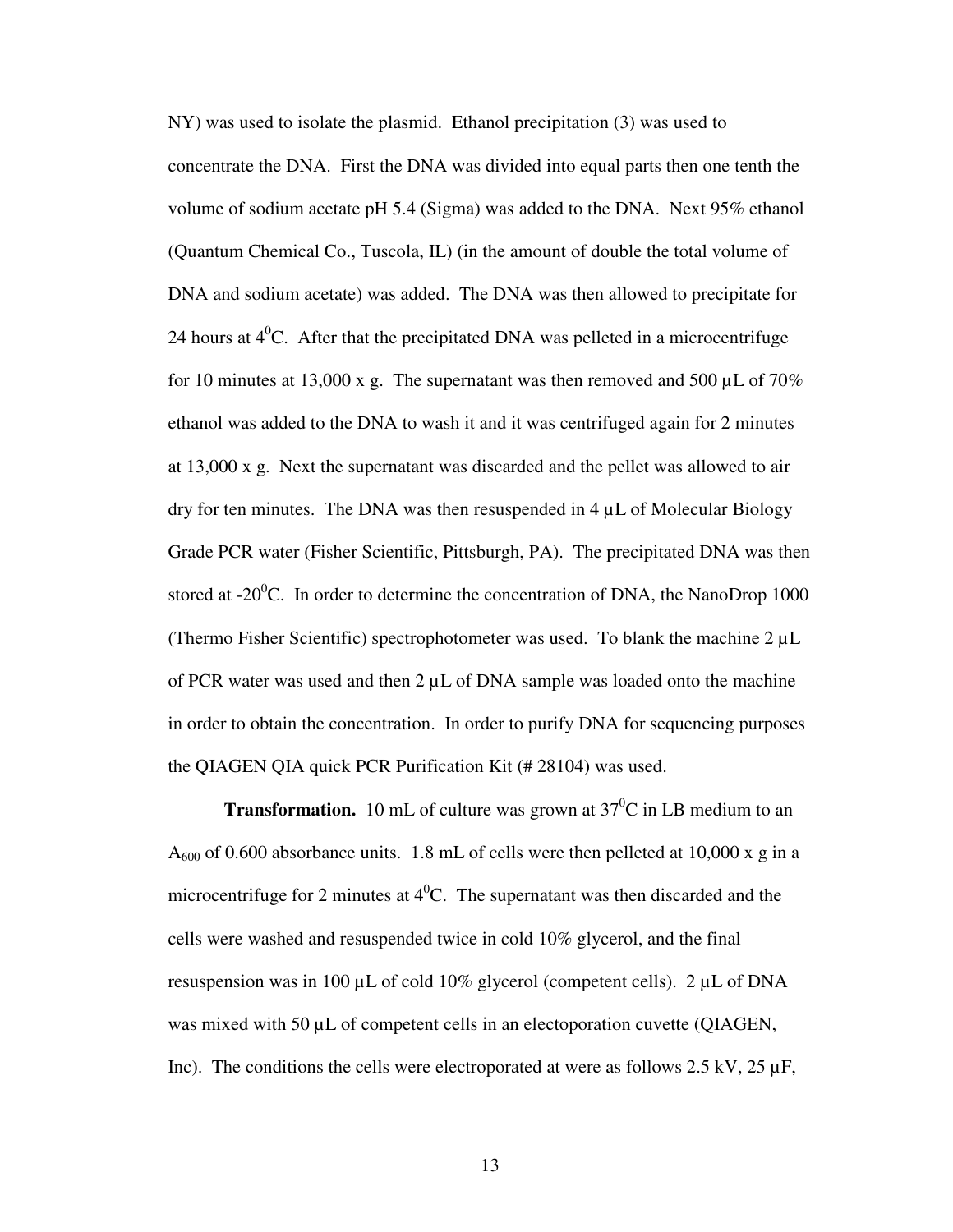NY) was used to isolate the plasmid. Ethanol precipitation (3) was used to concentrate the DNA. First the DNA was divided into equal parts then one tenth the volume of sodium acetate pH 5.4 (Sigma) was added to the DNA. Next 95% ethanol (Quantum Chemical Co., Tuscola, IL) (in the amount of double the total volume of DNA and sodium acetate) was added. The DNA was then allowed to precipitate for 24 hours at  $4^0$ C. After that the precipitated DNA was pelleted in a microcentrifuge for 10 minutes at 13,000 x g. The supernatant was then removed and 500  $\mu$ L of 70% ethanol was added to the DNA to wash it and it was centrifuged again for 2 minutes at 13,000 x g. Next the supernatant was discarded and the pellet was allowed to air dry for ten minutes. The DNA was then resuspended in  $4 \mu L$  of Molecular Biology Grade PCR water (Fisher Scientific, Pittsburgh, PA). The precipitated DNA was then stored at  $-20^{\circ}$ C. In order to determine the concentration of DNA, the NanoDrop 1000 (Thermo Fisher Scientific) spectrophotometer was used. To blank the machine 2 µL of PCR water was used and then  $2 \mu L$  of DNA sample was loaded onto the machine in order to obtain the concentration. In order to purify DNA for sequencing purposes the QIAGEN QIA quick PCR Purification Kit (# 28104) was used.

**Transformation.** 10 mL of culture was grown at  $37^{\circ}$ C in LB medium to an  $A_{600}$  of 0.600 absorbance units. 1.8 mL of cells were then pelleted at 10,000 x g in a microcentrifuge for 2 minutes at  $4^{\circ}$ C. The supernatant was then discarded and the cells were washed and resuspended twice in cold 10% glycerol, and the final resuspension was in 100  $\mu$ L of cold 10% glycerol (competent cells). 2  $\mu$ L of DNA was mixed with 50  $\mu$ L of competent cells in an electoporation cuvette (QIAGEN, Inc). The conditions the cells were electroporated at were as follows 2.5 kV, 25  $\mu$ F,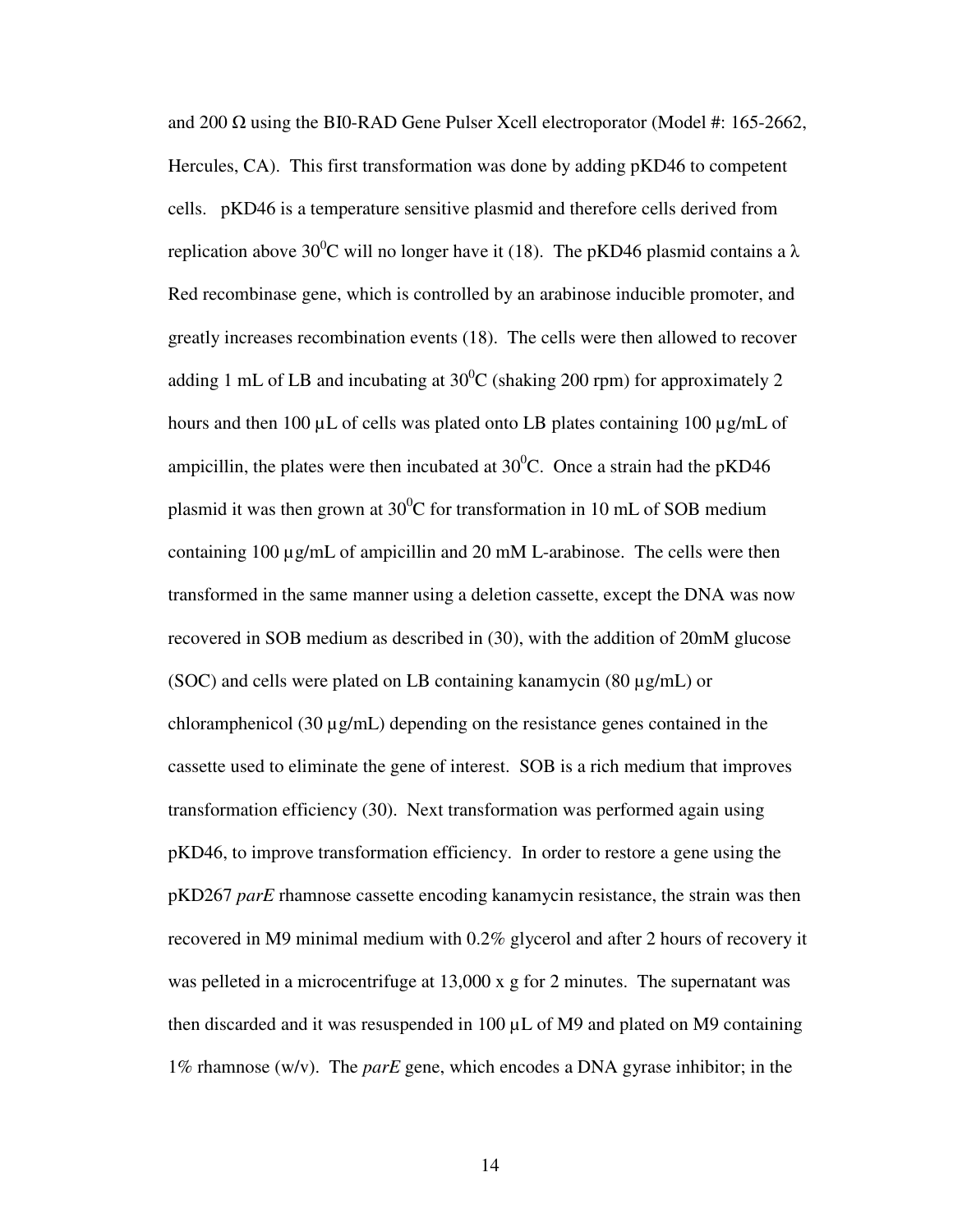and 200  $\Omega$  using the BI0-RAD Gene Pulser Xcell electroporator (Model #: 165-2662, Hercules, CA). This first transformation was done by adding pKD46 to competent cells. pKD46 is a temperature sensitive plasmid and therefore cells derived from replication above 30<sup>o</sup>C will no longer have it (18). The pKD46 plasmid contains a  $\lambda$ Red recombinase gene, which is controlled by an arabinose inducible promoter, and greatly increases recombination events (18). The cells were then allowed to recover adding 1 mL of LB and incubating at  $30^{\circ}$ C (shaking 200 rpm) for approximately 2 hours and then 100 µL of cells was plated onto LB plates containing 100 µg/mL of ampicillin, the plates were then incubated at  $30^{\circ}$ C. Once a strain had the pKD46 plasmid it was then grown at  $30^0C$  for transformation in 10 mL of SOB medium containing 100 µg/mL of ampicillin and 20 mM L-arabinose. The cells were then transformed in the same manner using a deletion cassette, except the DNA was now recovered in SOB medium as described in (30), with the addition of 20mM glucose (SOC) and cells were plated on LB containing kanamycin (80  $\mu$ g/mL) or chloramphenicol (30  $\mu$ g/mL) depending on the resistance genes contained in the cassette used to eliminate the gene of interest. SOB is a rich medium that improves transformation efficiency (30). Next transformation was performed again using pKD46, to improve transformation efficiency. In order to restore a gene using the pKD267 *parE* rhamnose cassette encoding kanamycin resistance, the strain was then recovered in M9 minimal medium with 0.2% glycerol and after 2 hours of recovery it was pelleted in a microcentrifuge at 13,000 x g for 2 minutes. The supernatant was then discarded and it was resuspended in 100 µL of M9 and plated on M9 containing 1% rhamnose (w/v). The *parE* gene, which encodes a DNA gyrase inhibitor; in the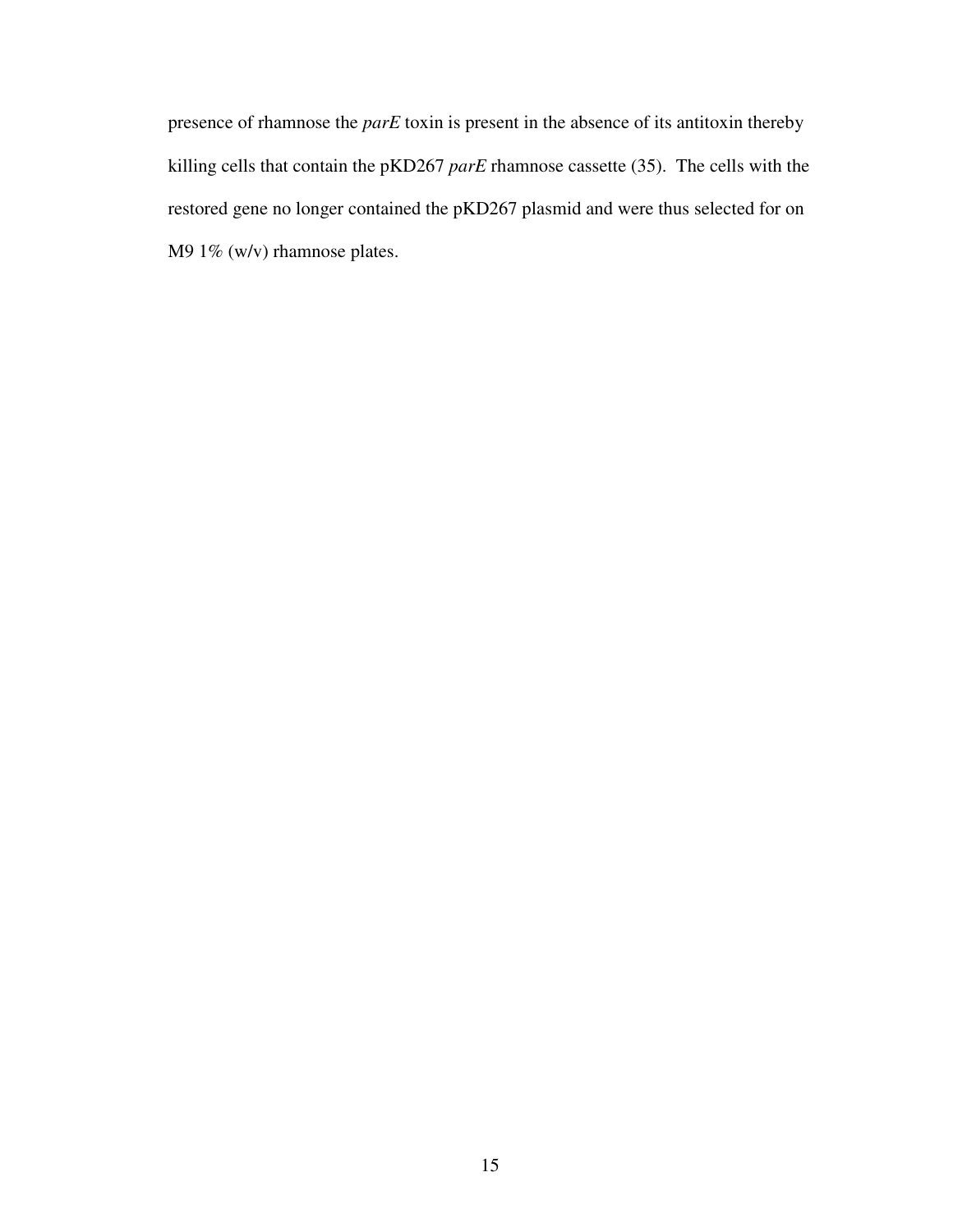presence of rhamnose the *parE* toxin is present in the absence of its antitoxin thereby killing cells that contain the pKD267 *parE* rhamnose cassette (35). The cells with the restored gene no longer contained the pKD267 plasmid and were thus selected for on M9 1% (w/v) rhamnose plates.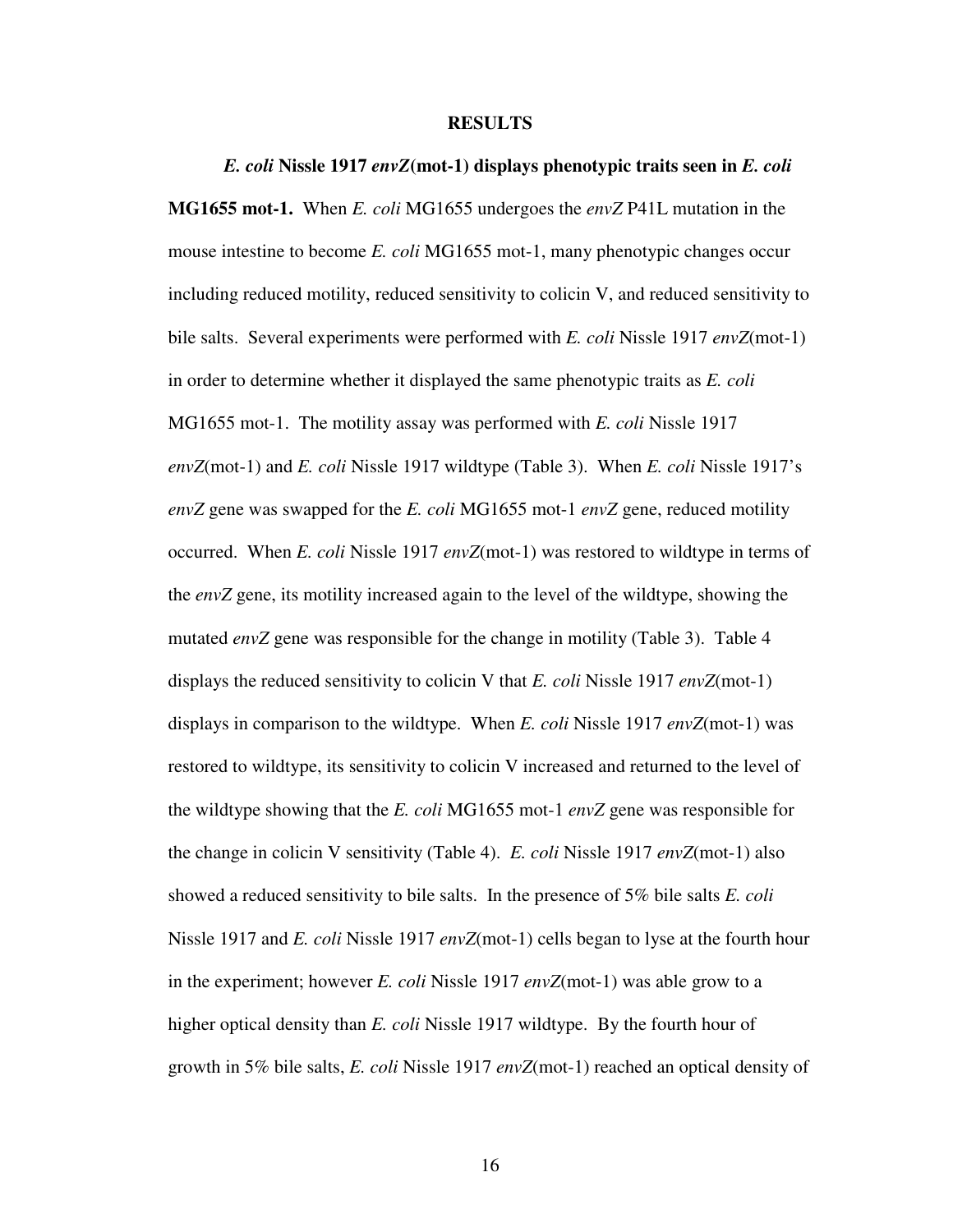#### **RESULTS**

*E. coli* **Nissle 1917** *envZ***(mot-1) displays phenotypic traits seen in** *E. coli*  **MG1655 mot-1.** When *E. coli* MG1655 undergoes the *envZ* P41L mutation in the mouse intestine to become *E. coli* MG1655 mot-1, many phenotypic changes occur including reduced motility, reduced sensitivity to colicin V, and reduced sensitivity to bile salts. Several experiments were performed with *E. coli* Nissle 1917 *envZ*(mot-1) in order to determine whether it displayed the same phenotypic traits as *E. coli* MG1655 mot-1. The motility assay was performed with *E. coli* Nissle 1917 *envZ*(mot-1) and *E. coli* Nissle 1917 wildtype (Table 3). When *E. coli* Nissle 1917's *envZ* gene was swapped for the *E. coli* MG1655 mot-1 *envZ* gene, reduced motility occurred. When *E. coli* Nissle 1917 *envZ*(mot-1) was restored to wildtype in terms of the *envZ* gene, its motility increased again to the level of the wildtype, showing the mutated *envZ* gene was responsible for the change in motility (Table 3). Table 4 displays the reduced sensitivity to colicin V that *E. coli* Nissle 1917 *envZ*(mot-1) displays in comparison to the wildtype. When *E. coli* Nissle 1917 *envZ*(mot-1) was restored to wildtype, its sensitivity to colicin V increased and returned to the level of the wildtype showing that the *E. coli* MG1655 mot-1 *envZ* gene was responsible for the change in colicin V sensitivity (Table 4). *E. coli* Nissle 1917 *envZ*(mot-1) also showed a reduced sensitivity to bile salts. In the presence of 5% bile salts *E. coli*  Nissle 1917 and *E. coli* Nissle 1917 *envZ*(mot-1) cells began to lyse at the fourth hour in the experiment; however *E. coli* Nissle 1917 *envZ*(mot-1) was able grow to a higher optical density than *E. coli* Nissle 1917 wildtype. By the fourth hour of growth in 5% bile salts, *E. coli* Nissle 1917 *envZ*(mot-1) reached an optical density of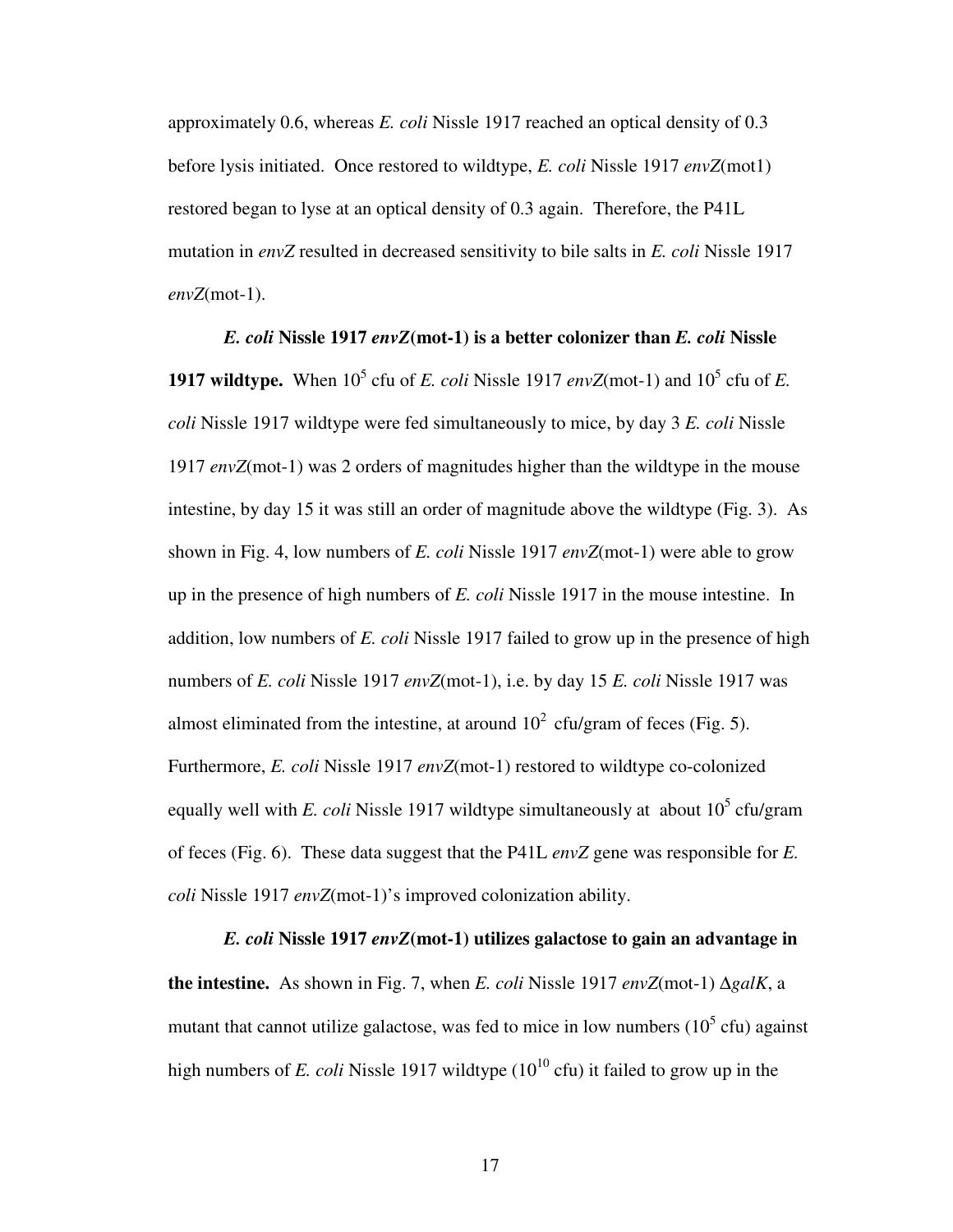approximately 0.6, whereas *E. coli* Nissle 1917 reached an optical density of 0.3 before lysis initiated. Once restored to wildtype, *E. coli* Nissle 1917 *envZ*(mot1) restored began to lyse at an optical density of 0.3 again. Therefore, the P41L mutation in *envZ* resulted in decreased sensitivity to bile salts in *E. coli* Nissle 1917 *envZ*(mot-1).

*E. coli* **Nissle 1917** *envZ***(mot-1) is a better colonizer than** *E. coli* **Nissle 1917 wildtype.** When  $10^5$  cfu of *E. coli* Nissle 1917 *envZ*(mot-1) and  $10^5$  cfu of *E. coli* Nissle 1917 wildtype were fed simultaneously to mice, by day 3 *E. coli* Nissle 1917 *envZ*(mot-1) was 2 orders of magnitudes higher than the wildtype in the mouse intestine, by day 15 it was still an order of magnitude above the wildtype (Fig. 3). As shown in Fig. 4, low numbers of *E. coli* Nissle 1917 *envZ*(mot-1) were able to grow up in the presence of high numbers of *E. coli* Nissle 1917 in the mouse intestine. In addition, low numbers of *E. coli* Nissle 1917 failed to grow up in the presence of high numbers of *E. coli* Nissle 1917 *envZ*(mot-1), i.e. by day 15 *E. coli* Nissle 1917 was almost eliminated from the intestine, at around  $10^2$  cfu/gram of feces (Fig. 5). Furthermore, *E. coli* Nissle 1917 *envZ*(mot-1) restored to wildtype co-colonized equally well with *E. coli* Nissle 1917 wildtype simultaneously at about  $10^5$  cfu/gram of feces (Fig. 6). These data suggest that the P41L *envZ* gene was responsible for *E. coli* Nissle 1917 *envZ*(mot-1)'s improved colonization ability.

*E. coli* **Nissle 1917** *envZ***(mot-1) utilizes galactose to gain an advantage in the intestine.** As shown in Fig. 7, when *E. coli* Nissle 1917 *envZ*(mot-1) ∆*galK*, a mutant that cannot utilize galactose, was fed to mice in low numbers  $(10<sup>5</sup>$  cfu) against high numbers of *E. coli* Nissle 1917 wildtype  $(10^{10} \text{ cft})$  it failed to grow up in the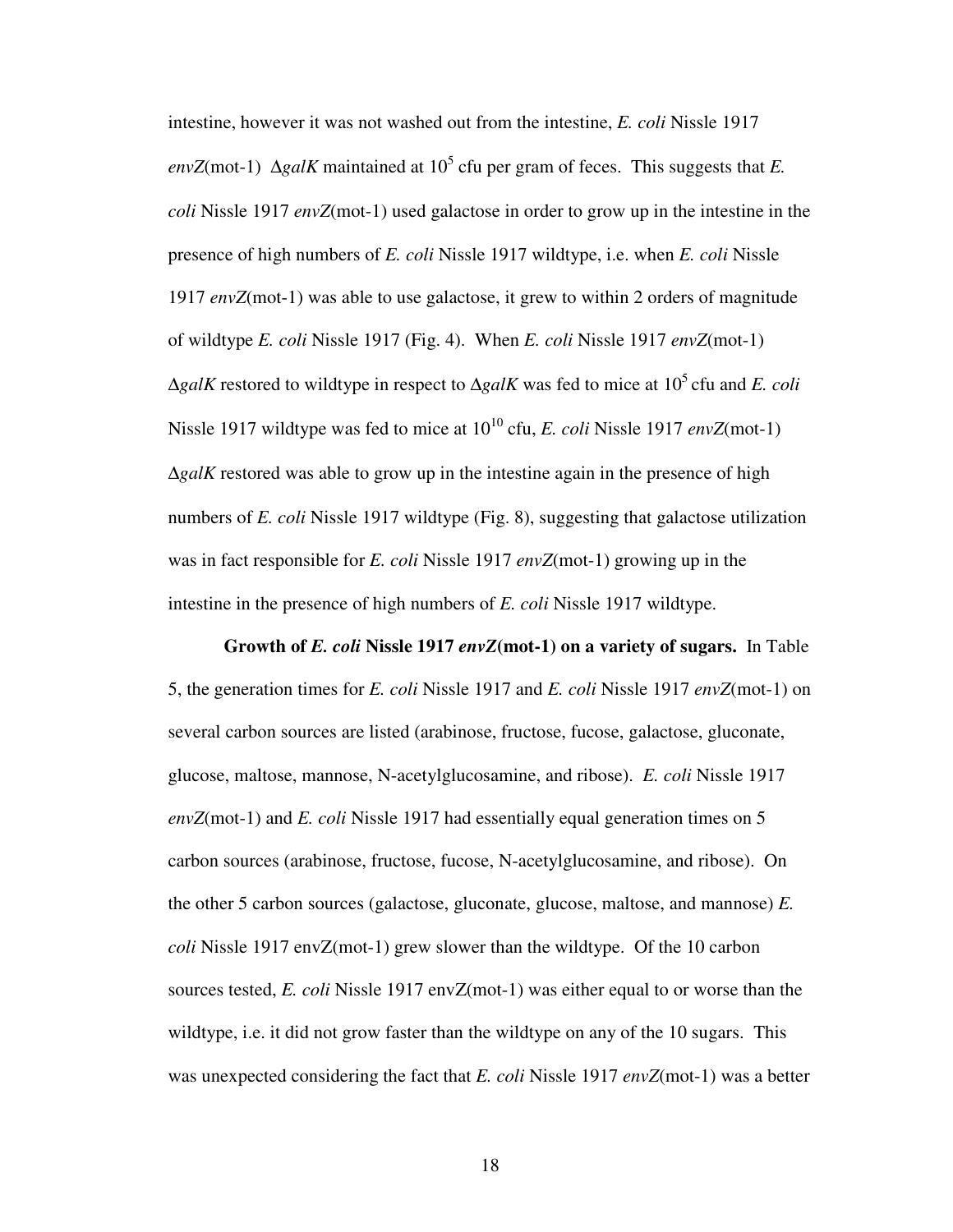intestine, however it was not washed out from the intestine, *E. coli* Nissle 1917  $envZ$ (mot-1)  $\Delta galK$  maintained at 10<sup>5</sup> cfu per gram of feces. This suggests that *E*. *coli* Nissle 1917 *envZ*(mot-1) used galactose in order to grow up in the intestine in the presence of high numbers of *E. coli* Nissle 1917 wildtype, i.e. when *E. coli* Nissle 1917 *envZ*(mot-1) was able to use galactose, it grew to within 2 orders of magnitude of wildtype *E. coli* Nissle 1917 (Fig. 4). When *E. coli* Nissle 1917 *envZ*(mot-1)  $\Delta galK$  restored to wildtype in respect to  $\Delta galK$  was fed to mice at 10<sup>5</sup>cfu and *E. coli* Nissle 1917 wildtype was fed to mice at 10<sup>10</sup> cfu, *E. coli* Nissle 1917 *envZ*(mot-1) ∆*galK* restored was able to grow up in the intestine again in the presence of high numbers of *E. coli* Nissle 1917 wildtype (Fig. 8), suggesting that galactose utilization was in fact responsible for *E. coli* Nissle 1917 *envZ*(mot-1) growing up in the intestine in the presence of high numbers of *E. coli* Nissle 1917 wildtype.

**Growth of** *E. coli* **Nissle 1917** *envZ***(mot-1) on a variety of sugars.** In Table 5, the generation times for *E. coli* Nissle 1917 and *E. coli* Nissle 1917 *envZ*(mot-1) on several carbon sources are listed (arabinose, fructose, fucose, galactose, gluconate, glucose, maltose, mannose, N-acetylglucosamine, and ribose). *E. coli* Nissle 1917 *envZ*(mot-1) and *E. coli* Nissle 1917 had essentially equal generation times on 5 carbon sources (arabinose, fructose, fucose, N-acetylglucosamine, and ribose). On the other 5 carbon sources (galactose, gluconate, glucose, maltose, and mannose) *E. coli* Nissle 1917 envZ(mot-1) grew slower than the wildtype. Of the 10 carbon sources tested, *E. coli* Nissle 1917 envZ(mot-1) was either equal to or worse than the wildtype, i.e. it did not grow faster than the wildtype on any of the 10 sugars. This was unexpected considering the fact that *E. coli* Nissle 1917 *envZ*(mot-1) was a better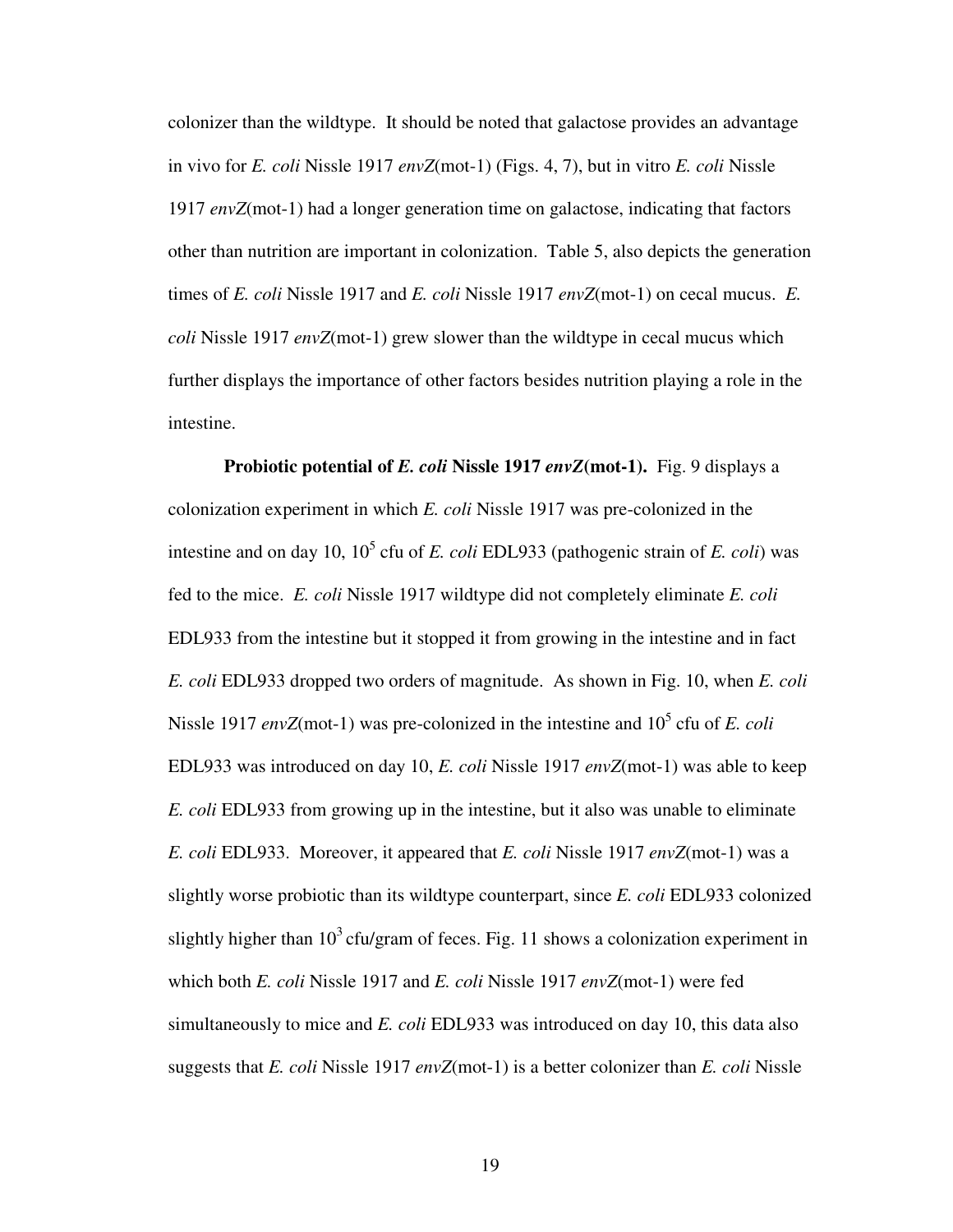colonizer than the wildtype. It should be noted that galactose provides an advantage in vivo for *E. coli* Nissle 1917 *envZ*(mot-1) (Figs. 4, 7), but in vitro *E. coli* Nissle 1917 *envZ*(mot-1) had a longer generation time on galactose, indicating that factors other than nutrition are important in colonization. Table 5, also depicts the generation times of *E. coli* Nissle 1917 and *E. coli* Nissle 1917 *envZ*(mot-1) on cecal mucus. *E. coli* Nissle 1917 *envZ*(mot-1) grew slower than the wildtype in cecal mucus which further displays the importance of other factors besides nutrition playing a role in the intestine.

**Probiotic potential of** *E. coli* **Nissle 1917** *envZ***(mot-1).** Fig. 9 displays a colonization experiment in which *E. coli* Nissle 1917 was pre-colonized in the intestine and on day 10,  $10^5$  cfu of *E. coli* EDL933 (pathogenic strain of *E. coli*) was fed to the mice. *E. coli* Nissle 1917 wildtype did not completely eliminate *E. coli* EDL933 from the intestine but it stopped it from growing in the intestine and in fact *E. coli* EDL933 dropped two orders of magnitude. As shown in Fig. 10, when *E. coli*  Nissle 1917 *envZ*(mot-1) was pre-colonized in the intestine and 10<sup>5</sup> cfu of *E. coli* EDL933 was introduced on day 10, *E. coli* Nissle 1917 *envZ*(mot-1) was able to keep *E. coli* EDL933 from growing up in the intestine, but it also was unable to eliminate *E. coli* EDL933. Moreover, it appeared that *E. coli* Nissle 1917 *envZ*(mot-1) was a slightly worse probiotic than its wildtype counterpart, since *E. coli* EDL933 colonized slightly higher than  $10^3$  cfu/gram of feces. Fig. 11 shows a colonization experiment in which both *E. coli* Nissle 1917 and *E. coli* Nissle 1917 *envZ*(mot-1) were fed simultaneously to mice and *E. coli* EDL933 was introduced on day 10, this data also suggests that *E. coli* Nissle 1917 *envZ*(mot-1) is a better colonizer than *E. coli* Nissle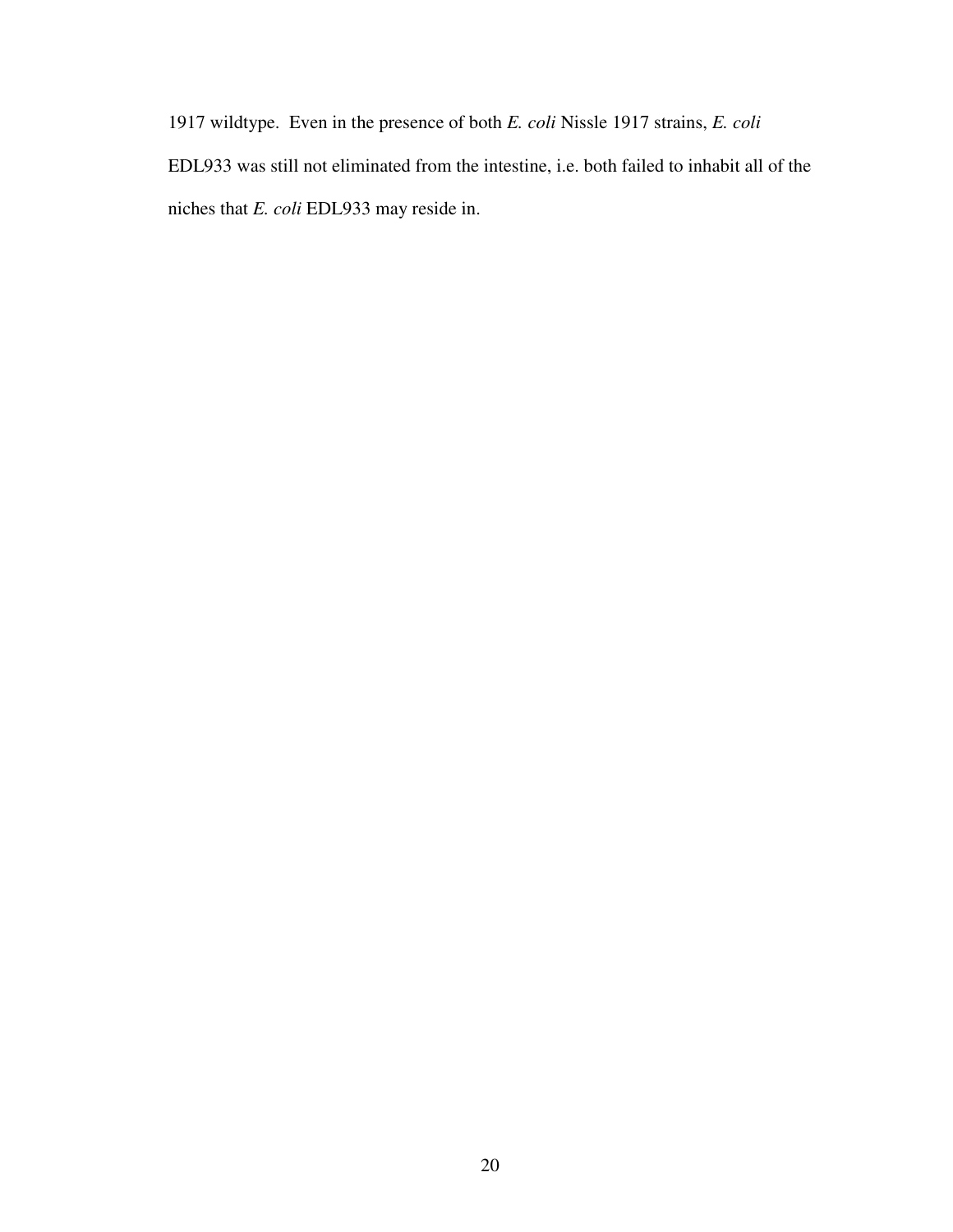1917 wildtype. Even in the presence of both *E. coli* Nissle 1917 strains, *E. coli* 

EDL933 was still not eliminated from the intestine, i.e. both failed to inhabit all of the niches that *E. coli* EDL933 may reside in.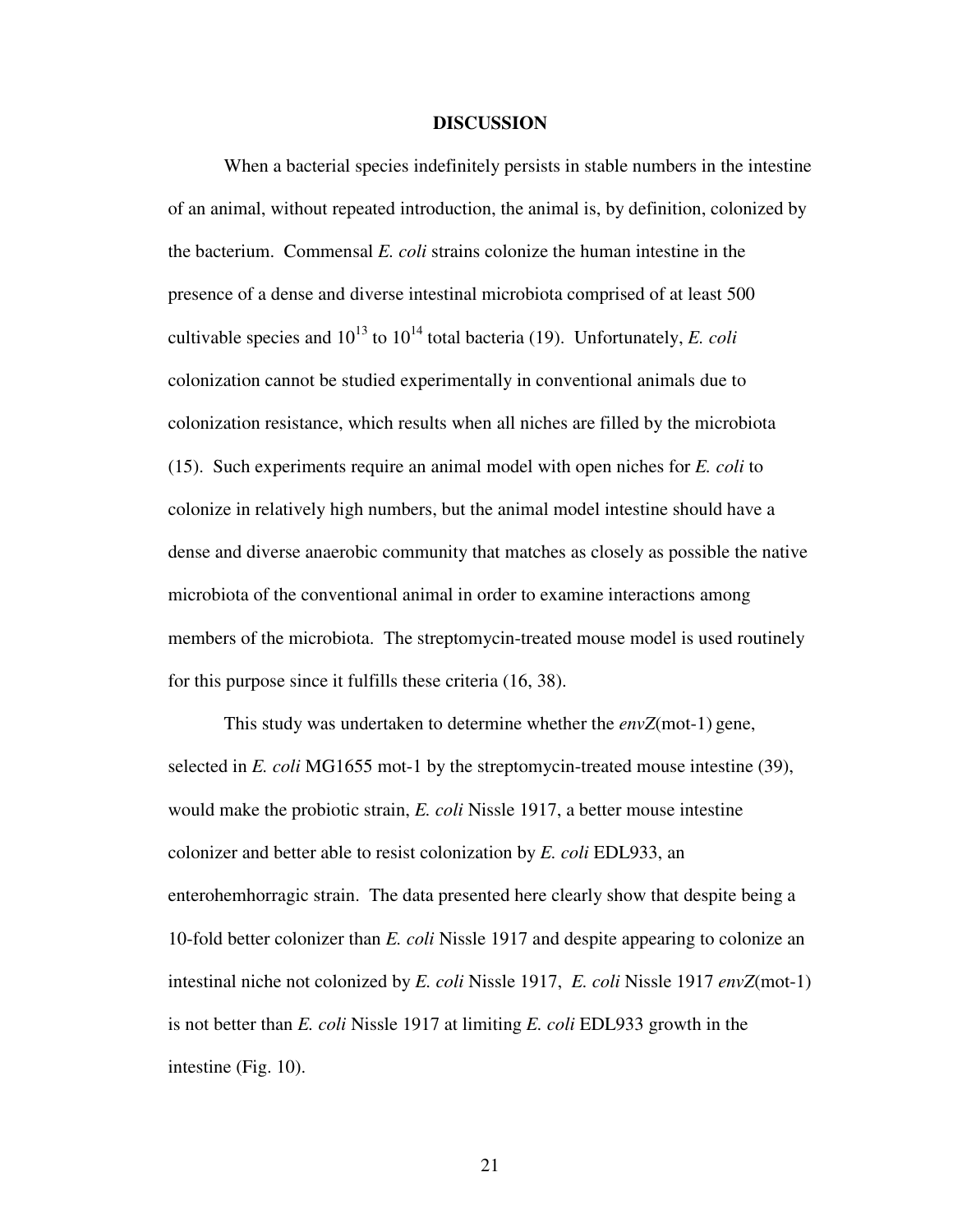### **DISCUSSION**

When a bacterial species indefinitely persists in stable numbers in the intestine of an animal, without repeated introduction, the animal is, by definition, colonized by the bacterium. Commensal *E. coli* strains colonize the human intestine in the presence of a dense and diverse intestinal microbiota comprised of at least 500 cultivable species and  $10^{13}$  to  $10^{14}$  total bacteria (19). Unfortunately, *E. coli* colonization cannot be studied experimentally in conventional animals due to colonization resistance, which results when all niches are filled by the microbiota (15). Such experiments require an animal model with open niches for *E. coli* to colonize in relatively high numbers, but the animal model intestine should have a dense and diverse anaerobic community that matches as closely as possible the native microbiota of the conventional animal in order to examine interactions among members of the microbiota. The streptomycin-treated mouse model is used routinely for this purpose since it fulfills these criteria (16, 38).

This study was undertaken to determine whether the *envZ*(mot-1) gene, selected in *E. coli* MG1655 mot-1 by the streptomycin-treated mouse intestine (39), would make the probiotic strain, *E. coli* Nissle 1917, a better mouse intestine colonizer and better able to resist colonization by *E. coli* EDL933, an enterohemhorragic strain. The data presented here clearly show that despite being a 10-fold better colonizer than *E. coli* Nissle 1917 and despite appearing to colonize an intestinal niche not colonized by *E. coli* Nissle 1917, *E. coli* Nissle 1917 *envZ*(mot-1) is not better than *E. coli* Nissle 1917 at limiting *E. coli* EDL933 growth in the intestine (Fig. 10).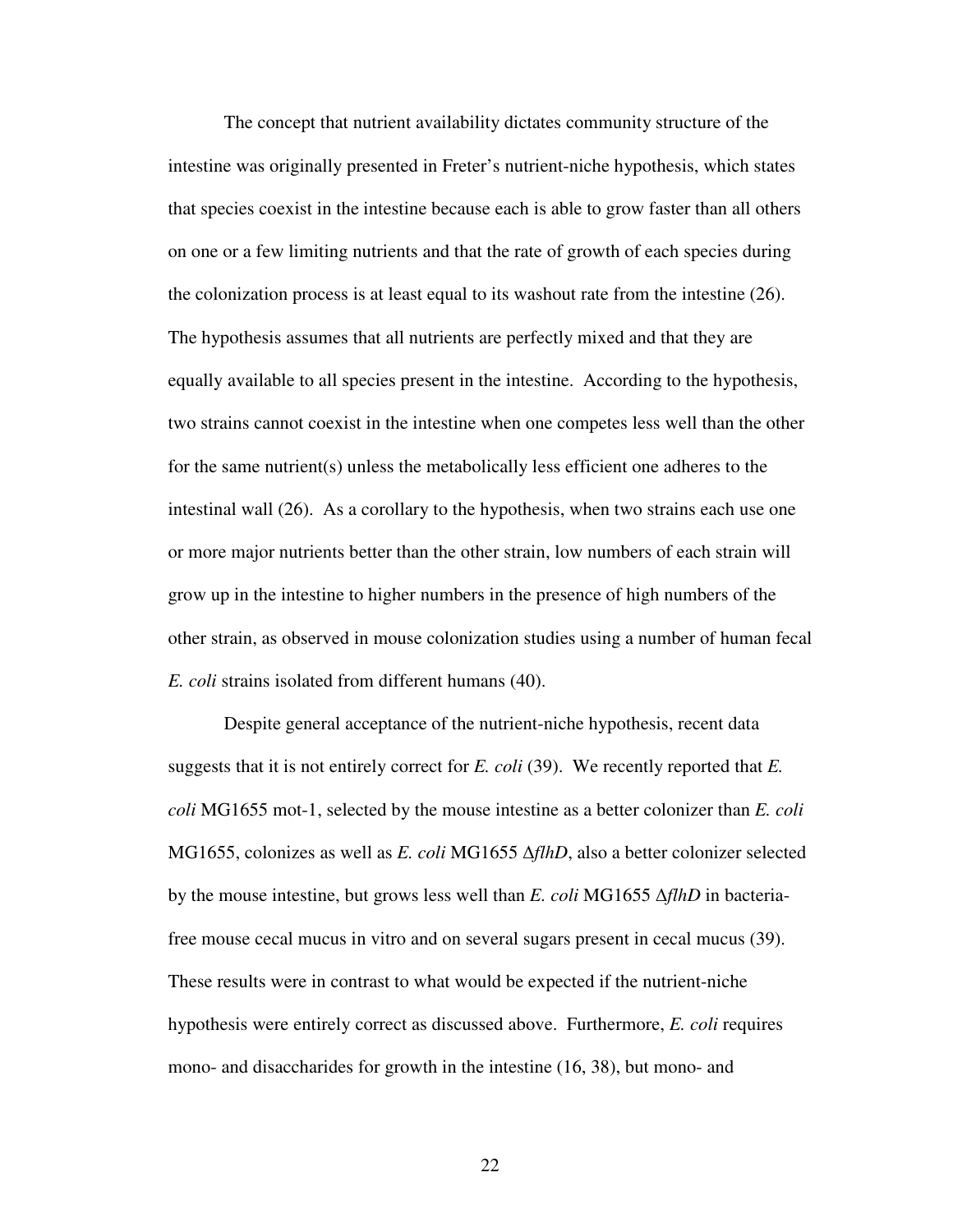The concept that nutrient availability dictates community structure of the intestine was originally presented in Freter's nutrient-niche hypothesis, which states that species coexist in the intestine because each is able to grow faster than all others on one or a few limiting nutrients and that the rate of growth of each species during the colonization process is at least equal to its washout rate from the intestine (26). The hypothesis assumes that all nutrients are perfectly mixed and that they are equally available to all species present in the intestine. According to the hypothesis, two strains cannot coexist in the intestine when one competes less well than the other for the same nutrient(s) unless the metabolically less efficient one adheres to the intestinal wall (26). As a corollary to the hypothesis, when two strains each use one or more major nutrients better than the other strain, low numbers of each strain will grow up in the intestine to higher numbers in the presence of high numbers of the other strain, as observed in mouse colonization studies using a number of human fecal *E. coli* strains isolated from different humans (40).

Despite general acceptance of the nutrient-niche hypothesis, recent data suggests that it is not entirely correct for *E. coli* (39). We recently reported that *E. coli* MG1655 mot-1, selected by the mouse intestine as a better colonizer than *E. coli*  MG1655, colonizes as well as *E. coli* MG1655 ∆*flhD*, also a better colonizer selected by the mouse intestine, but grows less well than *E. coli* MG1655 ∆*flhD* in bacteriafree mouse cecal mucus in vitro and on several sugars present in cecal mucus (39). These results were in contrast to what would be expected if the nutrient-niche hypothesis were entirely correct as discussed above. Furthermore, *E. coli* requires mono- and disaccharides for growth in the intestine (16, 38), but mono- and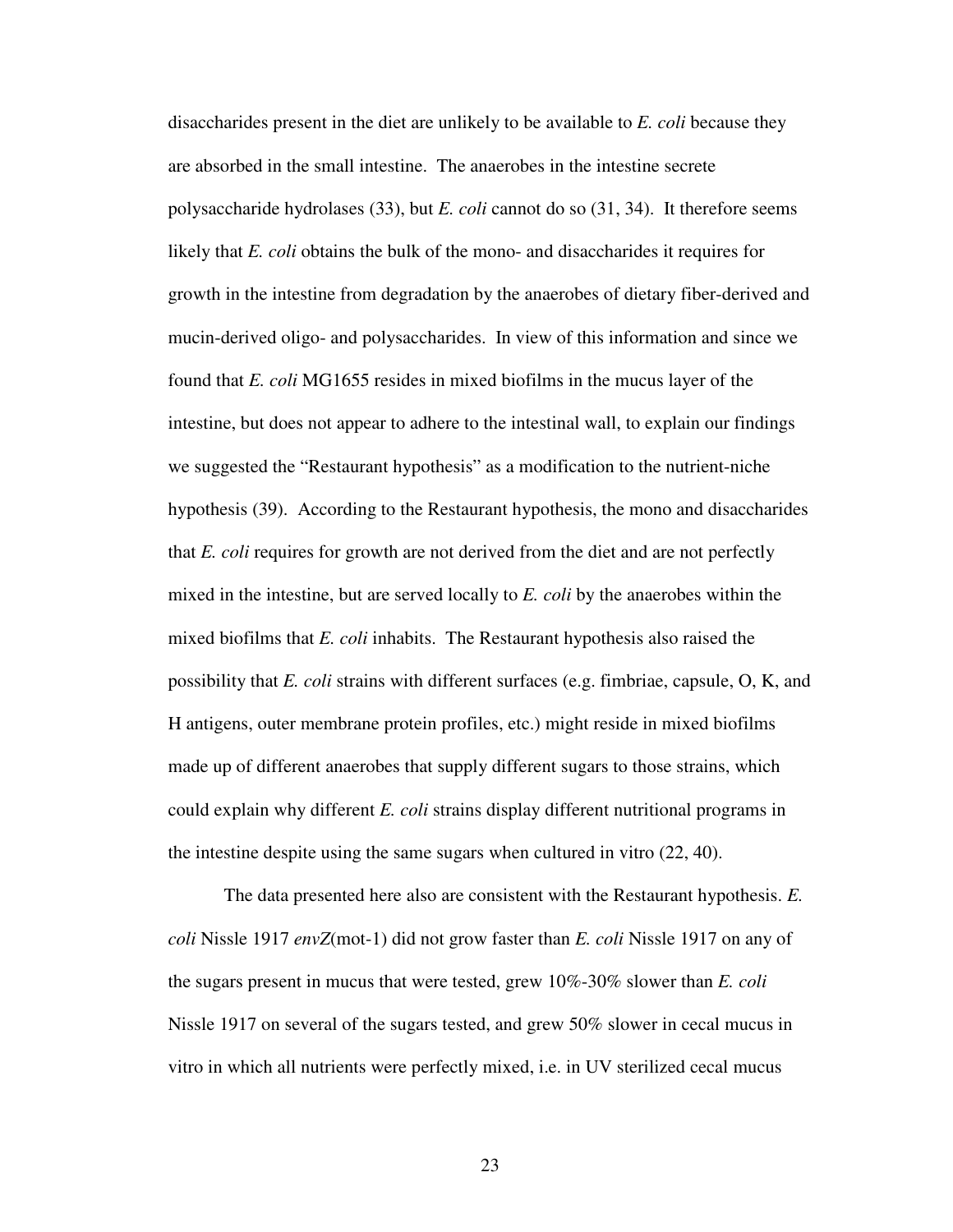disaccharides present in the diet are unlikely to be available to *E. coli* because they are absorbed in the small intestine. The anaerobes in the intestine secrete polysaccharide hydrolases (33), but *E. coli* cannot do so (31, 34). It therefore seems likely that *E. coli* obtains the bulk of the mono- and disaccharides it requires for growth in the intestine from degradation by the anaerobes of dietary fiber-derived and mucin-derived oligo- and polysaccharides. In view of this information and since we found that *E. coli* MG1655 resides in mixed biofilms in the mucus layer of the intestine, but does not appear to adhere to the intestinal wall, to explain our findings we suggested the "Restaurant hypothesis" as a modification to the nutrient-niche hypothesis (39). According to the Restaurant hypothesis, the mono and disaccharides that *E. coli* requires for growth are not derived from the diet and are not perfectly mixed in the intestine, but are served locally to *E. coli* by the anaerobes within the mixed biofilms that *E. coli* inhabits. The Restaurant hypothesis also raised the possibility that *E. coli* strains with different surfaces (e.g. fimbriae, capsule, O, K, and H antigens, outer membrane protein profiles, etc.) might reside in mixed biofilms made up of different anaerobes that supply different sugars to those strains, which could explain why different *E. coli* strains display different nutritional programs in the intestine despite using the same sugars when cultured in vitro (22, 40).

The data presented here also are consistent with the Restaurant hypothesis. *E. coli* Nissle 1917 *envZ*(mot-1) did not grow faster than *E. coli* Nissle 1917 on any of the sugars present in mucus that were tested, grew 10%-30% slower than *E. coli*  Nissle 1917 on several of the sugars tested, and grew 50% slower in cecal mucus in vitro in which all nutrients were perfectly mixed, i.e. in UV sterilized cecal mucus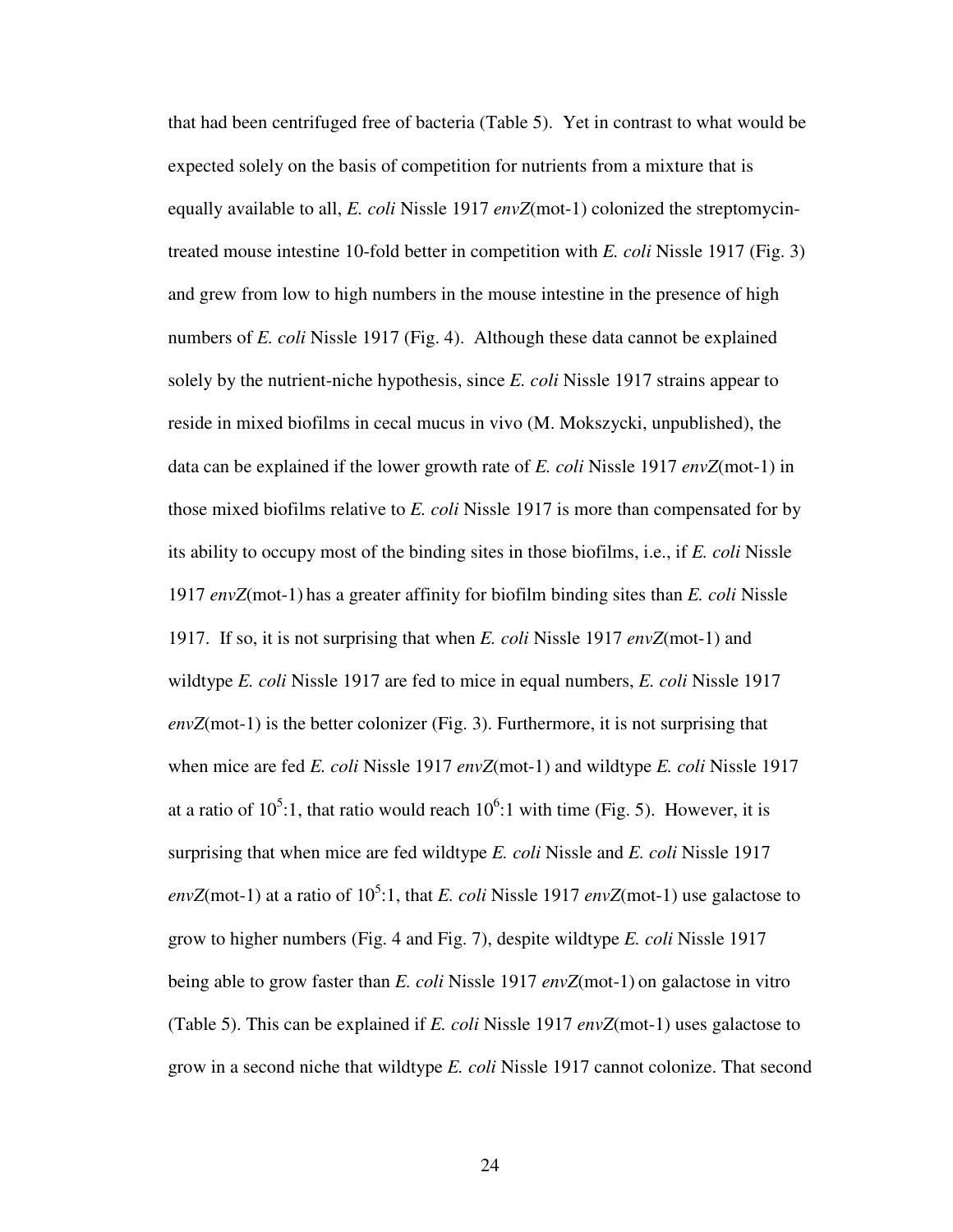that had been centrifuged free of bacteria (Table 5). Yet in contrast to what would be expected solely on the basis of competition for nutrients from a mixture that is equally available to all, *E. coli* Nissle 1917 *envZ*(mot-1) colonized the streptomycintreated mouse intestine 10-fold better in competition with *E. coli* Nissle 1917 (Fig. 3) and grew from low to high numbers in the mouse intestine in the presence of high numbers of *E. coli* Nissle 1917 (Fig. 4). Although these data cannot be explained solely by the nutrient-niche hypothesis, since *E. coli* Nissle 1917 strains appear to reside in mixed biofilms in cecal mucus in vivo (M. Mokszycki, unpublished), the data can be explained if the lower growth rate of *E. coli* Nissle 1917 *envZ*(mot-1) in those mixed biofilms relative to *E. coli* Nissle 1917 is more than compensated for by its ability to occupy most of the binding sites in those biofilms, i.e., if *E. coli* Nissle 1917 *envZ*(mot-1) has a greater affinity for biofilm binding sites than *E. coli* Nissle 1917. If so, it is not surprising that when *E. coli* Nissle 1917 *envZ*(mot-1) and wildtype *E. coli* Nissle 1917 are fed to mice in equal numbers, *E. coli* Nissle 1917 *envZ*(mot-1) is the better colonizer (Fig. 3). Furthermore, it is not surprising that when mice are fed *E. coli* Nissle 1917 *envZ*(mot-1) and wildtype *E. coli* Nissle 1917 at a ratio of  $10^5$ :1, that ratio would reach  $10^6$ :1 with time (Fig. 5). However, it is surprising that when mice are fed wildtype *E. coli* Nissle and *E. coli* Nissle 1917  $envZ$ (mot-1) at a ratio of  $10^5$ :1, that *E. coli* Nissle 1917 *envZ*(mot-1) use galactose to grow to higher numbers (Fig. 4 and Fig. 7), despite wildtype *E. coli* Nissle 1917 being able to grow faster than *E. coli* Nissle 1917 *envZ*(mot-1) on galactose in vitro (Table 5). This can be explained if *E. coli* Nissle 1917 *envZ*(mot-1) uses galactose to grow in a second niche that wildtype *E. coli* Nissle 1917 cannot colonize. That second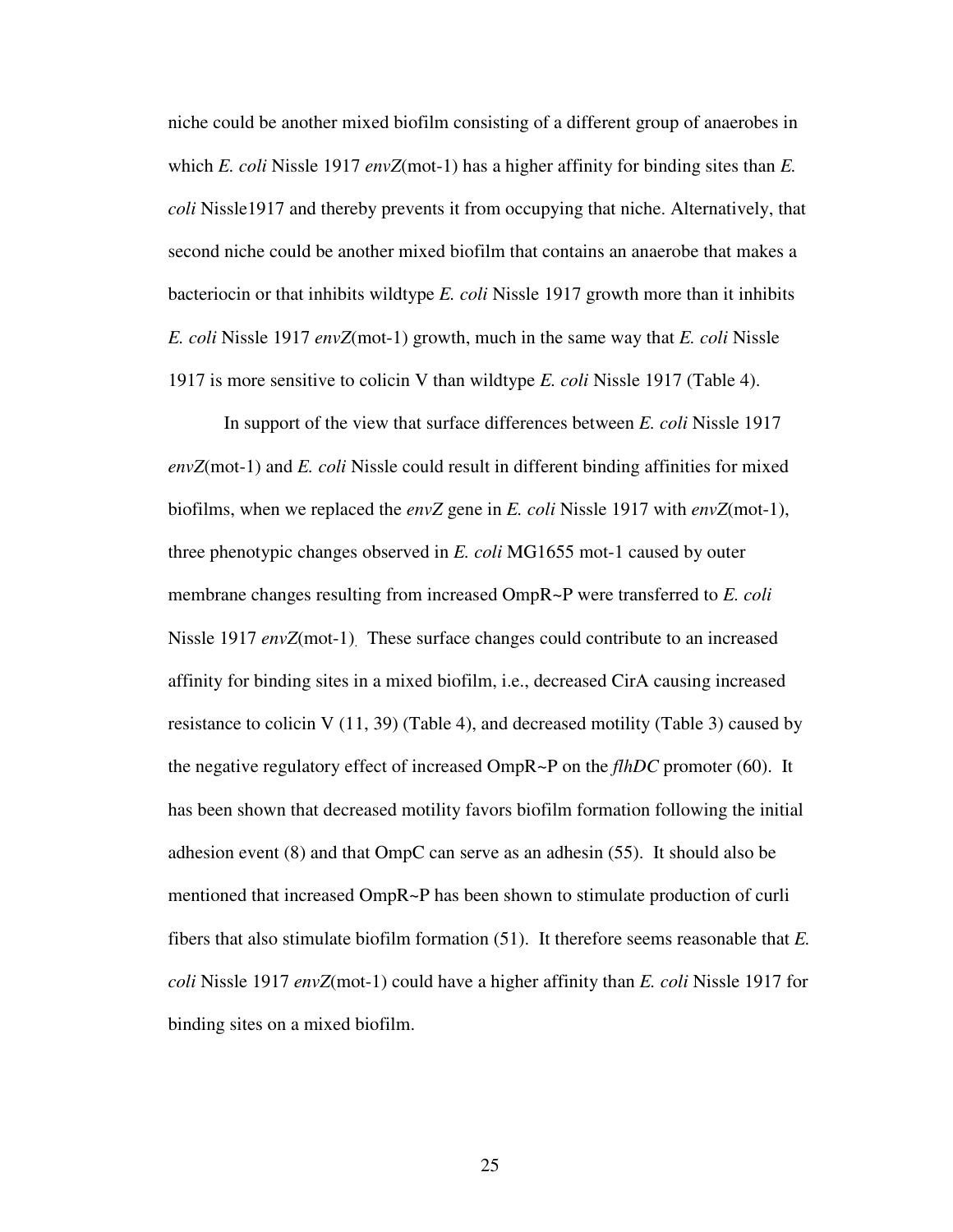niche could be another mixed biofilm consisting of a different group of anaerobes in which *E. coli* Nissle 1917 *envZ*(mot-1) has a higher affinity for binding sites than *E. coli* Nissle1917 and thereby prevents it from occupying that niche. Alternatively, that second niche could be another mixed biofilm that contains an anaerobe that makes a bacteriocin or that inhibits wildtype *E. coli* Nissle 1917 growth more than it inhibits *E. coli* Nissle 1917 *envZ*(mot-1) growth, much in the same way that *E. coli* Nissle 1917 is more sensitive to colicin V than wildtype *E. coli* Nissle 1917 (Table 4).

In support of the view that surface differences between *E. coli* Nissle 1917 *envZ*(mot-1) and *E. coli* Nissle could result in different binding affinities for mixed biofilms, when we replaced the *envZ* gene in *E. coli* Nissle 1917 with *envZ*(mot-1), three phenotypic changes observed in *E. coli* MG1655 mot-1 caused by outer membrane changes resulting from increased OmpR~P were transferred to *E. coli*  Nissle 1917 *envZ*(mot-1). These surface changes could contribute to an increased affinity for binding sites in a mixed biofilm, i.e., decreased CirA causing increased resistance to colicin V  $(11, 39)$  (Table 4), and decreased motility (Table 3) caused by the negative regulatory effect of increased OmpR~P on the *flhDC* promoter (60). It has been shown that decreased motility favors biofilm formation following the initial adhesion event (8) and that OmpC can serve as an adhesin (55). It should also be mentioned that increased OmpR~P has been shown to stimulate production of curli fibers that also stimulate biofilm formation (51). It therefore seems reasonable that *E. coli* Nissle 1917 *envZ*(mot-1) could have a higher affinity than *E. coli* Nissle 1917 for binding sites on a mixed biofilm.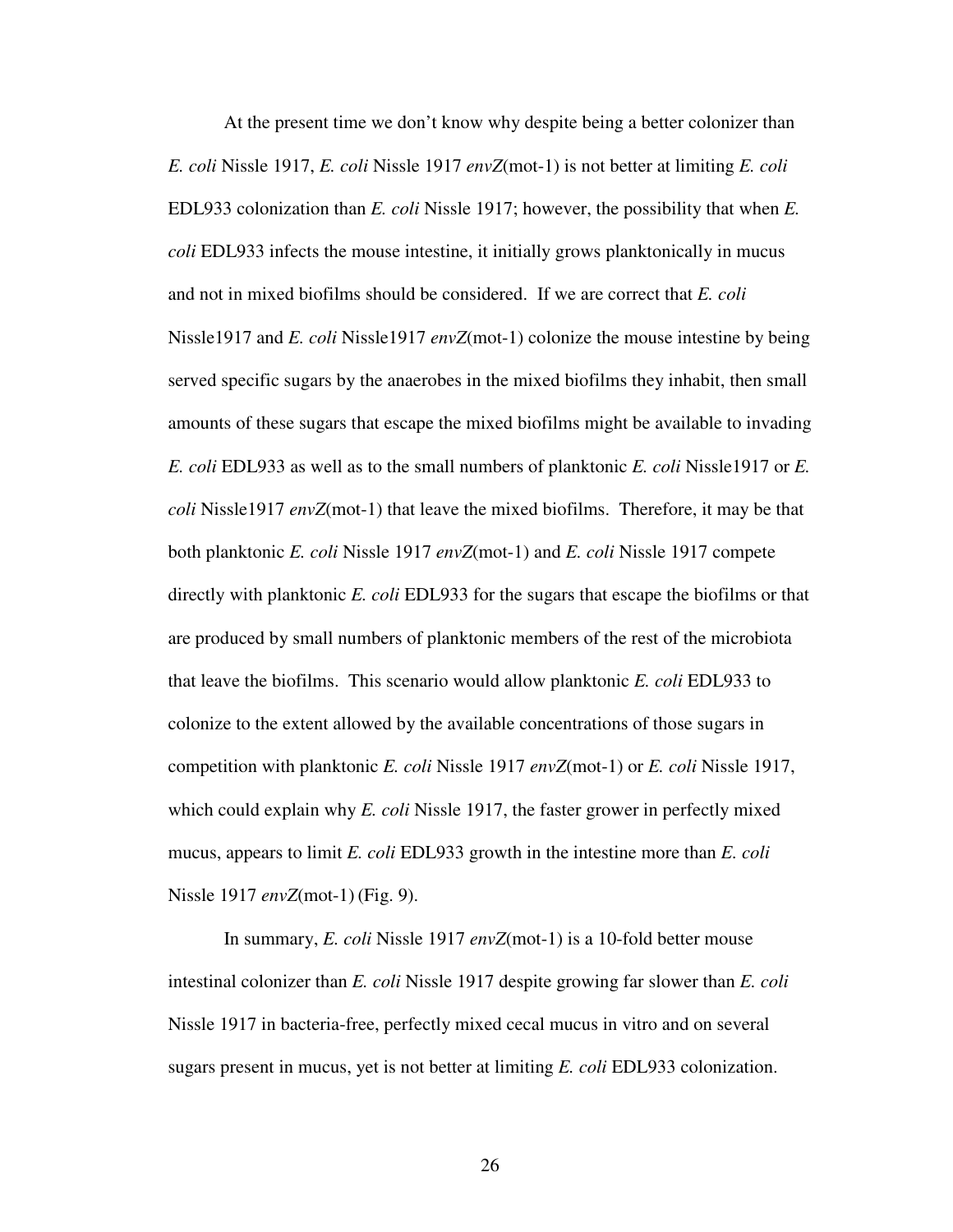At the present time we don't know why despite being a better colonizer than *E. coli* Nissle 1917, *E. coli* Nissle 1917 *envZ*(mot-1) is not better at limiting *E. coli*  EDL933 colonization than *E. coli* Nissle 1917; however, the possibility that when *E. coli* EDL933 infects the mouse intestine, it initially grows planktonically in mucus and not in mixed biofilms should be considered. If we are correct that *E. coli*  Nissle1917 and *E. coli* Nissle1917 *envZ*(mot-1) colonize the mouse intestine by being served specific sugars by the anaerobes in the mixed biofilms they inhabit, then small amounts of these sugars that escape the mixed biofilms might be available to invading *E. coli* EDL933 as well as to the small numbers of planktonic *E. coli* Nissle1917 or *E. coli* Nissle1917 *envZ*(mot-1) that leave the mixed biofilms. Therefore, it may be that both planktonic *E. coli* Nissle 1917 *envZ*(mot-1) and *E. coli* Nissle 1917 compete directly with planktonic *E. coli* EDL933 for the sugars that escape the biofilms or that are produced by small numbers of planktonic members of the rest of the microbiota that leave the biofilms. This scenario would allow planktonic *E. coli* EDL933 to colonize to the extent allowed by the available concentrations of those sugars in competition with planktonic *E. coli* Nissle 1917 *envZ*(mot-1) or *E. coli* Nissle 1917, which could explain why *E. coli* Nissle 1917, the faster grower in perfectly mixed mucus, appears to limit *E. coli* EDL933 growth in the intestine more than *E. coli*  Nissle 1917 *envZ*(mot-1) (Fig. 9).

In summary, *E. coli* Nissle 1917 *envZ*(mot-1) is a 10-fold better mouse intestinal colonizer than *E. coli* Nissle 1917 despite growing far slower than *E. coli*  Nissle 1917 in bacteria-free, perfectly mixed cecal mucus in vitro and on several sugars present in mucus, yet is not better at limiting *E. coli* EDL933 colonization.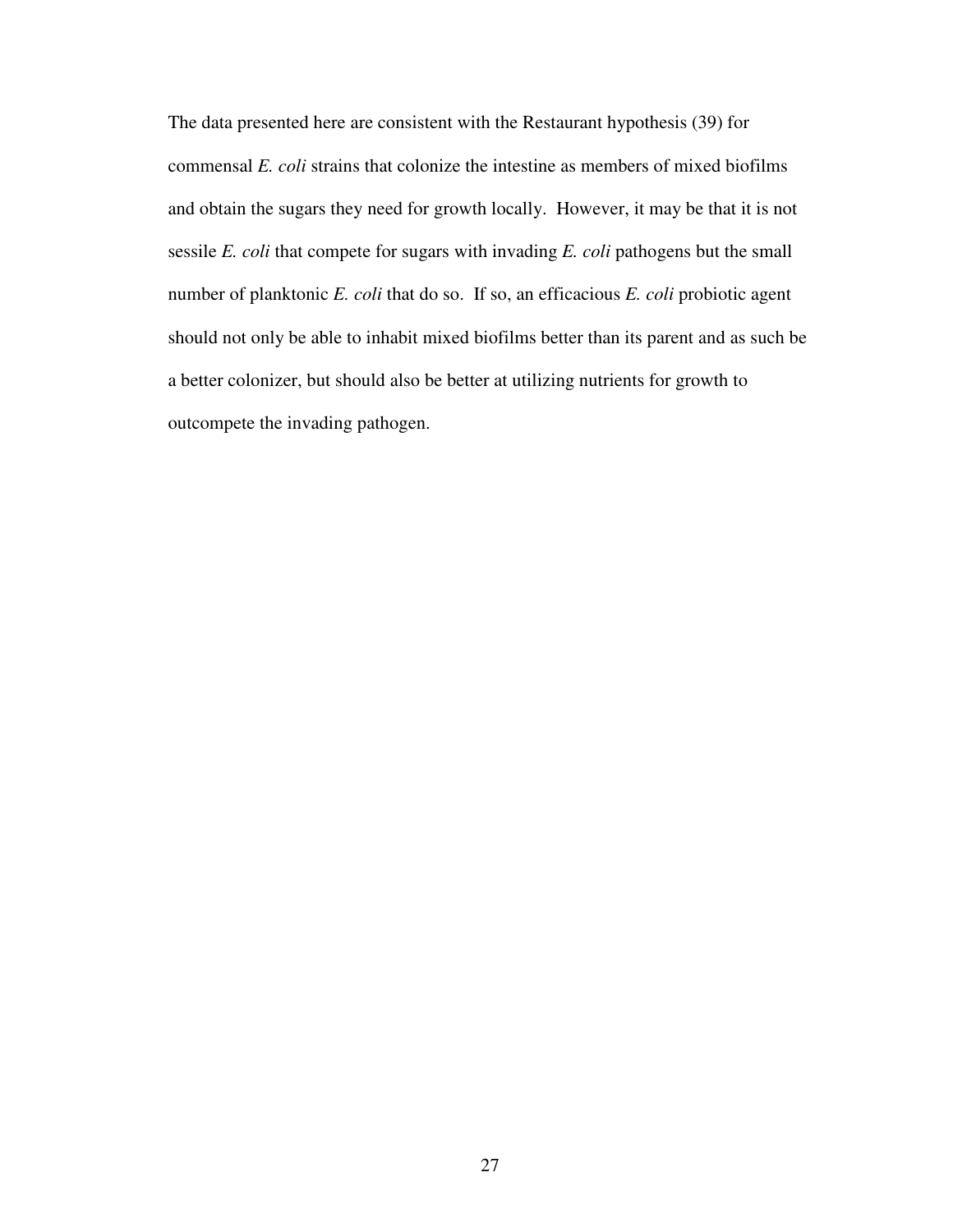The data presented here are consistent with the Restaurant hypothesis (39) for commensal *E. coli* strains that colonize the intestine as members of mixed biofilms and obtain the sugars they need for growth locally. However, it may be that it is not sessile *E. coli* that compete for sugars with invading *E. coli* pathogens but the small number of planktonic *E. coli* that do so. If so, an efficacious *E. coli* probiotic agent should not only be able to inhabit mixed biofilms better than its parent and as such be a better colonizer, but should also be better at utilizing nutrients for growth to outcompete the invading pathogen.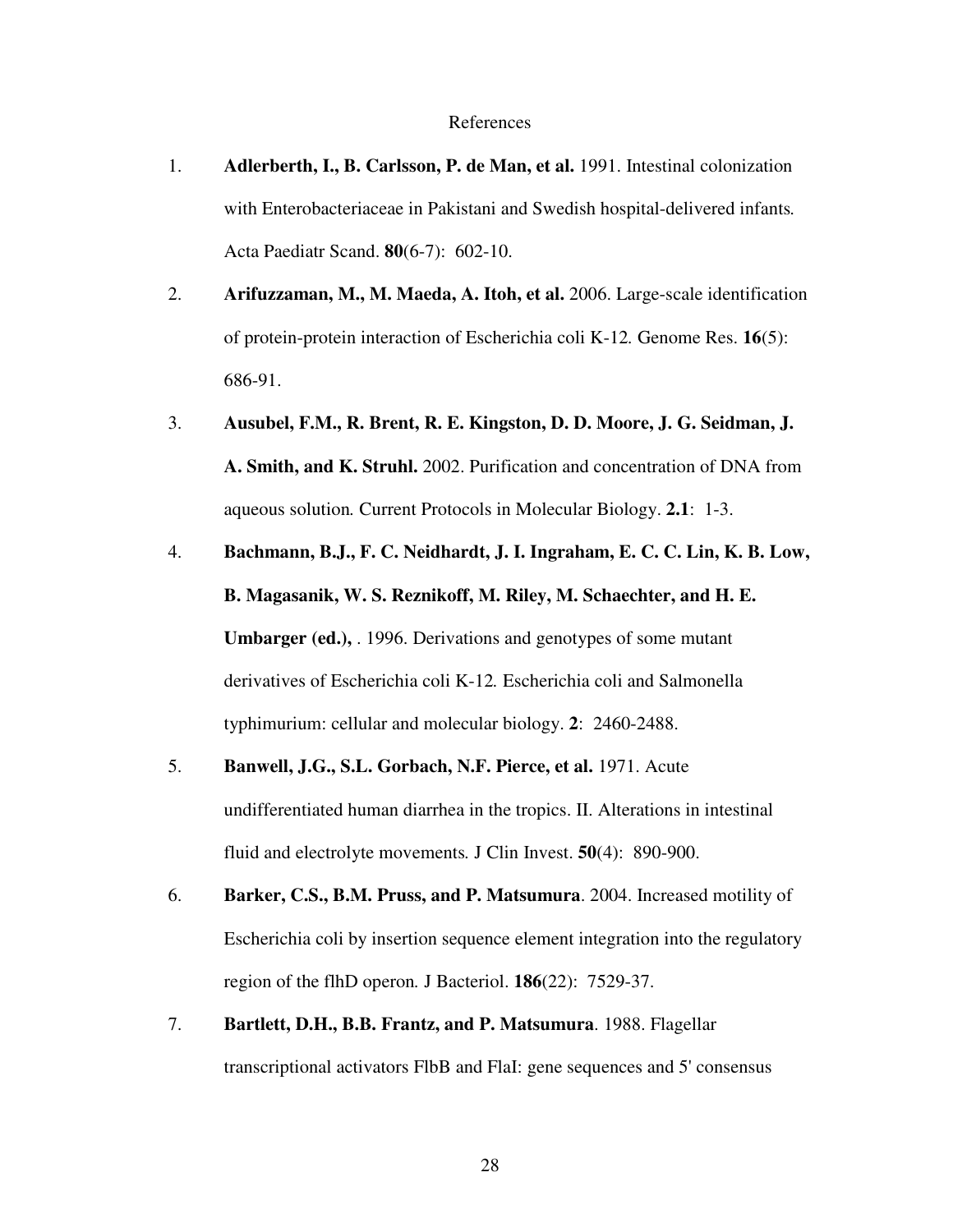#### References

- 1. **Adlerberth, I., B. Carlsson, P. de Man, et al.** 1991. Intestinal colonization with Enterobacteriaceae in Pakistani and Swedish hospital-delivered infants*.* Acta Paediatr Scand. **80**(6-7): 602-10.
- 2. **Arifuzzaman, M., M. Maeda, A. Itoh, et al.** 2006. Large-scale identification of protein-protein interaction of Escherichia coli K-12*.* Genome Res. **16**(5): 686-91.
- 3. **Ausubel, F.M., R. Brent, R. E. Kingston, D. D. Moore, J. G. Seidman, J. A. Smith, and K. Struhl.** 2002. Purification and concentration of DNA from aqueous solution*.* Current Protocols in Molecular Biology. **2.1**: 1-3.
- 4. **Bachmann, B.J., F. C. Neidhardt, J. I. Ingraham, E. C. C. Lin, K. B. Low, B. Magasanik, W. S. Reznikoff, M. Riley, M. Schaechter, and H. E. Umbarger (ed.),** . 1996. Derivations and genotypes of some mutant derivatives of Escherichia coli K-12*.* Escherichia coli and Salmonella typhimurium: cellular and molecular biology. **2**: 2460-2488.
- 5. **Banwell, J.G., S.L. Gorbach, N.F. Pierce, et al.** 1971. Acute undifferentiated human diarrhea in the tropics. II. Alterations in intestinal fluid and electrolyte movements*.* J Clin Invest. **50**(4): 890-900.
- 6. **Barker, C.S., B.M. Pruss, and P. Matsumura**. 2004. Increased motility of Escherichia coli by insertion sequence element integration into the regulatory region of the flhD operon*.* J Bacteriol. **186**(22): 7529-37.
- 7. **Bartlett, D.H., B.B. Frantz, and P. Matsumura**. 1988. Flagellar transcriptional activators FlbB and FlaI: gene sequences and 5' consensus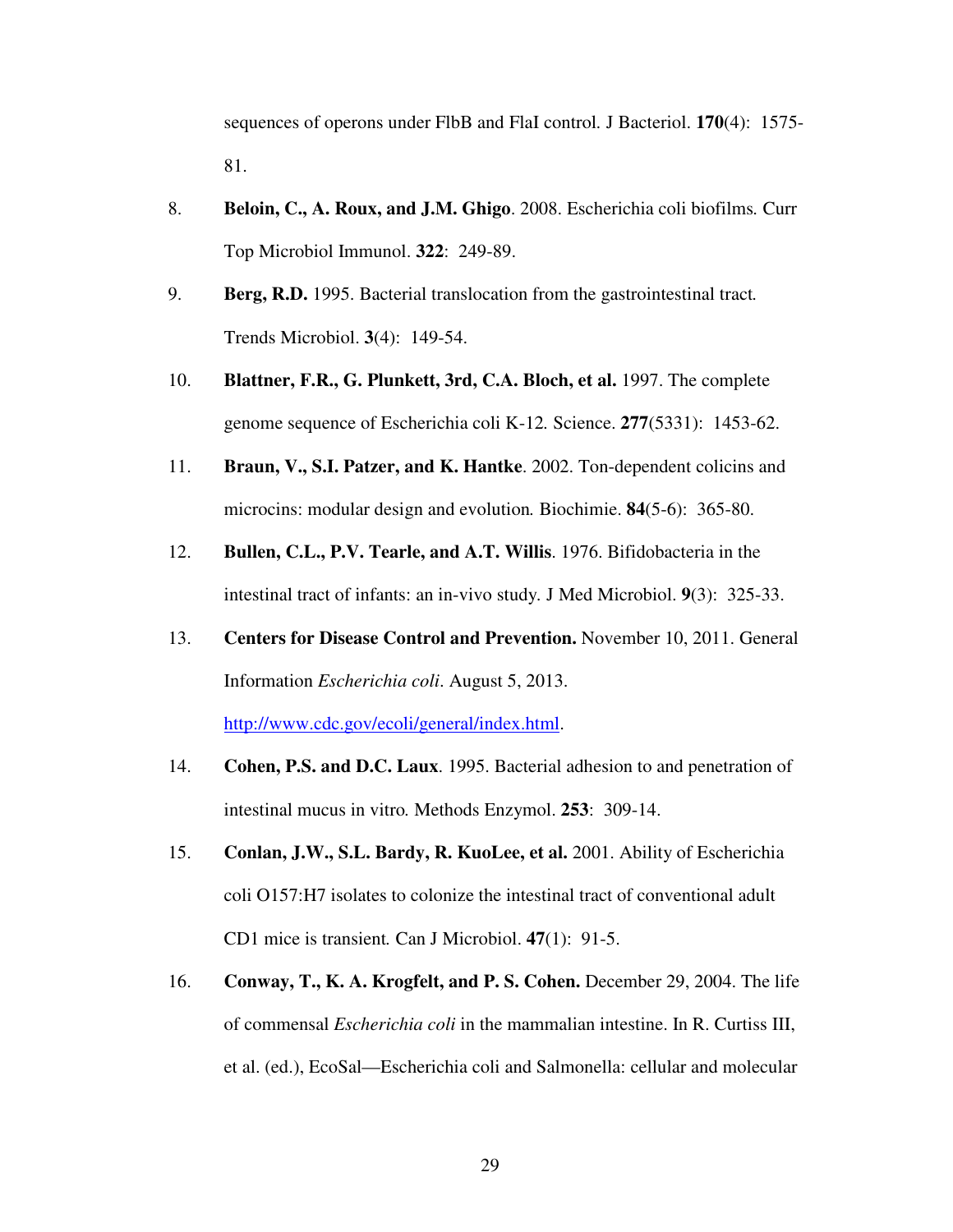sequences of operons under FlbB and FlaI control*.* J Bacteriol. **170**(4): 1575- 81.

- 8. **Beloin, C., A. Roux, and J.M. Ghigo**. 2008. Escherichia coli biofilms*.* Curr Top Microbiol Immunol. **322**: 249-89.
- 9. **Berg, R.D.** 1995. Bacterial translocation from the gastrointestinal tract*.* Trends Microbiol. **3**(4): 149-54.
- 10. **Blattner, F.R., G. Plunkett, 3rd, C.A. Bloch, et al.** 1997. The complete genome sequence of Escherichia coli K-12*.* Science. **277**(5331): 1453-62.
- 11. **Braun, V., S.I. Patzer, and K. Hantke**. 2002. Ton-dependent colicins and microcins: modular design and evolution*.* Biochimie. **84**(5-6): 365-80.
- 12. **Bullen, C.L., P.V. Tearle, and A.T. Willis**. 1976. Bifidobacteria in the intestinal tract of infants: an in-vivo study*.* J Med Microbiol. **9**(3): 325-33.
- 13. **Centers for Disease Control and Prevention.** November 10, 2011. General Information *Escherichia coli*. August 5, 2013.

http://www.cdc.gov/ecoli/general/index.html.

- 14. **Cohen, P.S. and D.C. Laux**. 1995. Bacterial adhesion to and penetration of intestinal mucus in vitro*.* Methods Enzymol. **253**: 309-14.
- 15. **Conlan, J.W., S.L. Bardy, R. KuoLee, et al.** 2001. Ability of Escherichia coli O157:H7 isolates to colonize the intestinal tract of conventional adult CD1 mice is transient*.* Can J Microbiol. **47**(1): 91-5.
- 16. **Conway, T., K. A. Krogfelt, and P. S. Cohen.** December 29, 2004. The life of commensal *Escherichia coli* in the mammalian intestine. In R. Curtiss III, et al. (ed.), EcoSal—Escherichia coli and Salmonella: cellular and molecular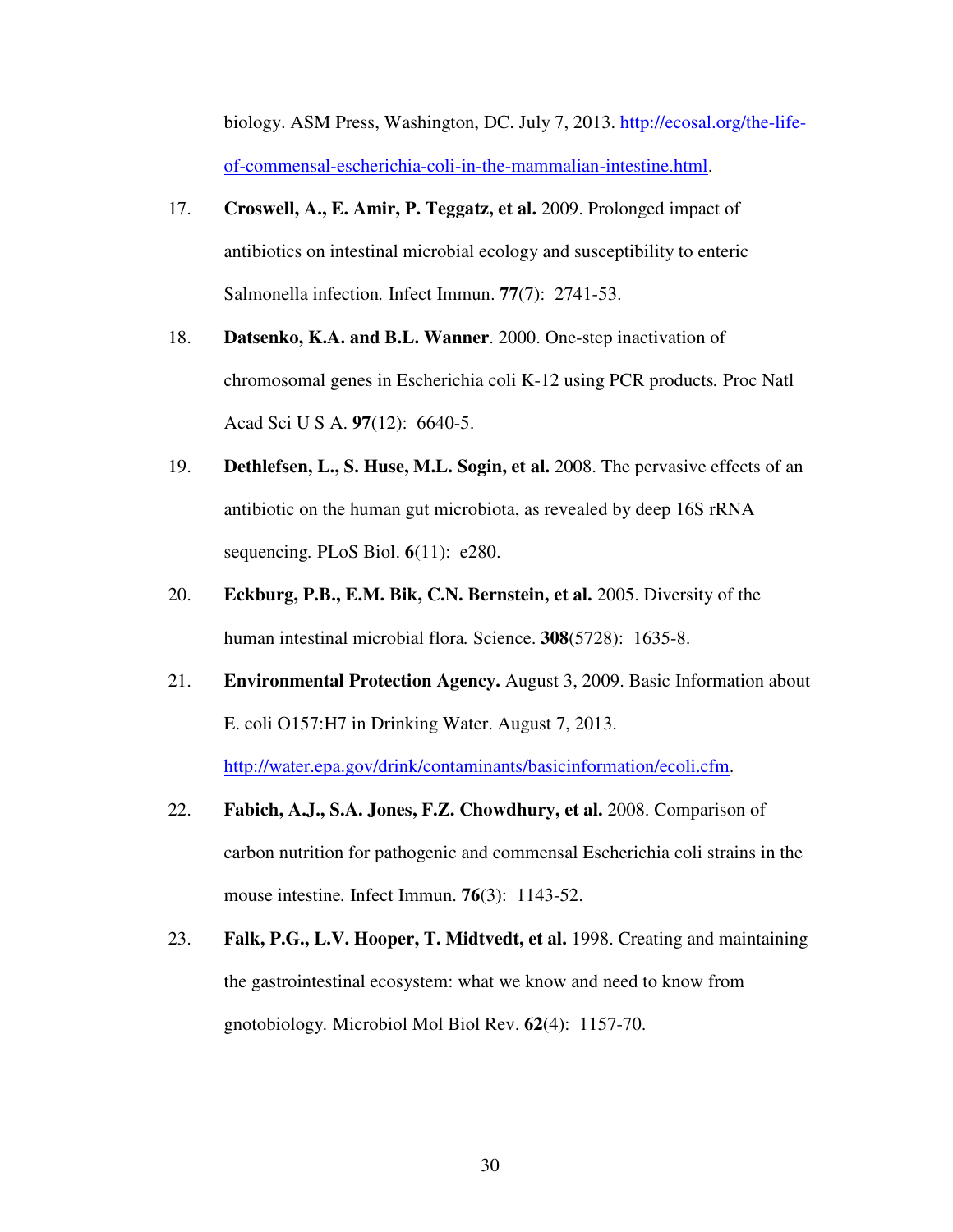biology. ASM Press, Washington, DC. July 7, 2013. http://ecosal.org/the-lifeof-commensal-escherichia-coli-in-the-mammalian-intestine.html.

- 17. **Croswell, A., E. Amir, P. Teggatz, et al.** 2009. Prolonged impact of antibiotics on intestinal microbial ecology and susceptibility to enteric Salmonella infection*.* Infect Immun. **77**(7): 2741-53.
- 18. **Datsenko, K.A. and B.L. Wanner**. 2000. One-step inactivation of chromosomal genes in Escherichia coli K-12 using PCR products*.* Proc Natl Acad Sci U S A. **97**(12): 6640-5.
- 19. **Dethlefsen, L., S. Huse, M.L. Sogin, et al.** 2008. The pervasive effects of an antibiotic on the human gut microbiota, as revealed by deep 16S rRNA sequencing*.* PLoS Biol. **6**(11): e280.
- 20. **Eckburg, P.B., E.M. Bik, C.N. Bernstein, et al.** 2005. Diversity of the human intestinal microbial flora*.* Science. **308**(5728): 1635-8.
- 21. **Environmental Protection Agency.** August 3, 2009. Basic Information about E. coli O157:H7 in Drinking Water. August 7, 2013. http://water.epa.gov/drink/contaminants/basicinformation/ecoli.cfm.
- 22. **Fabich, A.J., S.A. Jones, F.Z. Chowdhury, et al.** 2008. Comparison of carbon nutrition for pathogenic and commensal Escherichia coli strains in the mouse intestine*.* Infect Immun. **76**(3): 1143-52.
- 23. **Falk, P.G., L.V. Hooper, T. Midtvedt, et al.** 1998. Creating and maintaining the gastrointestinal ecosystem: what we know and need to know from gnotobiology*.* Microbiol Mol Biol Rev. **62**(4): 1157-70.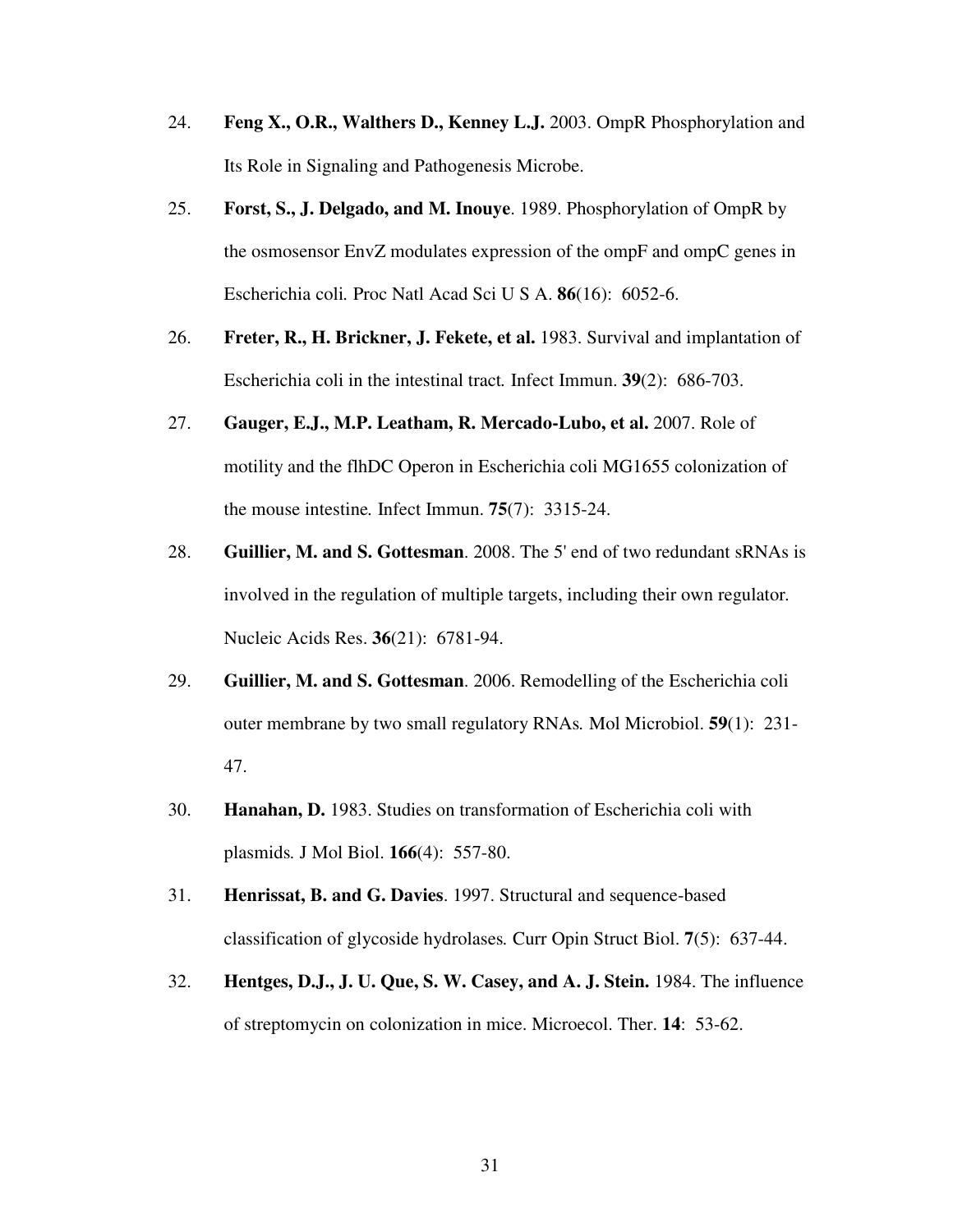- 24. **Feng X., O.R., Walthers D., Kenney L.J.** 2003. OmpR Phosphorylation and Its Role in Signaling and Pathogenesis Microbe.
- 25. **Forst, S., J. Delgado, and M. Inouye**. 1989. Phosphorylation of OmpR by the osmosensor EnvZ modulates expression of the ompF and ompC genes in Escherichia coli*.* Proc Natl Acad Sci U S A. **86**(16): 6052-6.
- 26. **Freter, R., H. Brickner, J. Fekete, et al.** 1983. Survival and implantation of Escherichia coli in the intestinal tract*.* Infect Immun. **39**(2): 686-703.
- 27. **Gauger, E.J., M.P. Leatham, R. Mercado-Lubo, et al.** 2007. Role of motility and the flhDC Operon in Escherichia coli MG1655 colonization of the mouse intestine*.* Infect Immun. **75**(7): 3315-24.
- 28. **Guillier, M. and S. Gottesman**. 2008. The 5' end of two redundant sRNAs is involved in the regulation of multiple targets, including their own regulator*.* Nucleic Acids Res. **36**(21): 6781-94.
- 29. **Guillier, M. and S. Gottesman**. 2006. Remodelling of the Escherichia coli outer membrane by two small regulatory RNAs*.* Mol Microbiol. **59**(1): 231- 47.
- 30. **Hanahan, D.** 1983. Studies on transformation of Escherichia coli with plasmids*.* J Mol Biol. **166**(4): 557-80.
- 31. **Henrissat, B. and G. Davies**. 1997. Structural and sequence-based classification of glycoside hydrolases*.* Curr Opin Struct Biol. **7**(5): 637-44.
- 32. **Hentges, D.J., J. U. Que, S. W. Casey, and A. J. Stein.** 1984. The influence of streptomycin on colonization in mice. Microecol. Ther. **14**: 53-62.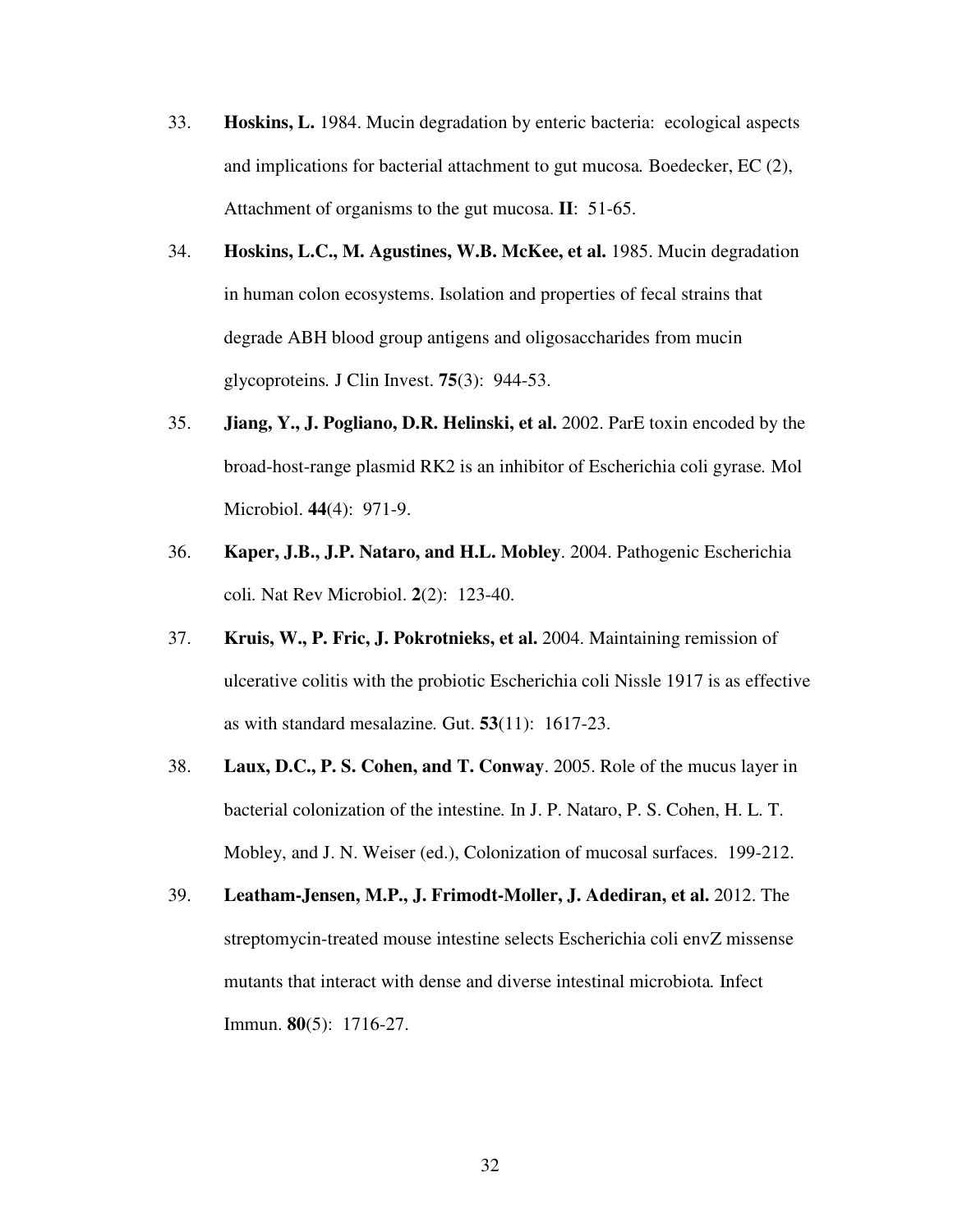- 33. **Hoskins, L.** 1984. Mucin degradation by enteric bacteria: ecological aspects and implications for bacterial attachment to gut mucosa*.* Boedecker, EC (2), Attachment of organisms to the gut mucosa. **II**: 51-65.
- 34. **Hoskins, L.C., M. Agustines, W.B. McKee, et al.** 1985. Mucin degradation in human colon ecosystems. Isolation and properties of fecal strains that degrade ABH blood group antigens and oligosaccharides from mucin glycoproteins*.* J Clin Invest. **75**(3): 944-53.
- 35. **Jiang, Y., J. Pogliano, D.R. Helinski, et al.** 2002. ParE toxin encoded by the broad-host-range plasmid RK2 is an inhibitor of Escherichia coli gyrase*.* Mol Microbiol. **44**(4): 971-9.
- 36. **Kaper, J.B., J.P. Nataro, and H.L. Mobley**. 2004. Pathogenic Escherichia coli*.* Nat Rev Microbiol. **2**(2): 123-40.
- 37. **Kruis, W., P. Fric, J. Pokrotnieks, et al.** 2004. Maintaining remission of ulcerative colitis with the probiotic Escherichia coli Nissle 1917 is as effective as with standard mesalazine*.* Gut. **53**(11): 1617-23.
- 38. **Laux, D.C., P. S. Cohen, and T. Conway**. 2005. Role of the mucus layer in bacterial colonization of the intestine*.* In J. P. Nataro, P. S. Cohen, H. L. T. Mobley, and J. N. Weiser (ed.), Colonization of mucosal surfaces. 199-212.
- 39. **Leatham-Jensen, M.P., J. Frimodt-Moller, J. Adediran, et al.** 2012. The streptomycin-treated mouse intestine selects Escherichia coli envZ missense mutants that interact with dense and diverse intestinal microbiota*.* Infect Immun. **80**(5): 1716-27.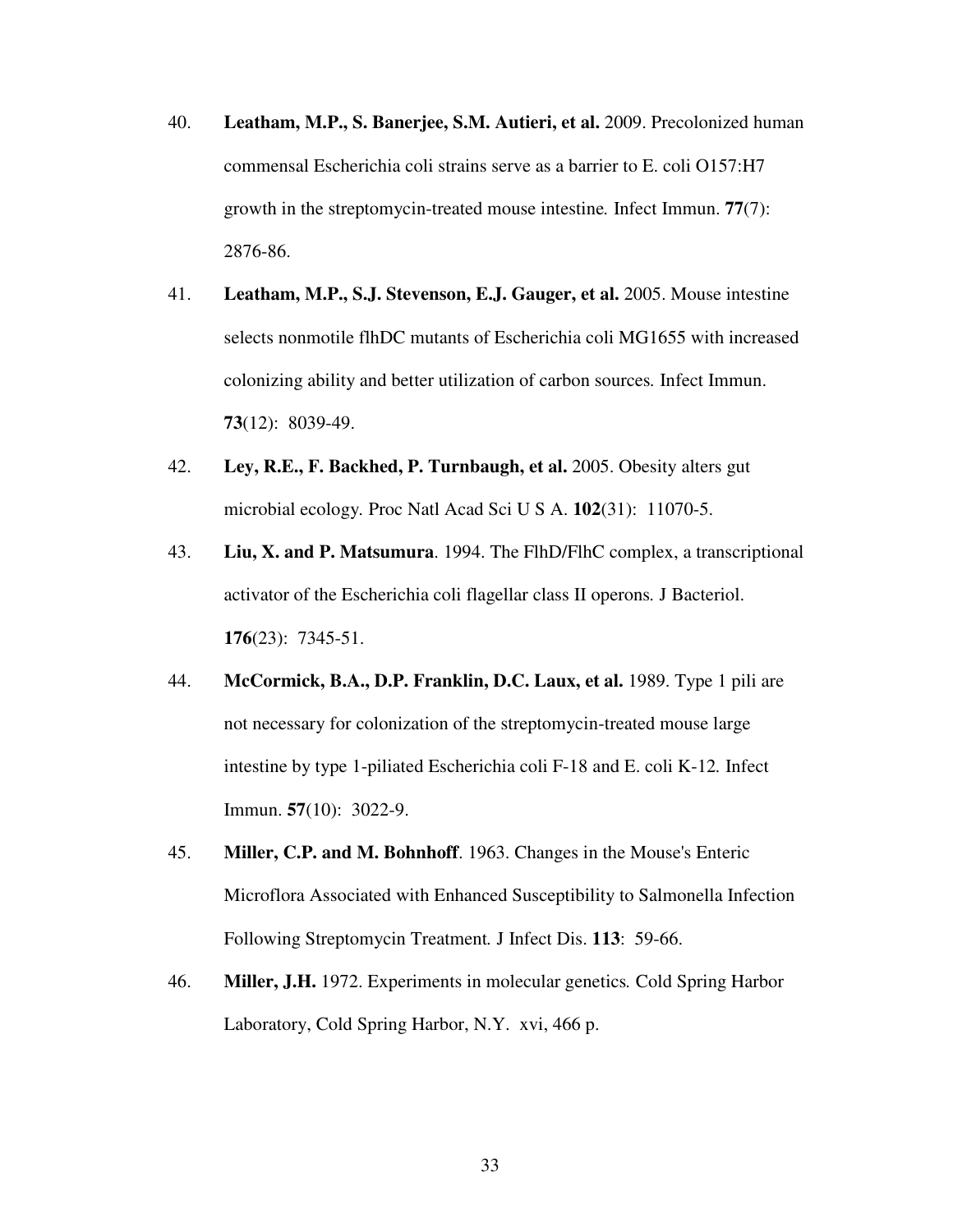- 40. **Leatham, M.P., S. Banerjee, S.M. Autieri, et al.** 2009. Precolonized human commensal Escherichia coli strains serve as a barrier to E. coli O157:H7 growth in the streptomycin-treated mouse intestine*.* Infect Immun. **77**(7): 2876-86.
- 41. **Leatham, M.P., S.J. Stevenson, E.J. Gauger, et al.** 2005. Mouse intestine selects nonmotile flhDC mutants of Escherichia coli MG1655 with increased colonizing ability and better utilization of carbon sources*.* Infect Immun. **73**(12): 8039-49.
- 42. **Ley, R.E., F. Backhed, P. Turnbaugh, et al.** 2005. Obesity alters gut microbial ecology*.* Proc Natl Acad Sci U S A. **102**(31): 11070-5.
- 43. **Liu, X. and P. Matsumura**. 1994. The FlhD/FlhC complex, a transcriptional activator of the Escherichia coli flagellar class II operons*.* J Bacteriol. **176**(23): 7345-51.
- 44. **McCormick, B.A., D.P. Franklin, D.C. Laux, et al.** 1989. Type 1 pili are not necessary for colonization of the streptomycin-treated mouse large intestine by type 1-piliated Escherichia coli F-18 and E. coli K-12*.* Infect Immun. **57**(10): 3022-9.
- 45. **Miller, C.P. and M. Bohnhoff**. 1963. Changes in the Mouse's Enteric Microflora Associated with Enhanced Susceptibility to Salmonella Infection Following Streptomycin Treatment*.* J Infect Dis. **113**: 59-66.
- 46. **Miller, J.H.** 1972. Experiments in molecular genetics*.* Cold Spring Harbor Laboratory, Cold Spring Harbor, N.Y. xvi, 466 p.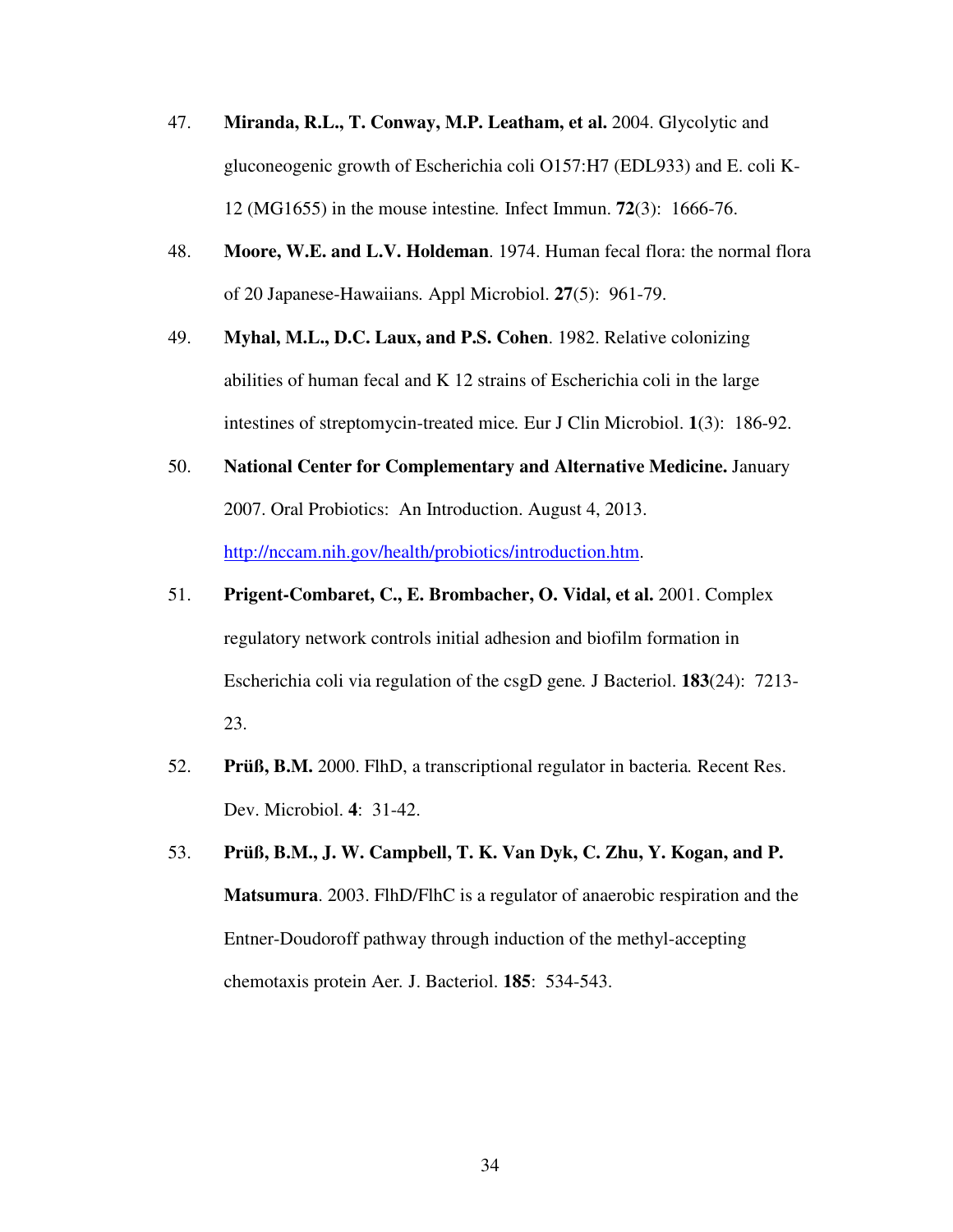- 47. **Miranda, R.L., T. Conway, M.P. Leatham, et al.** 2004. Glycolytic and gluconeogenic growth of Escherichia coli O157:H7 (EDL933) and E. coli K-12 (MG1655) in the mouse intestine*.* Infect Immun. **72**(3): 1666-76.
- 48. **Moore, W.E. and L.V. Holdeman**. 1974. Human fecal flora: the normal flora of 20 Japanese-Hawaiians*.* Appl Microbiol. **27**(5): 961-79.
- 49. **Myhal, M.L., D.C. Laux, and P.S. Cohen**. 1982. Relative colonizing abilities of human fecal and K 12 strains of Escherichia coli in the large intestines of streptomycin-treated mice*.* Eur J Clin Microbiol. **1**(3): 186-92.
- 50. **National Center for Complementary and Alternative Medicine.** January 2007. Oral Probiotics: An Introduction. August 4, 2013. http://nccam.nih.gov/health/probiotics/introduction.htm.
- 51. **Prigent-Combaret, C., E. Brombacher, O. Vidal, et al.** 2001. Complex regulatory network controls initial adhesion and biofilm formation in Escherichia coli via regulation of the csgD gene*.* J Bacteriol. **183**(24): 7213- 23.
- 52. **Prüß, B.M.** 2000. FlhD, a transcriptional regulator in bacteria*.* Recent Res. Dev. Microbiol. **4**: 31-42.
- 53. **Prüß, B.M., J. W. Campbell, T. K. Van Dyk, C. Zhu, Y. Kogan, and P. Matsumura**. 2003. FlhD/FlhC is a regulator of anaerobic respiration and the Entner-Doudoroff pathway through induction of the methyl-accepting chemotaxis protein Aer*.* J. Bacteriol. **185**: 534-543.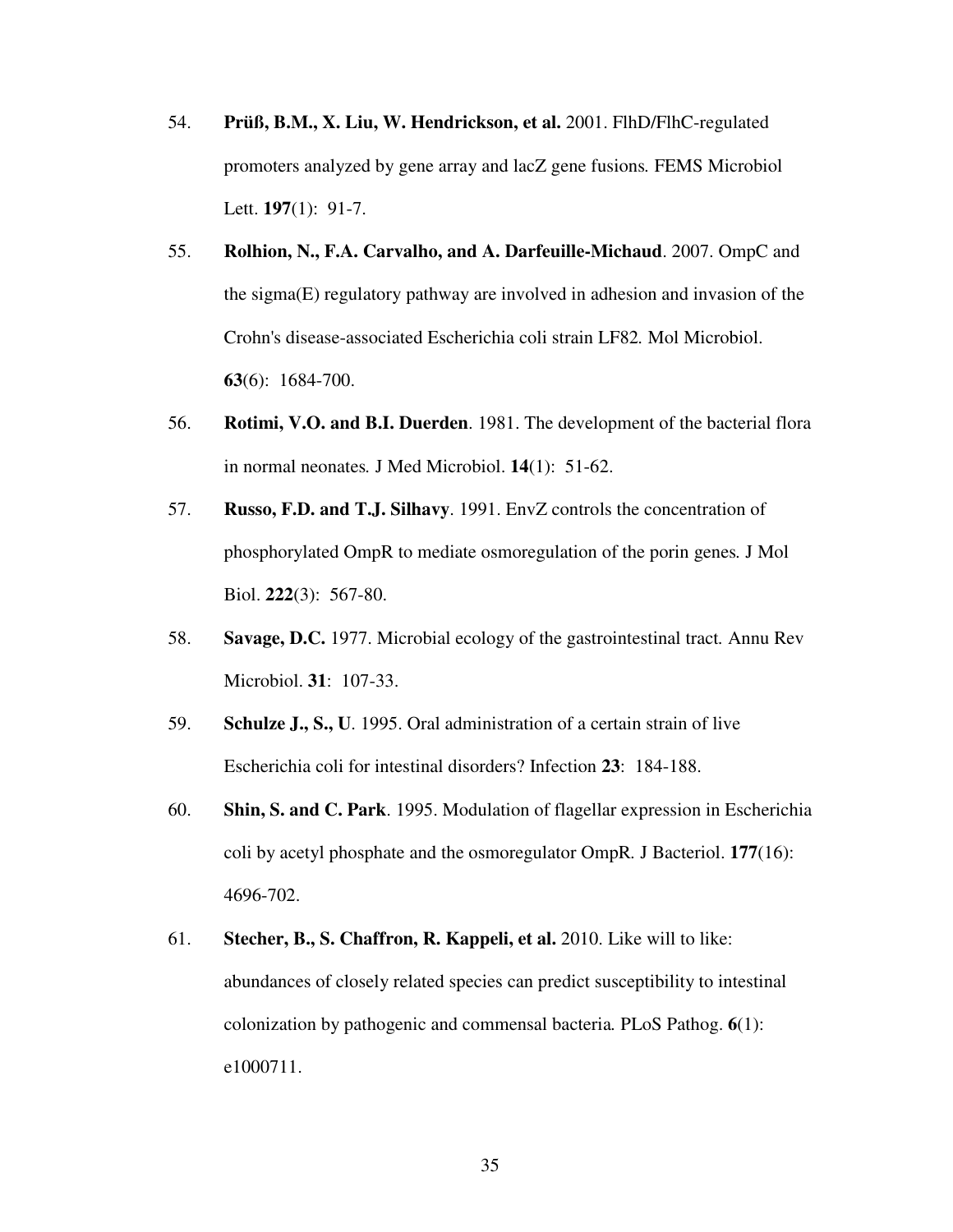- 54. **Prüß, B.M., X. Liu, W. Hendrickson, et al.** 2001. FlhD/FlhC-regulated promoters analyzed by gene array and lacZ gene fusions*.* FEMS Microbiol Lett. **197**(1): 91-7.
- 55. **Rolhion, N., F.A. Carvalho, and A. Darfeuille-Michaud**. 2007. OmpC and the sigma(E) regulatory pathway are involved in adhesion and invasion of the Crohn's disease-associated Escherichia coli strain LF82*.* Mol Microbiol. **63**(6): 1684-700.
- 56. **Rotimi, V.O. and B.I. Duerden**. 1981. The development of the bacterial flora in normal neonates*.* J Med Microbiol. **14**(1): 51-62.
- 57. **Russo, F.D. and T.J. Silhavy**. 1991. EnvZ controls the concentration of phosphorylated OmpR to mediate osmoregulation of the porin genes*.* J Mol Biol. **222**(3): 567-80.
- 58. **Savage, D.C.** 1977. Microbial ecology of the gastrointestinal tract*.* Annu Rev Microbiol. **31**: 107-33.
- 59. **Schulze J., S., U**. 1995. Oral administration of a certain strain of live Escherichia coli for intestinal disorders? Infection **23**: 184-188.
- 60. **Shin, S. and C. Park**. 1995. Modulation of flagellar expression in Escherichia coli by acetyl phosphate and the osmoregulator OmpR*.* J Bacteriol. **177**(16): 4696-702.
- 61. **Stecher, B., S. Chaffron, R. Kappeli, et al.** 2010. Like will to like: abundances of closely related species can predict susceptibility to intestinal colonization by pathogenic and commensal bacteria*.* PLoS Pathog. **6**(1): e1000711.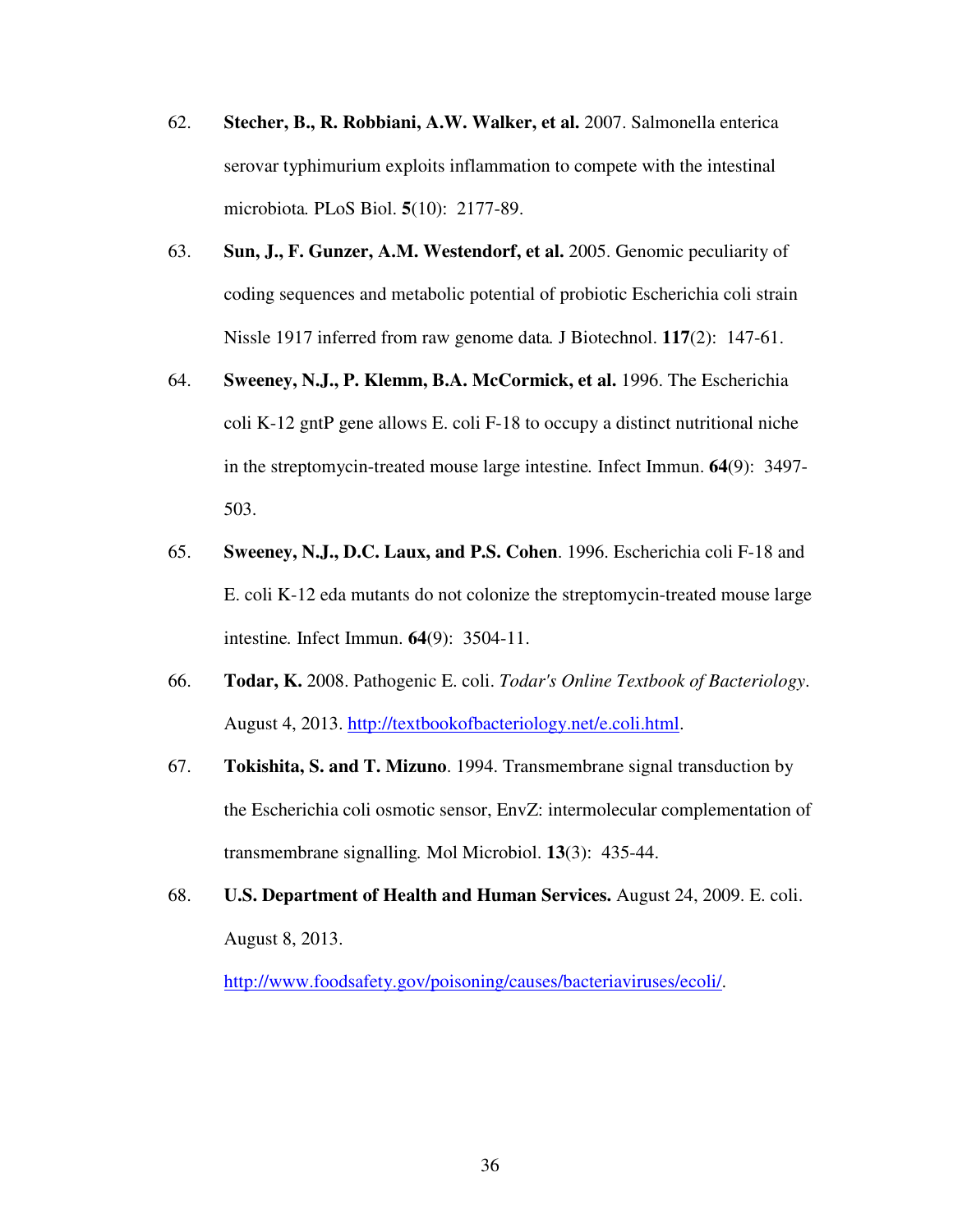- 62. **Stecher, B., R. Robbiani, A.W. Walker, et al.** 2007. Salmonella enterica serovar typhimurium exploits inflammation to compete with the intestinal microbiota*.* PLoS Biol. **5**(10): 2177-89.
- 63. **Sun, J., F. Gunzer, A.M. Westendorf, et al.** 2005. Genomic peculiarity of coding sequences and metabolic potential of probiotic Escherichia coli strain Nissle 1917 inferred from raw genome data*.* J Biotechnol. **117**(2): 147-61.
- 64. **Sweeney, N.J., P. Klemm, B.A. McCormick, et al.** 1996. The Escherichia coli K-12 gntP gene allows E. coli F-18 to occupy a distinct nutritional niche in the streptomycin-treated mouse large intestine*.* Infect Immun. **64**(9): 3497- 503.
- 65. **Sweeney, N.J., D.C. Laux, and P.S. Cohen**. 1996. Escherichia coli F-18 and E. coli K-12 eda mutants do not colonize the streptomycin-treated mouse large intestine*.* Infect Immun. **64**(9): 3504-11.
- 66. **Todar, K.** 2008. Pathogenic E. coli. *Todar's Online Textbook of Bacteriology*. August 4, 2013. http://textbookofbacteriology.net/e.coli.html.
- 67. **Tokishita, S. and T. Mizuno**. 1994. Transmembrane signal transduction by the Escherichia coli osmotic sensor, EnvZ: intermolecular complementation of transmembrane signalling*.* Mol Microbiol. **13**(3): 435-44.
- 68. **U.S. Department of Health and Human Services.** August 24, 2009. E. coli. August 8, 2013.

http://www.foodsafety.gov/poisoning/causes/bacteriaviruses/ecoli/.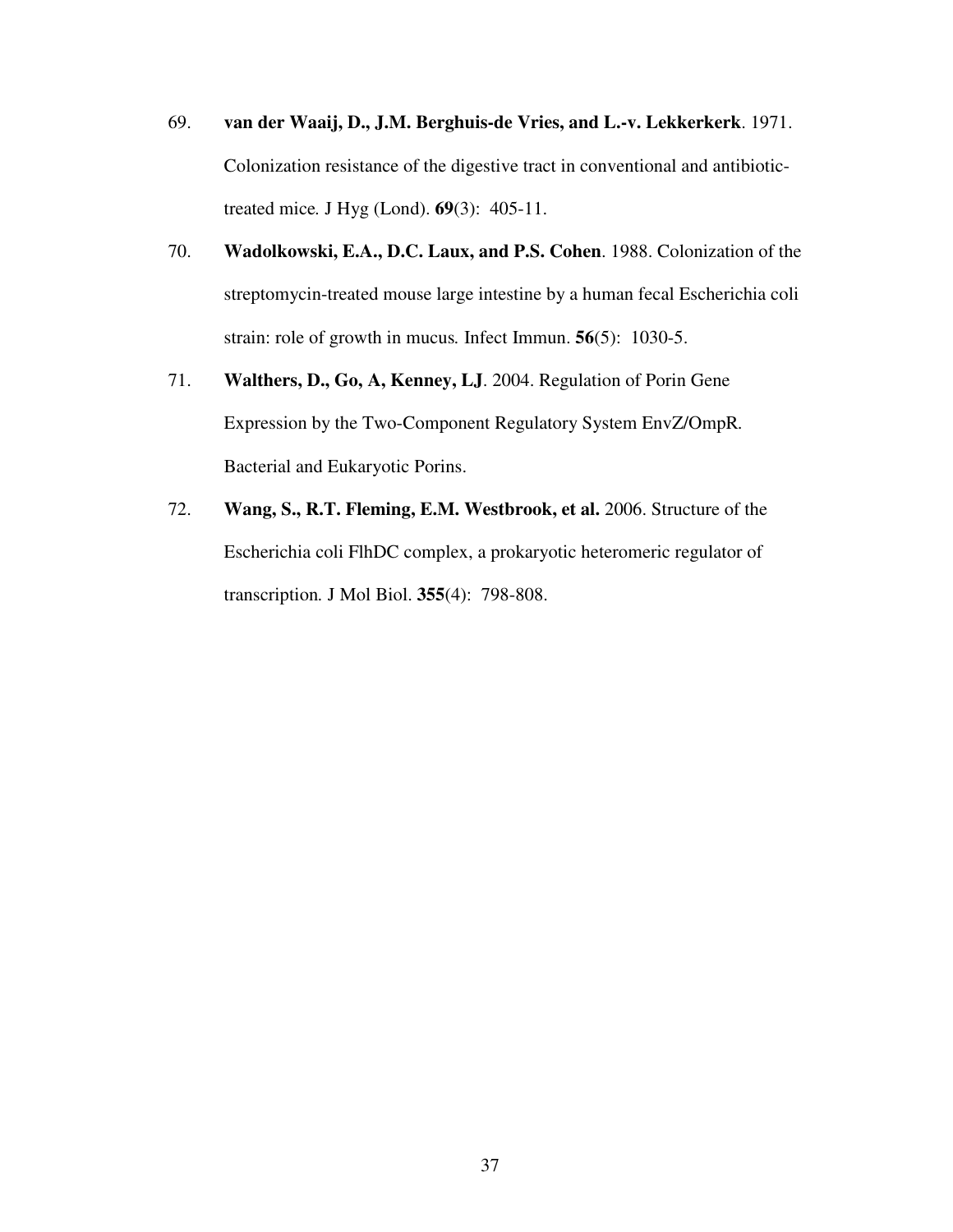- 69. **van der Waaij, D., J.M. Berghuis-de Vries, and L.-v. Lekkerkerk**. 1971. Colonization resistance of the digestive tract in conventional and antibiotictreated mice*.* J Hyg (Lond). **69**(3): 405-11.
- 70. **Wadolkowski, E.A., D.C. Laux, and P.S. Cohen**. 1988. Colonization of the streptomycin-treated mouse large intestine by a human fecal Escherichia coli strain: role of growth in mucus*.* Infect Immun. **56**(5): 1030-5.
- 71. **Walthers, D., Go, A, Kenney, LJ**. 2004. Regulation of Porin Gene Expression by the Two-Component Regulatory System EnvZ/OmpR*.* Bacterial and Eukaryotic Porins.
- 72. **Wang, S., R.T. Fleming, E.M. Westbrook, et al.** 2006. Structure of the Escherichia coli FlhDC complex, a prokaryotic heteromeric regulator of transcription*.* J Mol Biol. **355**(4): 798-808.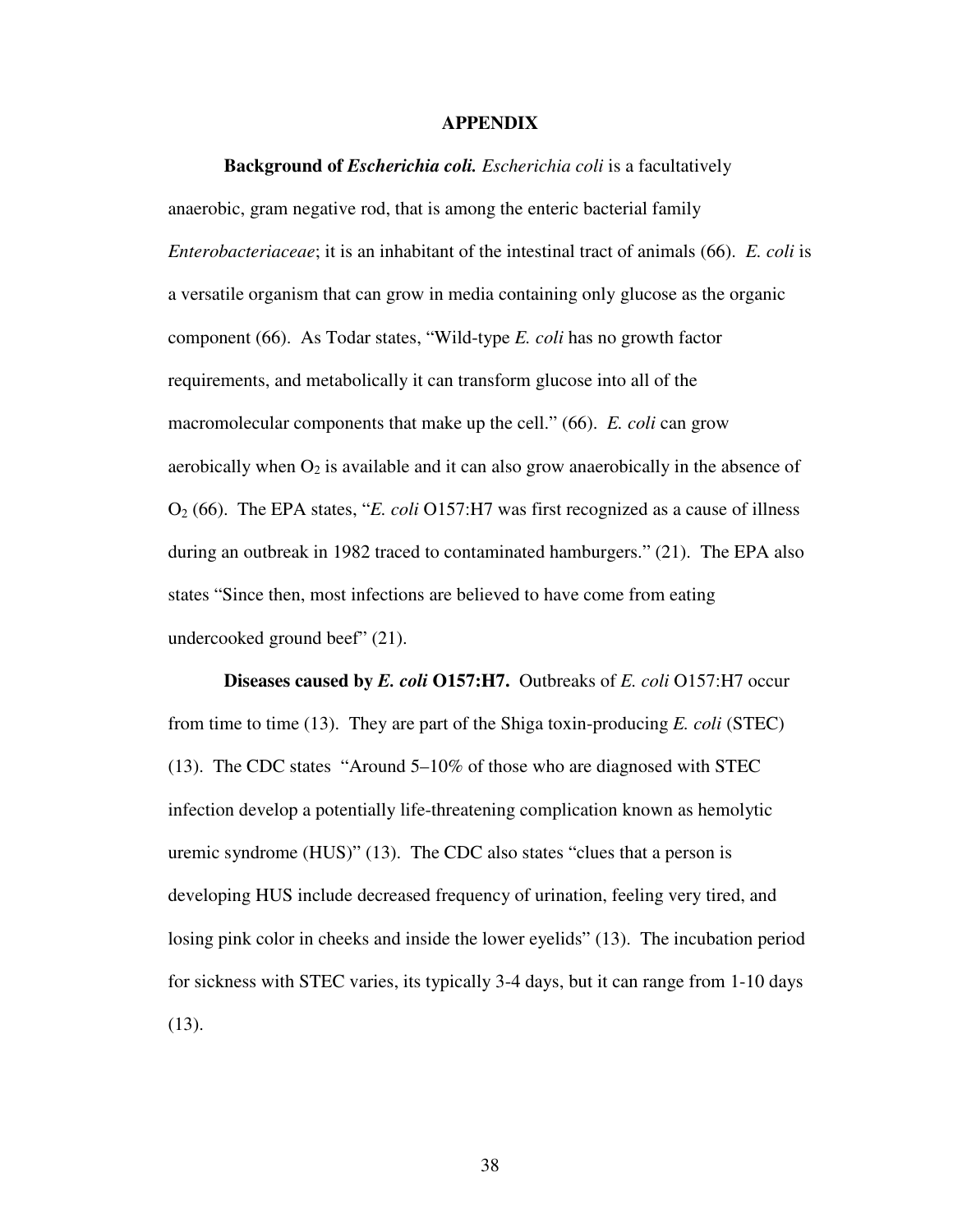### **APPENDIX**

#### **Background of** *Escherichia coli. Escherichia coli* is a facultatively

anaerobic, gram negative rod, that is among the enteric bacterial family *Enterobacteriaceae*; it is an inhabitant of the intestinal tract of animals (66). *E. coli* is a versatile organism that can grow in media containing only glucose as the organic component (66). As Todar states, "Wild-type *E. coli* has no growth factor requirements, and metabolically it can transform glucose into all of the macromolecular components that make up the cell." (66). *E. coli* can grow aerobically when  $O_2$  is available and it can also grow anaerobically in the absence of O2 (66). The EPA states, "*E. coli* O157:H7 was first recognized as a cause of illness during an outbreak in 1982 traced to contaminated hamburgers." (21). The EPA also states "Since then, most infections are believed to have come from eating undercooked ground beef" (21).

**Diseases caused by** *E. coli* **O157:H7.** Outbreaks of *E. coli* O157:H7 occur from time to time (13). They are part of the Shiga toxin-producing *E. coli* (STEC) (13). The CDC states "Around 5–10% of those who are diagnosed with STEC infection develop a potentially life-threatening complication known as hemolytic uremic syndrome (HUS)" (13). The CDC also states "clues that a person is developing HUS include decreased frequency of urination, feeling very tired, and losing pink color in cheeks and inside the lower eyelids" (13). The incubation period for sickness with STEC varies, its typically 3-4 days, but it can range from 1-10 days (13).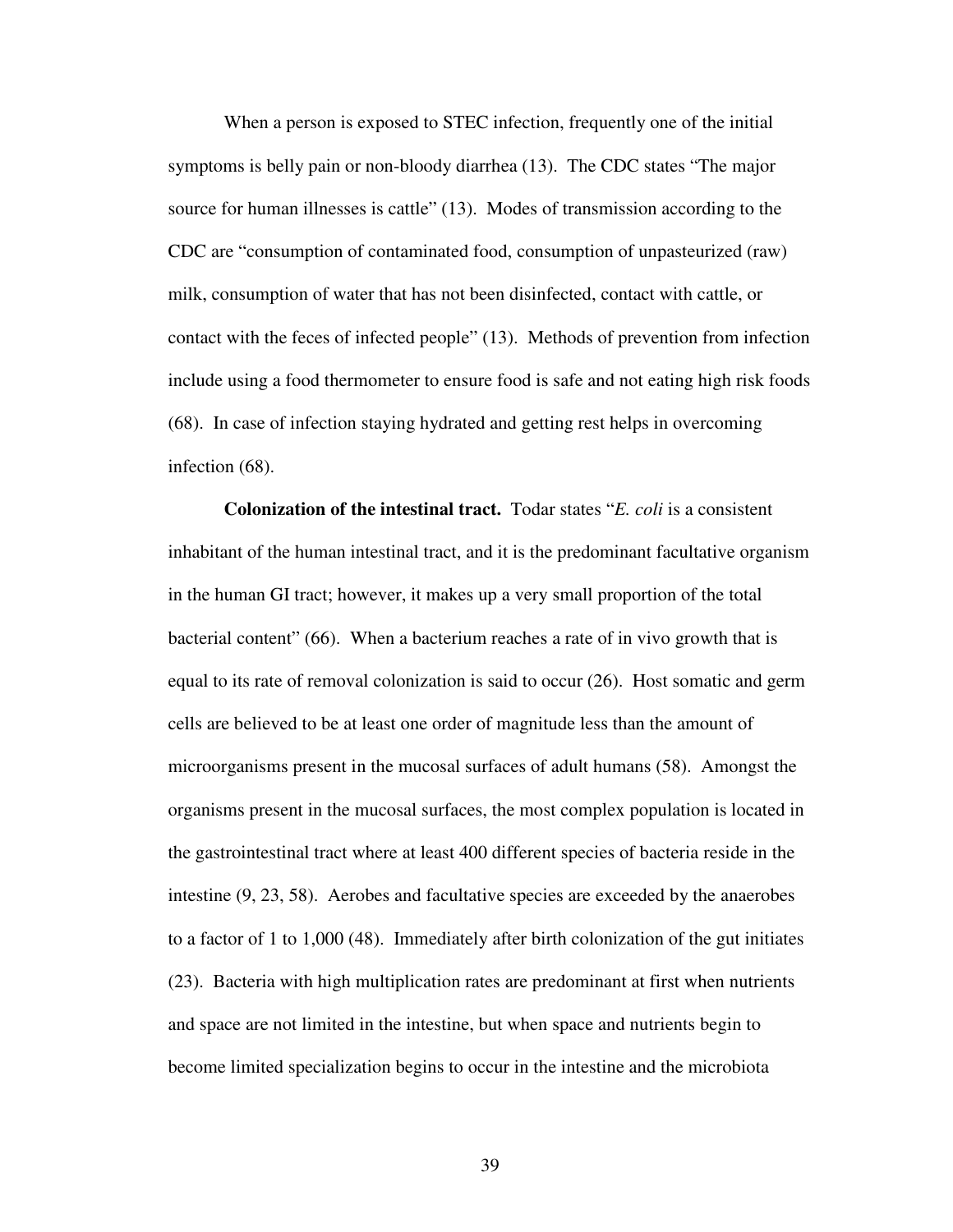When a person is exposed to STEC infection, frequently one of the initial symptoms is belly pain or non-bloody diarrhea (13). The CDC states "The major source for human illnesses is cattle" (13). Modes of transmission according to the CDC are "consumption of contaminated food, consumption of unpasteurized (raw) milk, consumption of water that has not been disinfected, contact with cattle, or contact with the feces of infected people" (13). Methods of prevention from infection include using a food thermometer to ensure food is safe and not eating high risk foods (68). In case of infection staying hydrated and getting rest helps in overcoming infection (68).

**Colonization of the intestinal tract.** Todar states "*E. coli* is a consistent inhabitant of the human intestinal tract, and it is the predominant facultative organism in the human GI tract; however, it makes up a very small proportion of the total bacterial content" (66). When a bacterium reaches a rate of in vivo growth that is equal to its rate of removal colonization is said to occur (26). Host somatic and germ cells are believed to be at least one order of magnitude less than the amount of microorganisms present in the mucosal surfaces of adult humans (58). Amongst the organisms present in the mucosal surfaces, the most complex population is located in the gastrointestinal tract where at least 400 different species of bacteria reside in the intestine (9, 23, 58). Aerobes and facultative species are exceeded by the anaerobes to a factor of 1 to 1,000 (48). Immediately after birth colonization of the gut initiates (23). Bacteria with high multiplication rates are predominant at first when nutrients and space are not limited in the intestine, but when space and nutrients begin to become limited specialization begins to occur in the intestine and the microbiota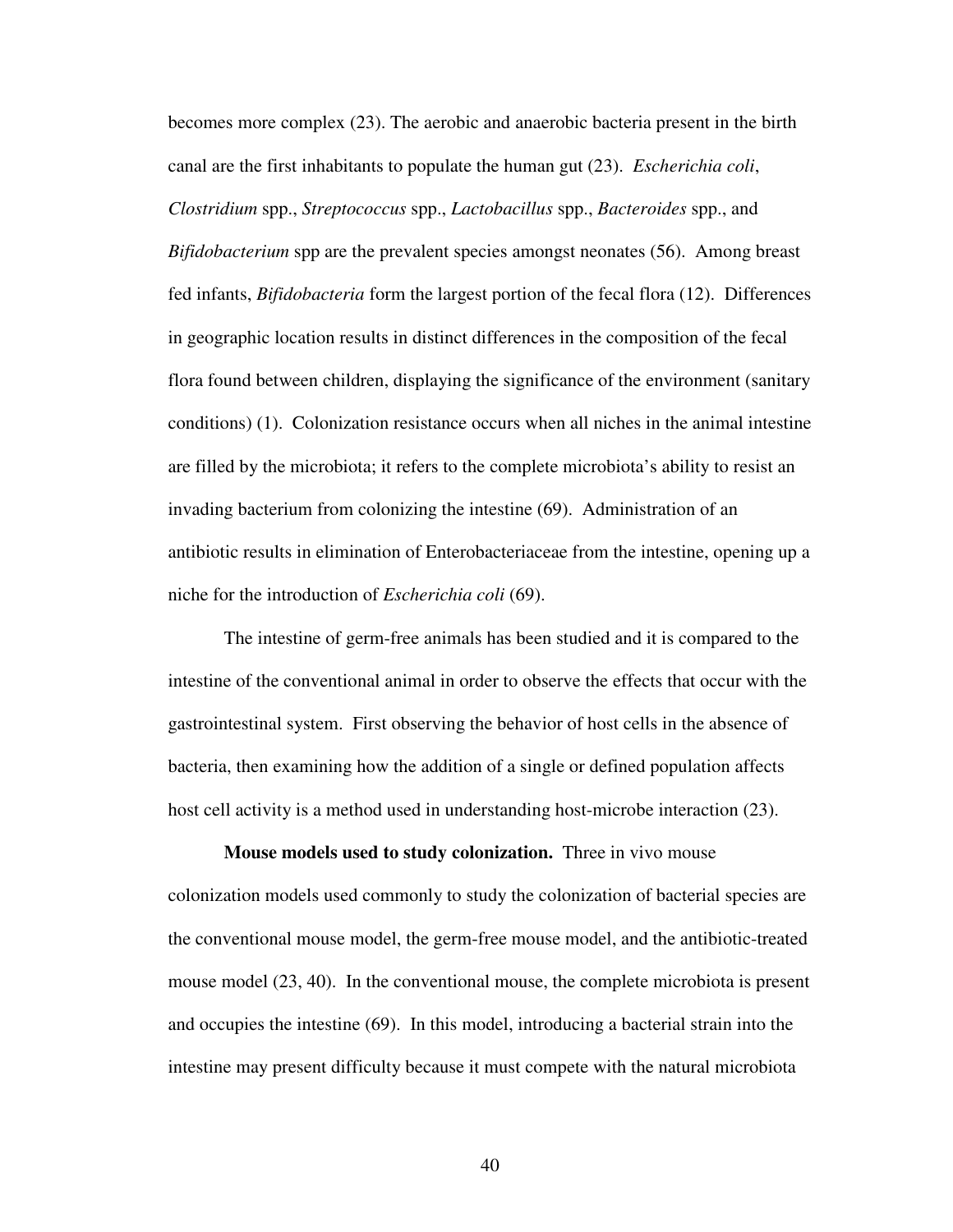becomes more complex (23). The aerobic and anaerobic bacteria present in the birth canal are the first inhabitants to populate the human gut (23). *Escherichia coli*, *Clostridium* spp., *Streptococcus* spp., *Lactobacillus* spp., *Bacteroides* spp., and *Bifidobacterium* spp are the prevalent species amongst neonates (56). Among breast fed infants, *Bifidobacteria* form the largest portion of the fecal flora (12). Differences in geographic location results in distinct differences in the composition of the fecal flora found between children, displaying the significance of the environment (sanitary conditions) (1). Colonization resistance occurs when all niches in the animal intestine are filled by the microbiota; it refers to the complete microbiota's ability to resist an invading bacterium from colonizing the intestine (69). Administration of an antibiotic results in elimination of Enterobacteriaceae from the intestine, opening up a niche for the introduction of *Escherichia coli* (69).

 The intestine of germ-free animals has been studied and it is compared to the intestine of the conventional animal in order to observe the effects that occur with the gastrointestinal system. First observing the behavior of host cells in the absence of bacteria, then examining how the addition of a single or defined population affects host cell activity is a method used in understanding host-microbe interaction (23).

**Mouse models used to study colonization.** Three in vivo mouse colonization models used commonly to study the colonization of bacterial species are the conventional mouse model, the germ-free mouse model, and the antibiotic-treated mouse model (23, 40). In the conventional mouse, the complete microbiota is present and occupies the intestine (69). In this model, introducing a bacterial strain into the intestine may present difficulty because it must compete with the natural microbiota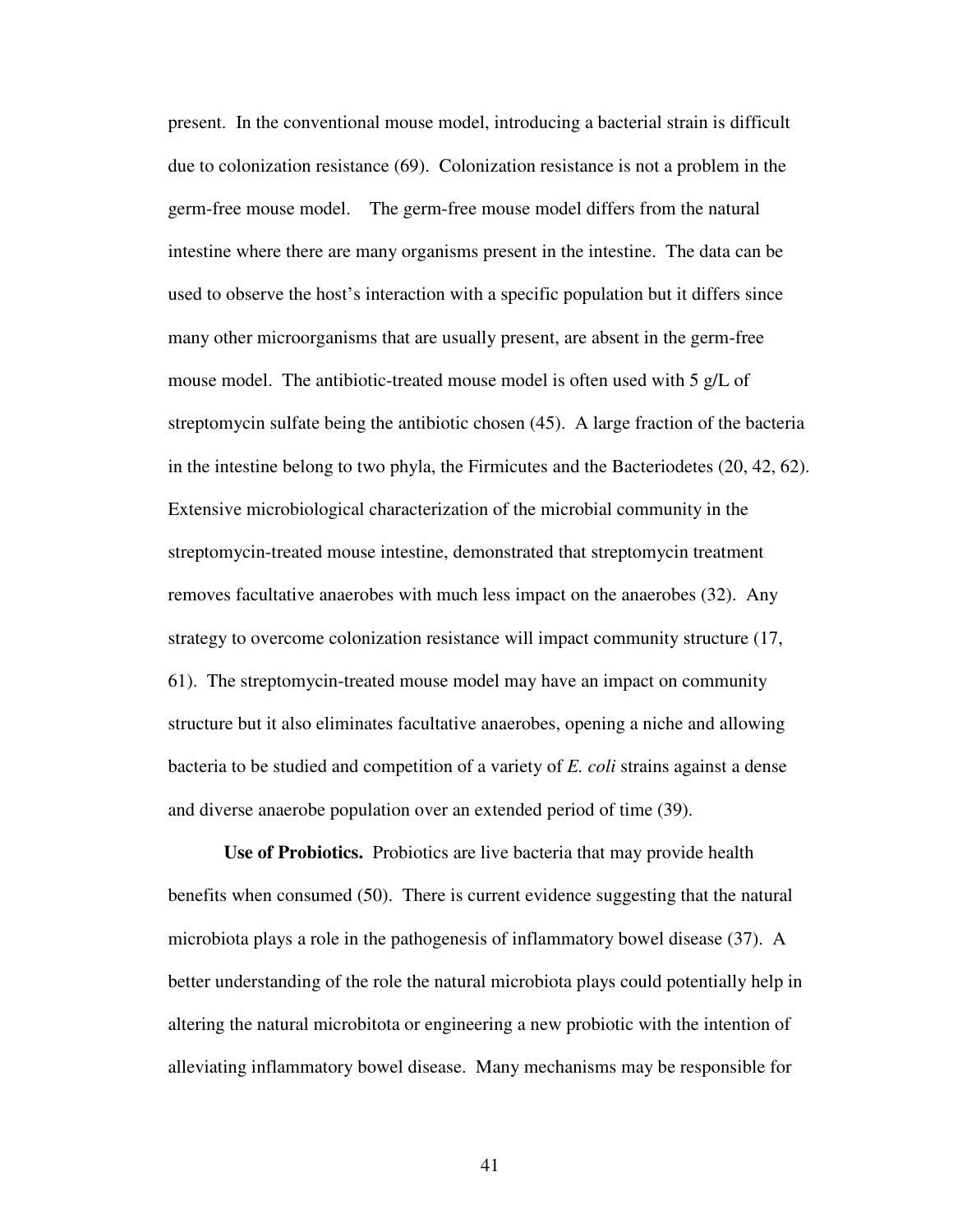present. In the conventional mouse model, introducing a bacterial strain is difficult due to colonization resistance (69). Colonization resistance is not a problem in the germ-free mouse model. The germ-free mouse model differs from the natural intestine where there are many organisms present in the intestine. The data can be used to observe the host's interaction with a specific population but it differs since many other microorganisms that are usually present, are absent in the germ-free mouse model. The antibiotic-treated mouse model is often used with 5 g/L of streptomycin sulfate being the antibiotic chosen (45). A large fraction of the bacteria in the intestine belong to two phyla, the Firmicutes and the Bacteriodetes (20, 42, 62). Extensive microbiological characterization of the microbial community in the streptomycin-treated mouse intestine, demonstrated that streptomycin treatment removes facultative anaerobes with much less impact on the anaerobes (32). Any strategy to overcome colonization resistance will impact community structure (17, 61). The streptomycin-treated mouse model may have an impact on community structure but it also eliminates facultative anaerobes, opening a niche and allowing bacteria to be studied and competition of a variety of *E. coli* strains against a dense and diverse anaerobe population over an extended period of time (39).

**Use of Probiotics.** Probiotics are live bacteria that may provide health benefits when consumed (50). There is current evidence suggesting that the natural microbiota plays a role in the pathogenesis of inflammatory bowel disease (37). A better understanding of the role the natural microbiota plays could potentially help in altering the natural microbitota or engineering a new probiotic with the intention of alleviating inflammatory bowel disease. Many mechanisms may be responsible for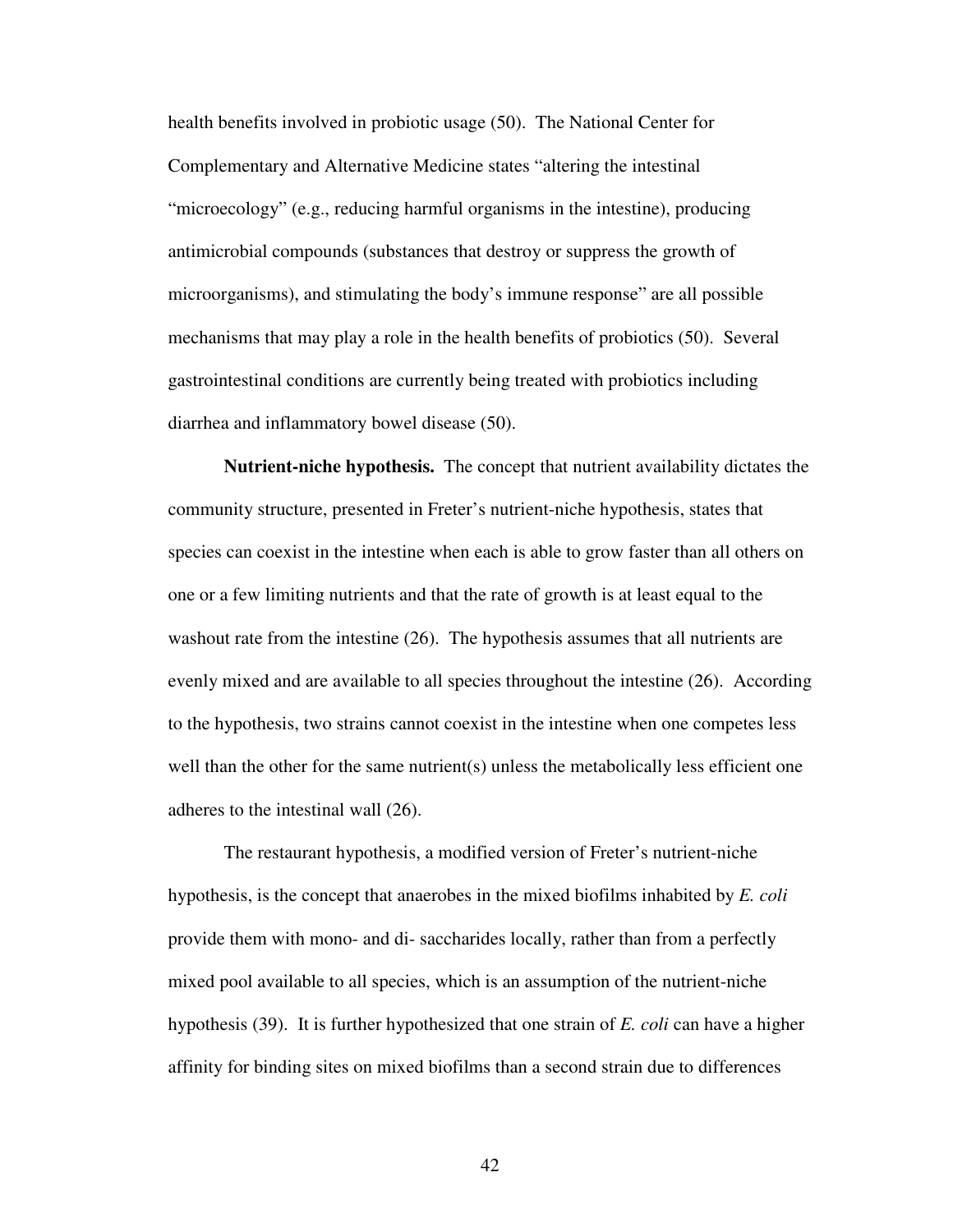health benefits involved in probiotic usage (50). The National Center for Complementary and Alternative Medicine states "altering the intestinal "microecology" (e.g., reducing harmful organisms in the intestine), producing antimicrobial compounds (substances that destroy or suppress the growth of microorganisms), and stimulating the body's immune response" are all possible mechanisms that may play a role in the health benefits of probiotics (50). Several gastrointestinal conditions are currently being treated with probiotics including diarrhea and inflammatory bowel disease (50).

**Nutrient-niche hypothesis.** The concept that nutrient availability dictates the community structure, presented in Freter's nutrient-niche hypothesis, states that species can coexist in the intestine when each is able to grow faster than all others on one or a few limiting nutrients and that the rate of growth is at least equal to the washout rate from the intestine (26). The hypothesis assumes that all nutrients are evenly mixed and are available to all species throughout the intestine (26). According to the hypothesis, two strains cannot coexist in the intestine when one competes less well than the other for the same nutrient(s) unless the metabolically less efficient one adheres to the intestinal wall (26).

The restaurant hypothesis, a modified version of Freter's nutrient-niche hypothesis, is the concept that anaerobes in the mixed biofilms inhabited by *E. coli*  provide them with mono- and di- saccharides locally, rather than from a perfectly mixed pool available to all species, which is an assumption of the nutrient-niche hypothesis (39). It is further hypothesized that one strain of *E. coli* can have a higher affinity for binding sites on mixed biofilms than a second strain due to differences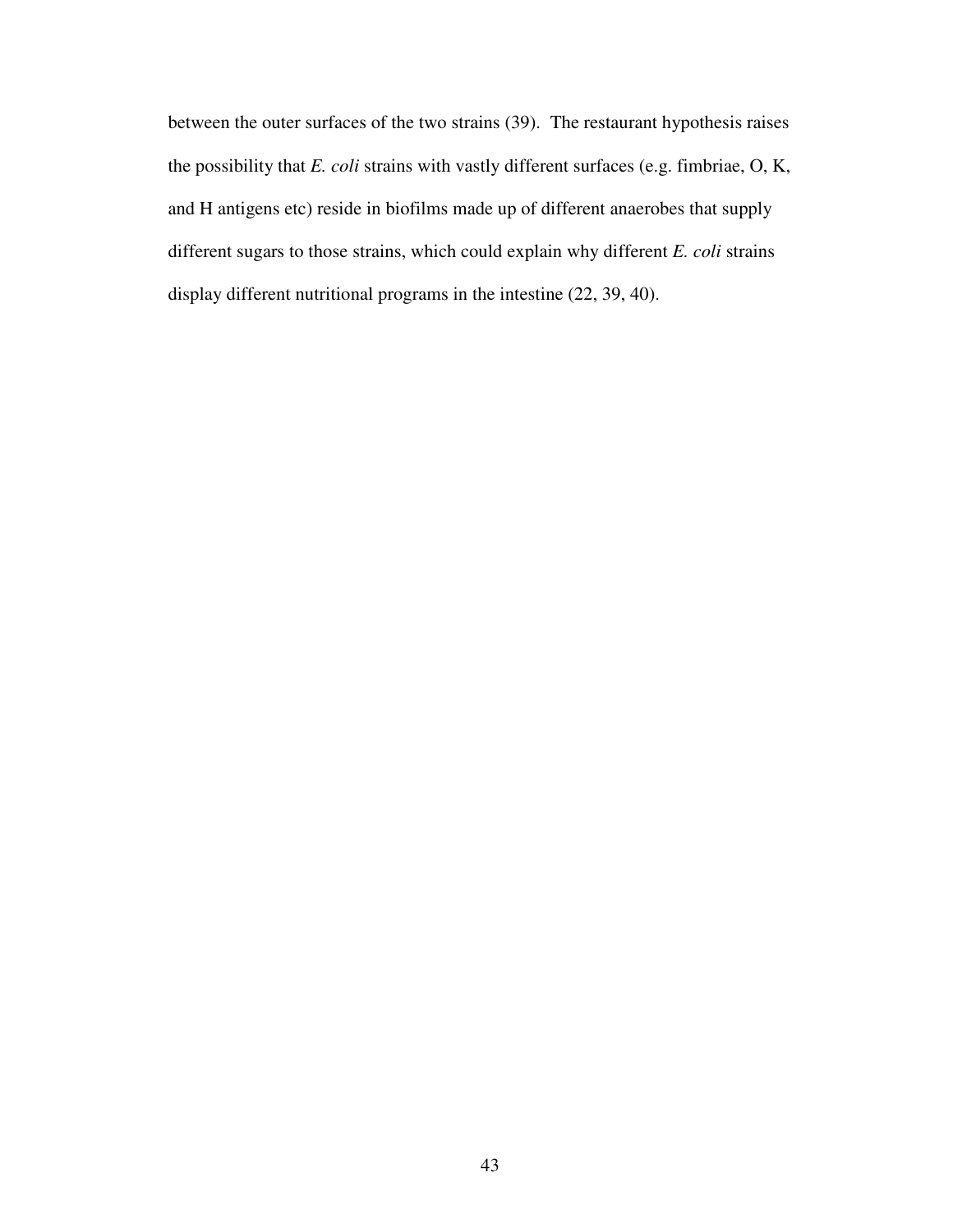between the outer surfaces of the two strains (39). The restaurant hypothesis raises the possibility that *E. coli* strains with vastly different surfaces (e.g. fimbriae, O, K, and H antigens etc) reside in biofilms made up of different anaerobes that supply different sugars to those strains, which could explain why different *E. coli* strains display different nutritional programs in the intestine (22, 39, 40).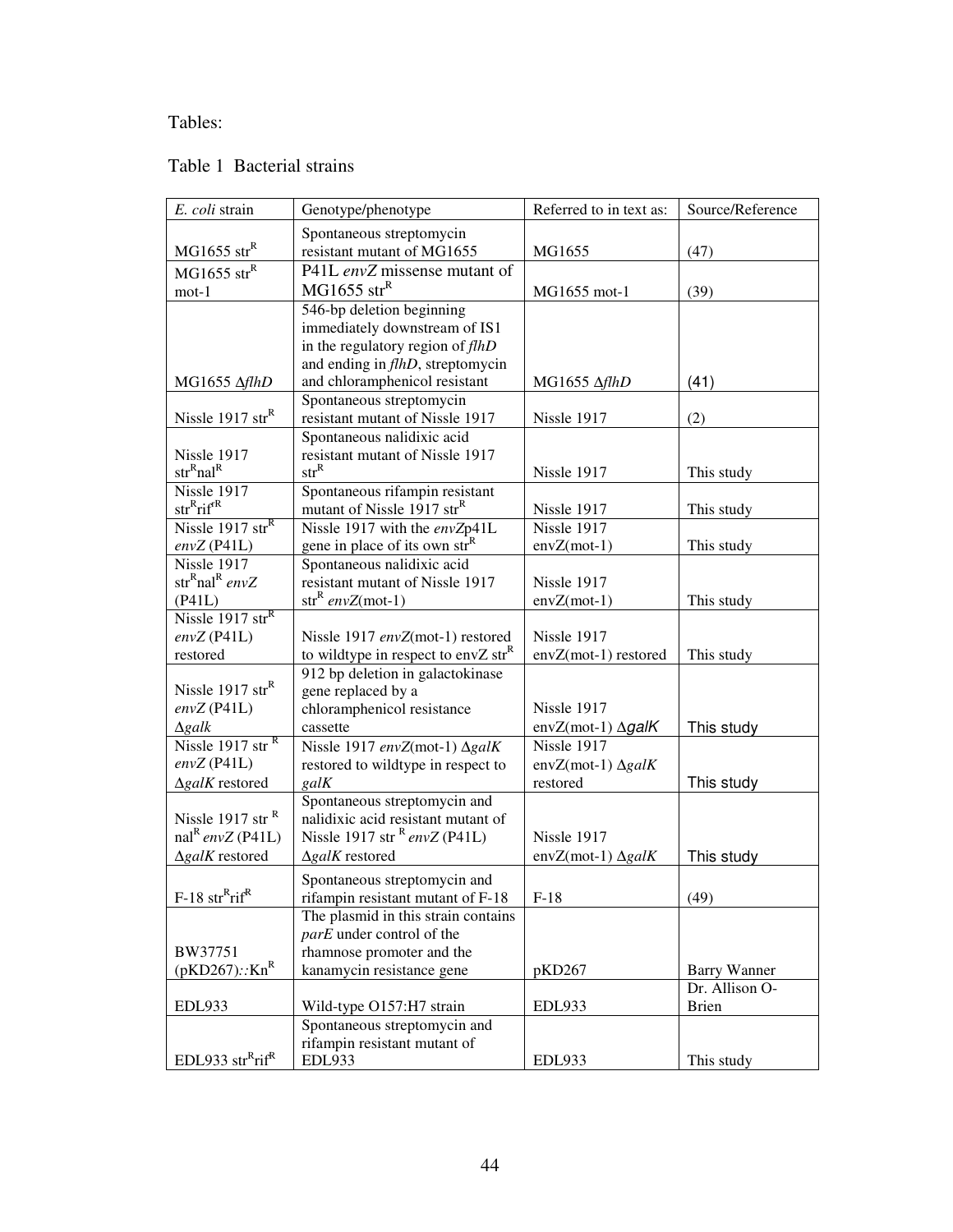# Tables:

# Table 1 Bacterial strains

| E. coli strain                           | Genotype/phenotype                                                                  | Referred to in text as:             | Source/Reference                      |
|------------------------------------------|-------------------------------------------------------------------------------------|-------------------------------------|---------------------------------------|
|                                          | Spontaneous streptomycin                                                            |                                     |                                       |
| $MG1655$ str <sup>R</sup>                | resistant mutant of MG1655                                                          | MG1655                              | (47)                                  |
| $MG1655$ str <sup>R</sup>                | P41L envZ missense mutant of                                                        |                                     |                                       |
| $mot-1$                                  | $MG1655$ str <sup>R</sup>                                                           | MG1655 mot-1                        | (39)                                  |
|                                          | 546-bp deletion beginning                                                           |                                     |                                       |
|                                          | immediately downstream of IS1                                                       |                                     |                                       |
|                                          | in the regulatory region of flhD                                                    |                                     |                                       |
|                                          | and ending in <i>flhD</i> , streptomycin                                            |                                     |                                       |
| MG1655 ΔflhD                             | and chloramphenicol resistant                                                       | MG1655 AflhD                        | (41)                                  |
| Nissle 1917 str $R$                      | Spontaneous streptomycin<br>resistant mutant of Nissle 1917                         | Nissle 1917                         | (2)                                   |
|                                          | Spontaneous nalidixic acid                                                          |                                     |                                       |
| Nissle 1917                              | resistant mutant of Nissle 1917                                                     |                                     |                                       |
| str <sup>R</sup> nal <sup>R</sup>        | $str^R$                                                                             | Nissle 1917                         | This study                            |
| Nissle 1917                              | Spontaneous rifampin resistant                                                      |                                     |                                       |
| $strR$ rif <sup>rR</sup>                 | mutant of Nissle 1917 str <sup>R</sup>                                              | Nissle 1917                         | This study                            |
| Nissle 1917 str $R$                      | Nissle 1917 with the envZp41L                                                       | Nissle 1917                         |                                       |
| $envZ$ (P41L)                            | gene in place of its own str <sup>R</sup>                                           | $envZ(mot-1)$                       | This study                            |
| Nissle 1917                              | Spontaneous nalidixic acid                                                          |                                     |                                       |
| str <sup>R</sup> nal <sup>R</sup> envZ   | resistant mutant of Nissle 1917                                                     | Nissle 1917                         |                                       |
| (P41L)                                   | $str^R envZ(mot-1)$                                                                 | $envZ(mot-1)$                       | This study                            |
| Nissle 1917 str $R$                      |                                                                                     |                                     |                                       |
| $envZ$ (P41L)<br>restored                | Nissle 1917 envZ(mot-1) restored<br>to wildtype in respect to envZ str <sup>R</sup> | Nissle 1917<br>envZ(mot-1) restored | This study                            |
|                                          | 912 bp deletion in galactokinase                                                    |                                     |                                       |
| Nissle 1917 str $R$                      | gene replaced by a                                                                  |                                     |                                       |
| $envZ$ (P41L)                            | chloramphenicol resistance                                                          | Nissle 1917                         |                                       |
| $\Delta$ galk                            | cassette                                                                            | $envZ(mot-1)$ $\Delta galK$         | This study                            |
| Nissle 1917 str <sup>R</sup>             | Nissle 1917 envZ(mot-1) ΔgalK                                                       | Nissle 1917                         |                                       |
| $envZ$ (P41L)                            | restored to wildtype in respect to                                                  | envZ(mot-1) $\Delta galK$           |                                       |
| $\Delta galK$ restored                   | galK                                                                                | restored                            | This study                            |
|                                          | Spontaneous streptomycin and                                                        |                                     |                                       |
| Nissle 1917 str <sup>R</sup>             | nalidixic acid resistant mutant of                                                  |                                     |                                       |
| $\text{nal}^R$ envZ (P41L)               | Nissle 1917 str $R$ envZ (P41L)                                                     | Nissle 1917                         |                                       |
| $\Delta galK$ restored                   | $\Delta galK$ restored                                                              | envZ(mot-1) $\Delta galK$           | This study                            |
|                                          | Spontaneous streptomycin and                                                        |                                     |                                       |
| $F-18 str$ <sup>R</sup> rif <sup>R</sup> | rifampin resistant mutant of F-18                                                   | $F-18$                              | (49)                                  |
|                                          | The plasmid in this strain contains                                                 |                                     |                                       |
|                                          | parE under control of the                                                           |                                     |                                       |
| BW37751<br>$(pKD267)::Kn^R$              | rhamnose promoter and the<br>kanamycin resistance gene                              | pKD267                              |                                       |
|                                          |                                                                                     |                                     | <b>Barry Wanner</b><br>Dr. Allison O- |
| EDL933                                   | Wild-type O157:H7 strain                                                            | <b>EDL933</b>                       | <b>Brien</b>                          |
|                                          | Spontaneous streptomycin and                                                        |                                     |                                       |
|                                          | rifampin resistant mutant of                                                        |                                     |                                       |
| EDL933 $strRrifR$                        | <b>EDL933</b>                                                                       | <b>EDL933</b>                       | This study                            |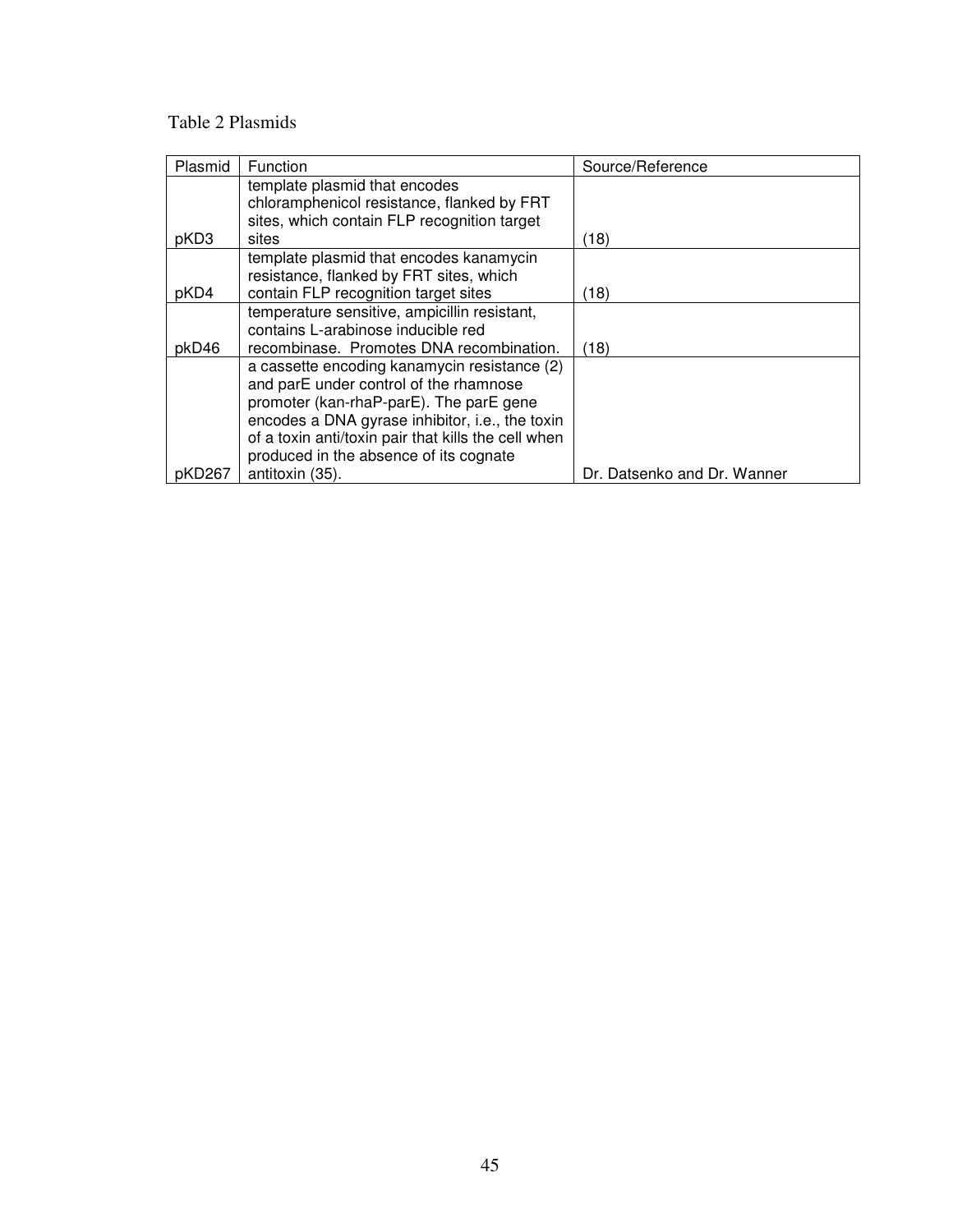# Table 2 Plasmids

| Plasmid | Function                                            | Source/Reference            |
|---------|-----------------------------------------------------|-----------------------------|
|         | template plasmid that encodes                       |                             |
|         | chloramphenicol resistance, flanked by FRT          |                             |
|         | sites, which contain FLP recognition target         |                             |
| pKD3    | sites                                               | (18)                        |
|         | template plasmid that encodes kanamycin             |                             |
|         | resistance, flanked by FRT sites, which             |                             |
| pKD4    | contain FLP recognition target sites                | (18)                        |
|         | temperature sensitive, ampicillin resistant,        |                             |
|         | contains L-arabinose inducible red                  |                             |
| pkD46   | recombinase. Promotes DNA recombination.            | (18)                        |
|         | a cassette encoding kanamycin resistance (2)        |                             |
|         | and parE under control of the rhamnose              |                             |
|         | promoter (kan-rhaP-parE). The parE gene             |                             |
|         | encodes a DNA gyrase inhibitor, i.e., the toxin     |                             |
|         | of a toxin anti/toxin pair that kills the cell when |                             |
|         | produced in the absence of its cognate              |                             |
| pKD267  | antitoxin (35).                                     | Dr. Datsenko and Dr. Wanner |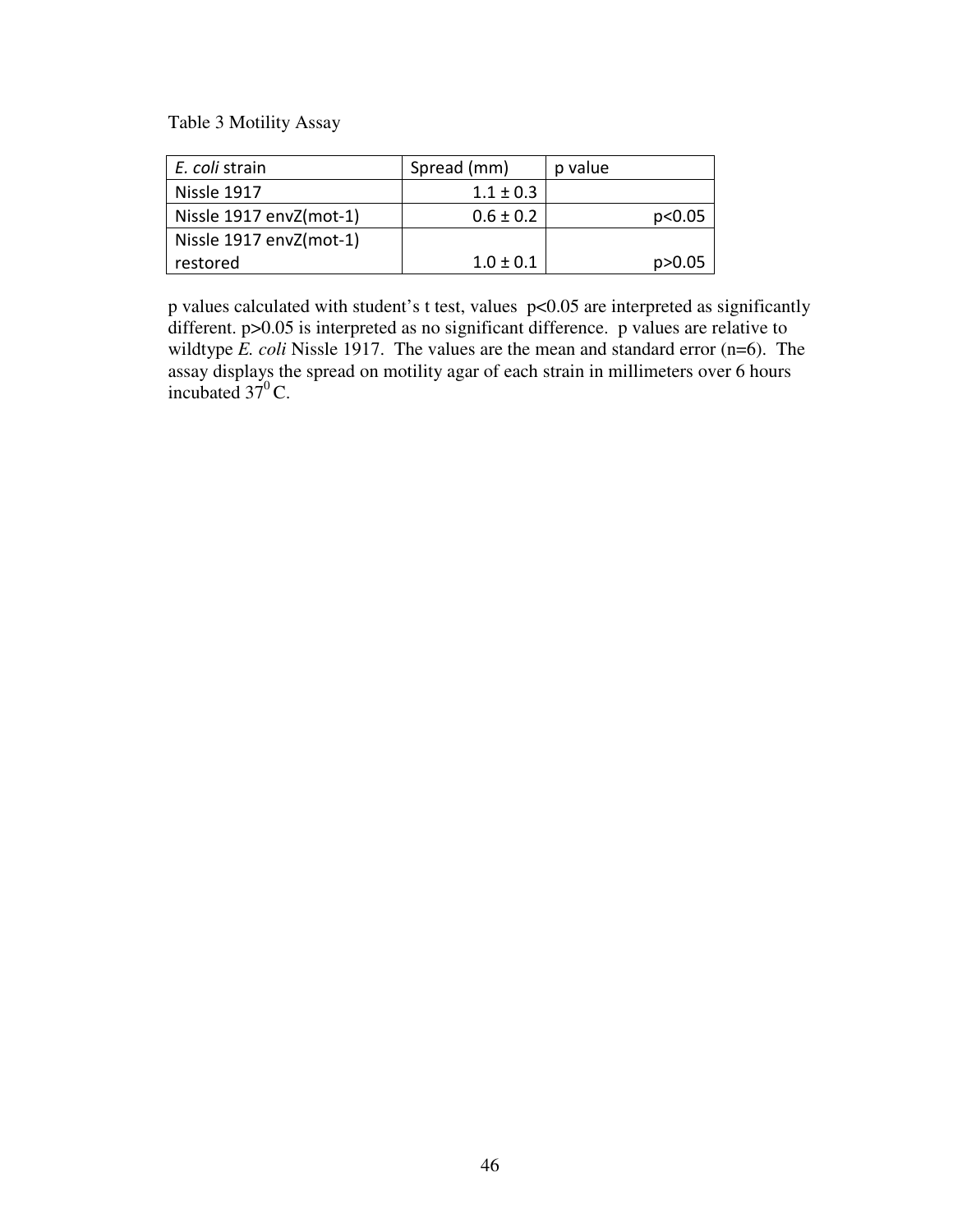Table 3 Motility Assay

| E. coli strain          | Spread (mm)   | p value  |
|-------------------------|---------------|----------|
| Nissle 1917             | $1.1 \pm 0.3$ |          |
| Nissle 1917 envZ(mot-1) | $0.6 \pm 0.2$ | p<0.05   |
| Nissle 1917 envZ(mot-1) |               |          |
| restored                | $1.0 \pm 0.1$ | p > 0.05 |

p values calculated with student's t test, values p<0.05 are interpreted as significantly different. p>0.05 is interpreted as no significant difference. p values are relative to wildtype *E. coli* Nissle 1917. The values are the mean and standard error (n=6). The assay displays the spread on motility agar of each strain in millimeters over 6 hours incubated  $37^{\circ}$ C.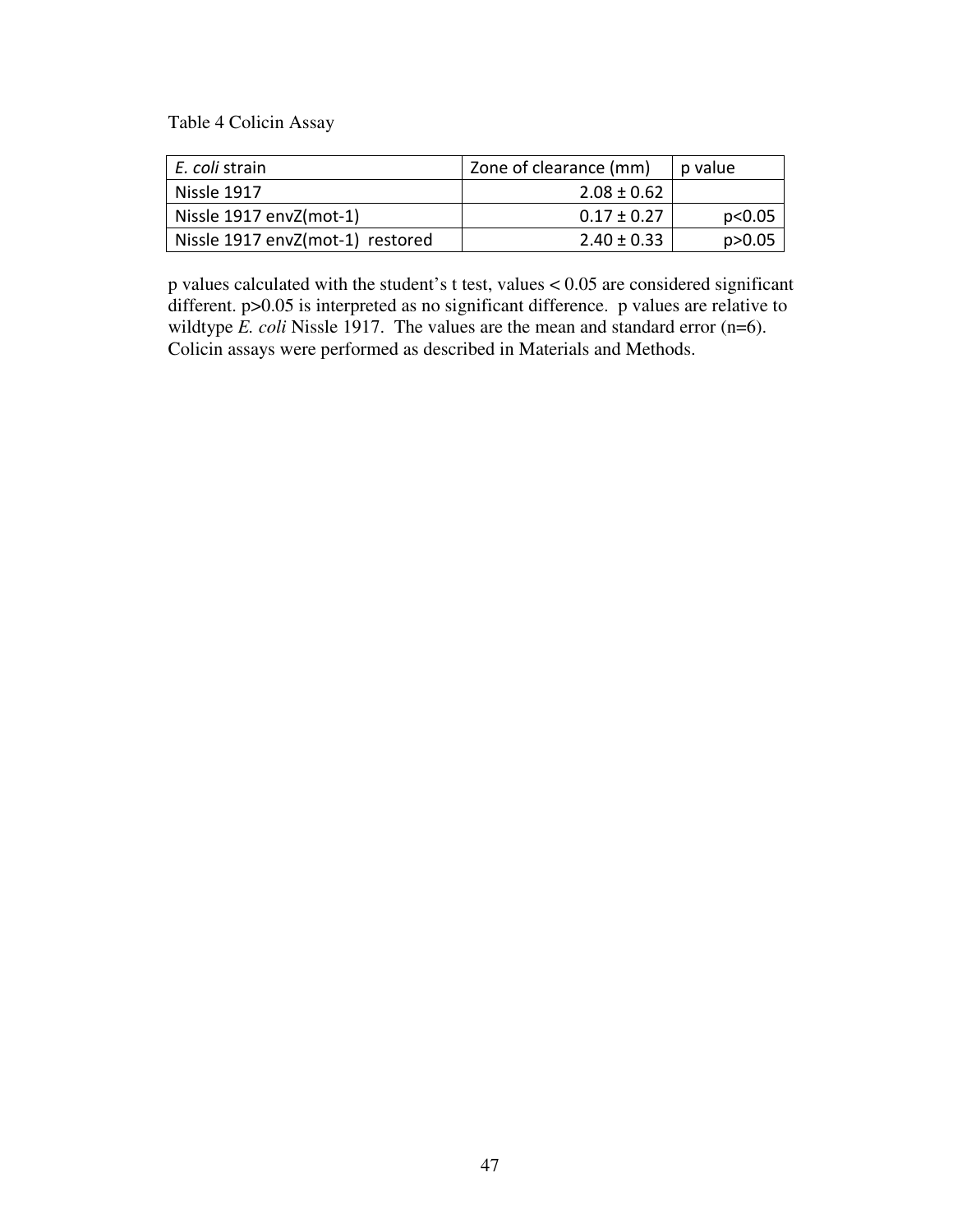Table 4 Colicin Assay

| E. coli strain                   | Zone of clearance (mm) | p value  |
|----------------------------------|------------------------|----------|
| Nissle 1917                      | $2.08 \pm 0.62$        |          |
| Nissle 1917 envZ(mot-1)          | $0.17 \pm 0.27$        | p<0.05   |
| Nissle 1917 envZ(mot-1) restored | $2.40 \pm 0.33$        | p > 0.05 |

p values calculated with the student's t test, values < 0.05 are considered significant different. p>0.05 is interpreted as no significant difference. p values are relative to wildtype *E. coli* Nissle 1917. The values are the mean and standard error (n=6). Colicin assays were performed as described in Materials and Methods.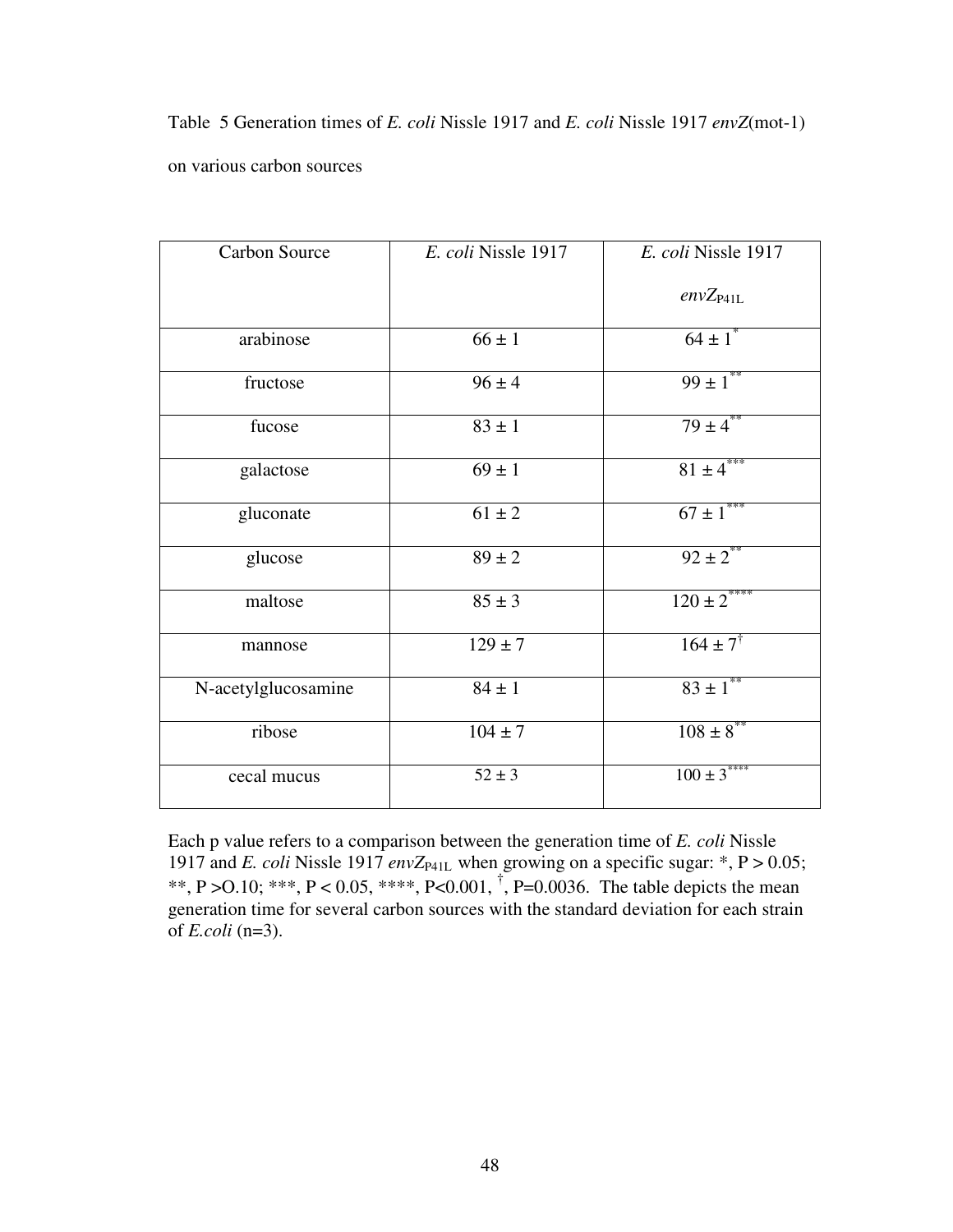Table 5 Generation times of *E. coli* Nissle 1917 and *E. coli* Nissle 1917 *envZ*(mot-1) on various carbon sources

| <b>Carbon Source</b> | E. coli Nissle 1917   | E. coli Nissle 1917       |
|----------------------|-----------------------|---------------------------|
|                      |                       | $envZ_{P41L}$             |
| arabinose            | $66 \pm 1$            | $64 \pm 1$ <sup>*</sup>   |
| fructose             | $96 \pm 4$            | $99 \pm 1$ **             |
| fucose               | $83 \pm 1$            | $79 + 4^{**}$             |
| galactose            | $69 \pm 1$            | $81 \pm 4$ ***            |
| gluconate            | $61 \pm 2$            | $67 \pm 1$ <sup>***</sup> |
| glucose              | $\overline{89} \pm 2$ | $92 \pm 2$ <sup>**</sup>  |
| maltose              | $85 \pm 3$            | $120 \pm 2$ ****          |
| mannose              | $129 \pm 7$           | $164 \pm 7^{\dagger}$     |
| N-acetylglucosamine  | $84 \pm 1$            | $83 \pm 1$ <sup>**</sup>  |
| ribose               | $104 \pm 7$           | $108 \pm 8$ **            |
| cecal mucus          | $52 \pm 3$            | $100 \pm 3$ ****          |

Each p value refers to a comparison between the generation time of *E. coli* Nissle 1917 and *E. coli* Nissle 1917 *envZ*<sub>P41L</sub> when growing on a specific sugar: \*,  $P > 0.05$ ; \*\*, P > O.10; \*\*\*, P < 0.05, \*\*\*\*, P < 0.001,  $^{\dagger}$ , P = 0.0036. The table depicts the mean generation time for several carbon sources with the standard deviation for each strain of *E.coli* (n=3).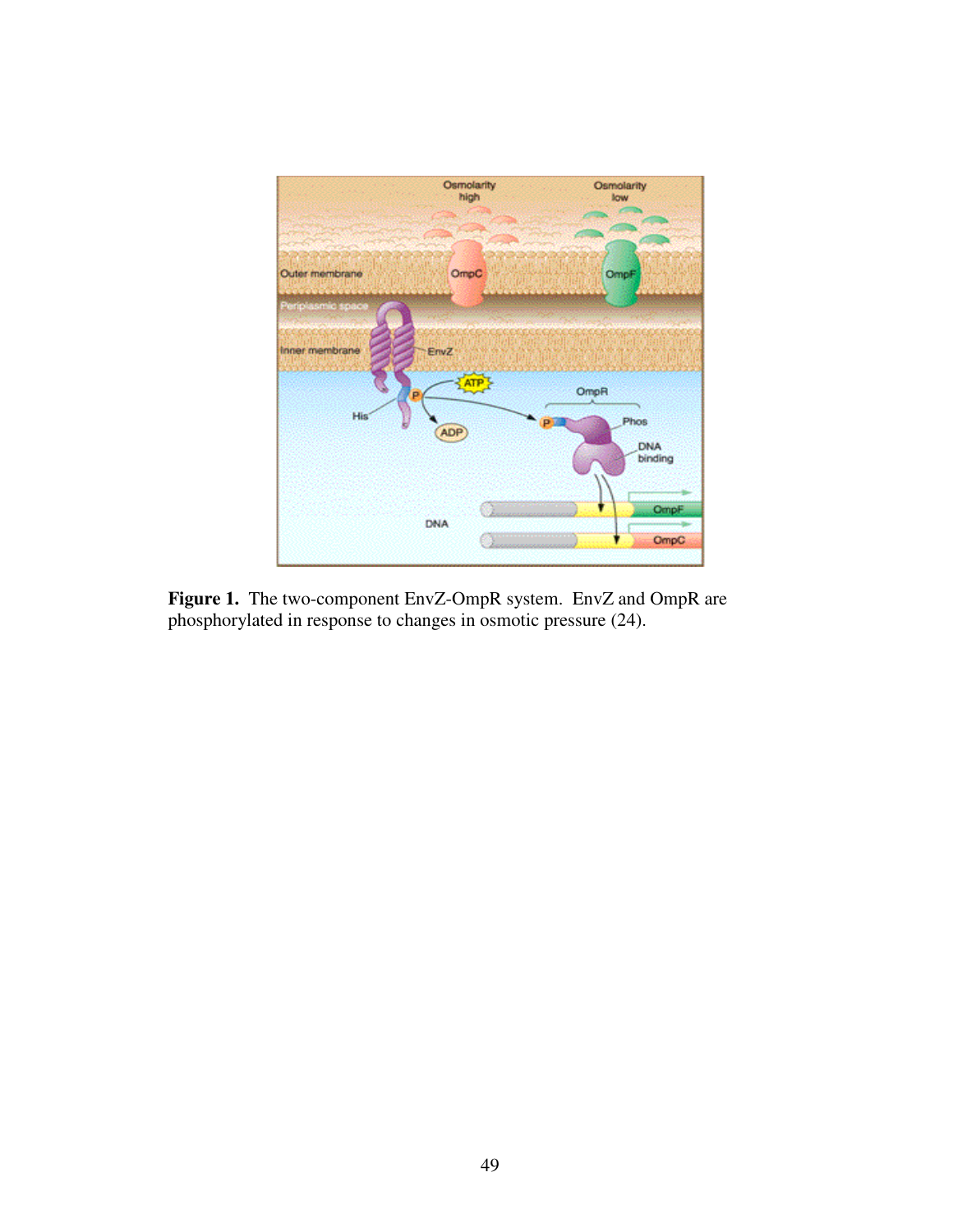

**Figure 1.** The two-component EnvZ-OmpR system. EnvZ and OmpR are phosphorylated in response to changes in osmotic pressure (24).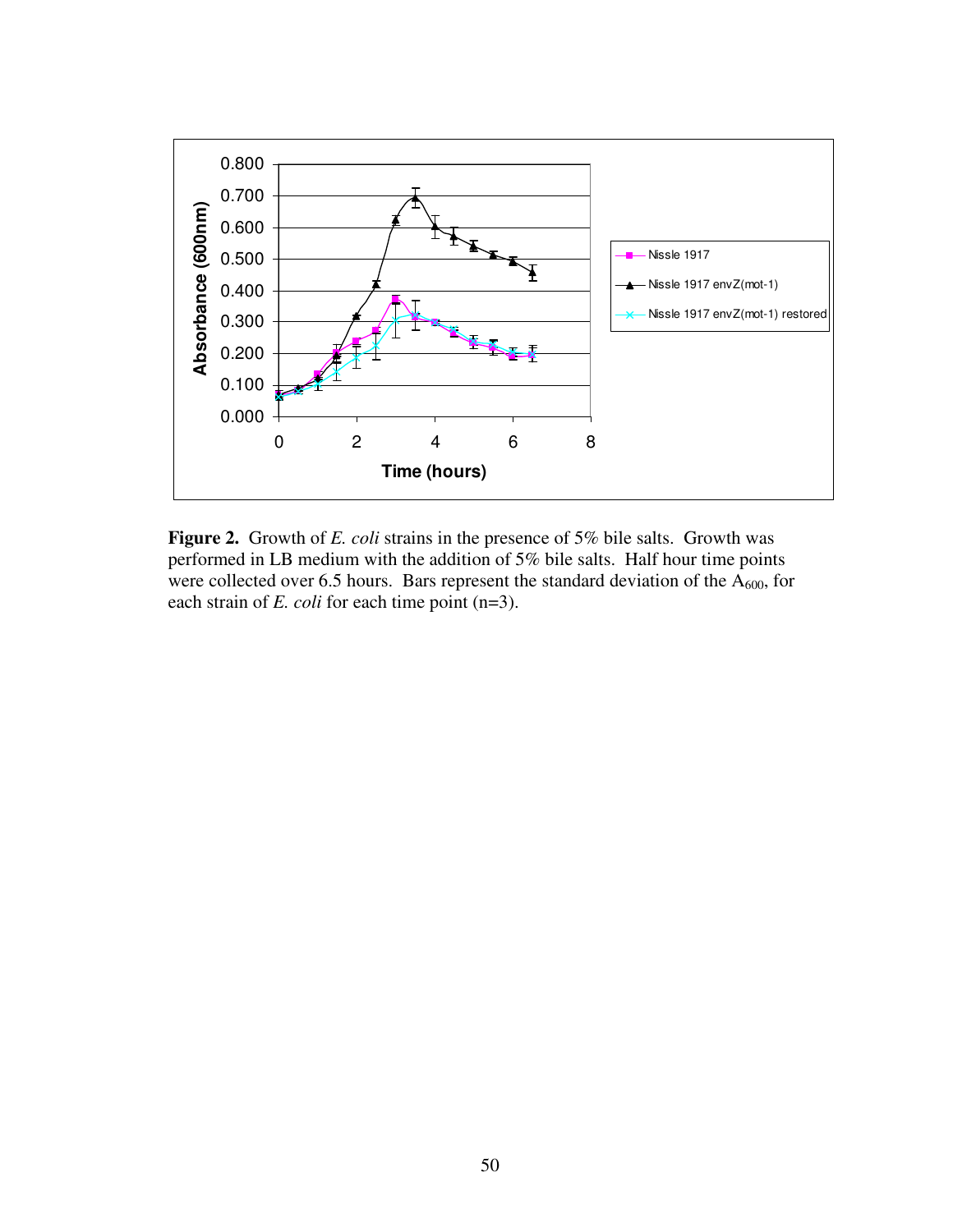

**Figure 2.** Growth of *E. coli* strains in the presence of 5% bile salts. Growth was performed in LB medium with the addition of 5% bile salts. Half hour time points were collected over 6.5 hours. Bars represent the standard deviation of the  $A_{600}$ , for each strain of *E. coli* for each time point (n=3).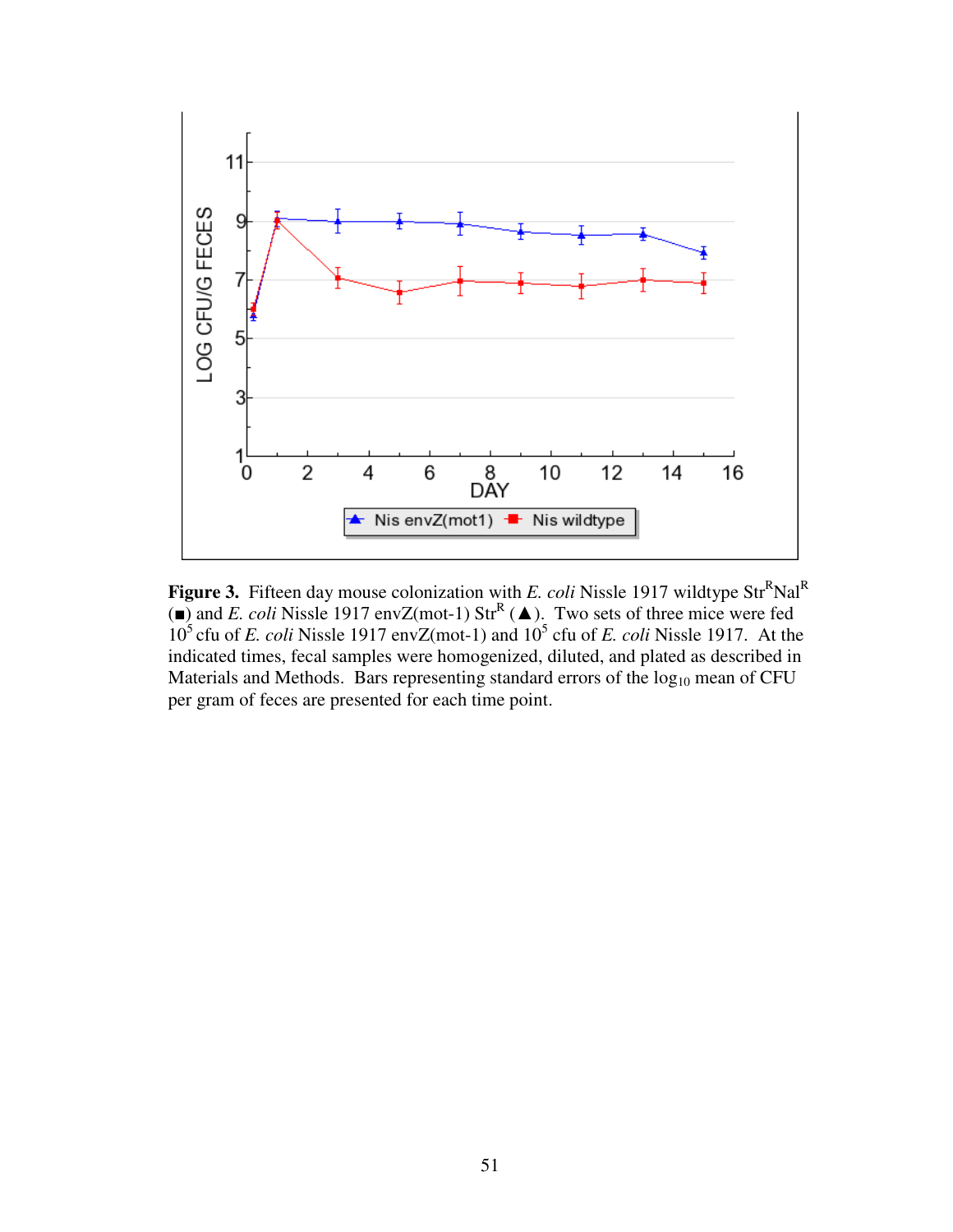

**Figure 3.** Fifteen day mouse colonization with *E. coli* Nissle 1917 wildtype Str<sup>R</sup>Nal<sup>R</sup> ( $\blacksquare$ ) and *E. coli* Nissle 1917 envZ(mot-1) Str<sup>R</sup> ( $\blacktriangle$ ). Two sets of three mice were fed  $10<sup>5</sup>$  cfu of *E. coli* Nissle 1917 envZ(mot-1) and  $10<sup>5</sup>$  cfu of *E. coli* Nissle 1917. At the indicated times, fecal samples were homogenized, diluted, and plated as described in Materials and Methods. Bars representing standard errors of the  $log_{10}$  mean of CFU per gram of feces are presented for each time point.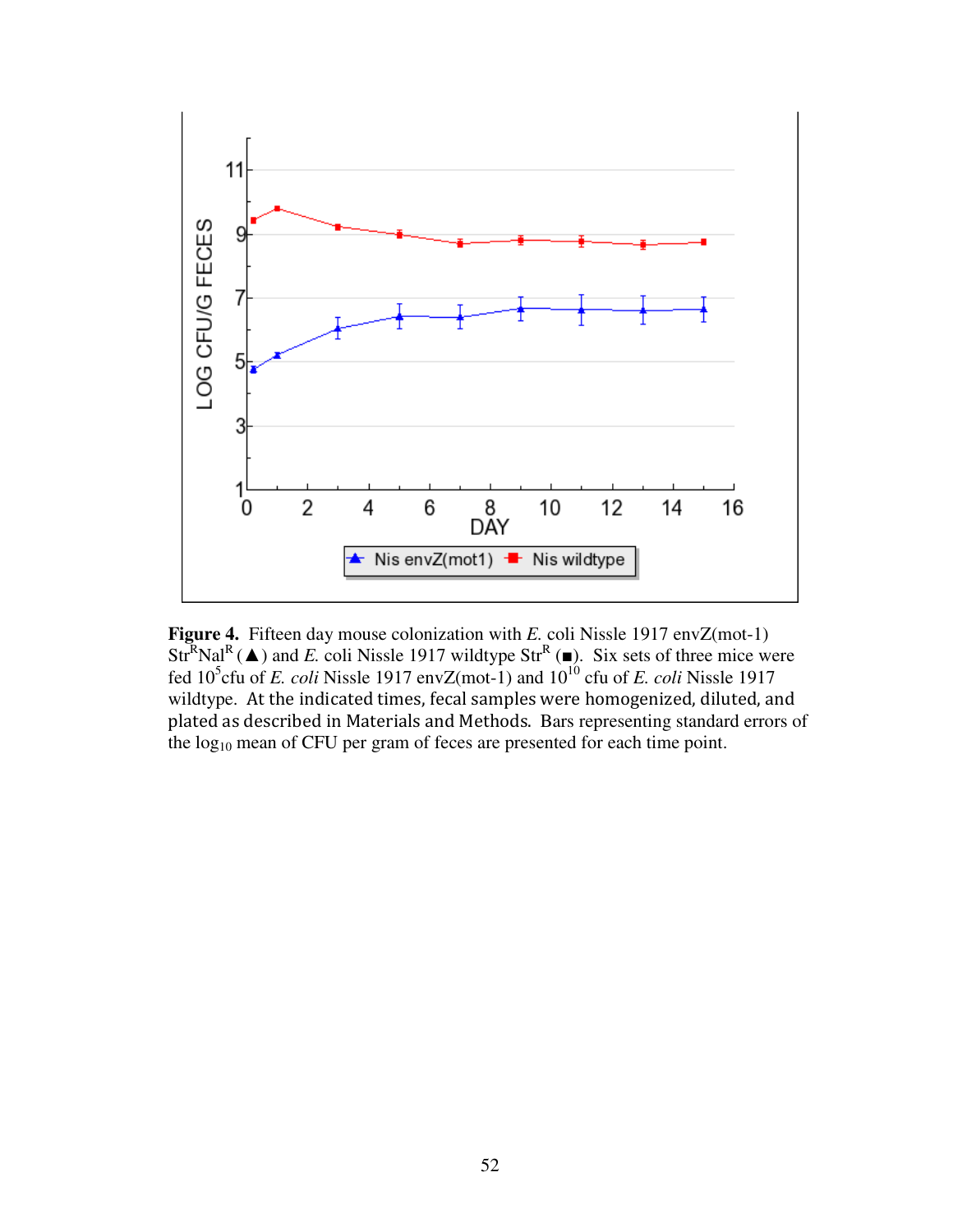

**Figure 4.** Fifteen day mouse colonization with *E.* coli Nissle 1917 envZ(mot-1) Str<sup>R</sup>Nal<sup>R</sup>( $\blacktriangle$ ) and *E*. coli Nissle 1917 wildtype Str<sup>R</sup>( $\blacktriangleright$ ). Six sets of three mice were fed  $10^5$ cfu of *E. coli* Nissle 1917 envZ(mot-1) and  $10^{10}$  cfu of *E. coli* Nissle 1917 wildtype. At the indicated times, fecal samples were homogenized, diluted, and plated as described in Materials and Methods. Bars representing standard errors of the log<sub>10</sub> mean of CFU per gram of feces are presented for each time point.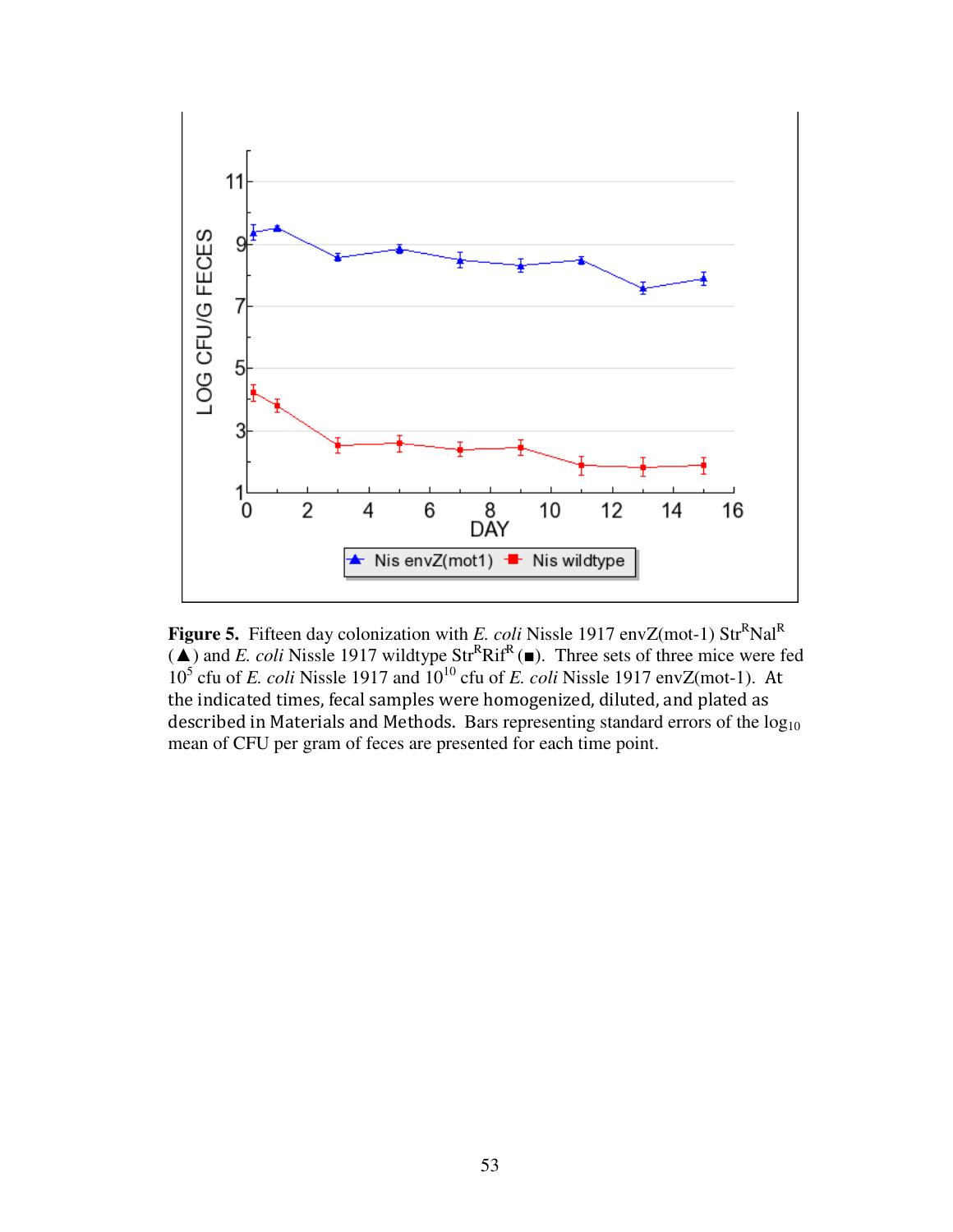

**Figure 5.** Fifteen day colonization with *E. coli* Nissle 1917 envZ(mot-1) Str<sup>R</sup>Nal<sup>R</sup>  $(\triangle)$  and *E. coli* Nissle 1917 wildtype Str<sup>R</sup>Rif<sup>R</sup>( $\blacksquare$ ). Three sets of three mice were fed 10<sup>5</sup> cfu of *E. coli* Nissle 1917 and 10<sup>10</sup> cfu of *E. coli* Nissle 1917 envZ(mot-1). At the indicated times, fecal samples were homogenized, diluted, and plated as described in Materials and Methods. Bars representing standard errors of the  $log_{10}$ mean of CFU per gram of feces are presented for each time point.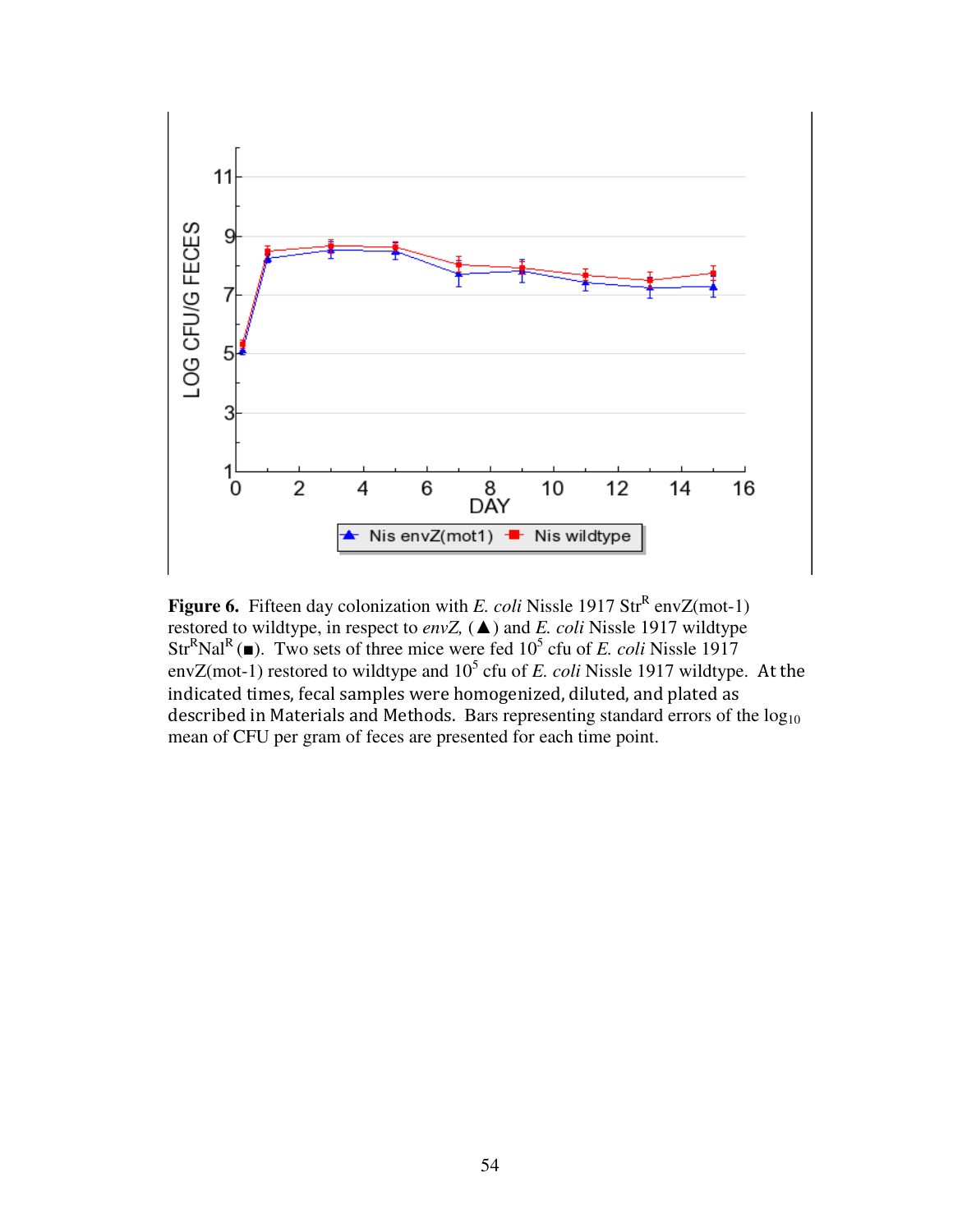

**Figure 6.** Fifteen day colonization with *E. coli* Nissle 1917 Str<sup>R</sup> envZ(mot-1) restored to wildtype, in respect to *envZ,* (▲) and *E. coli* Nissle 1917 wildtype  $Str^R$ Nal<sup>R</sup>( $\blacksquare$ ). Two sets of three mice were fed 10<sup>5</sup> cfu of *E. coli* Nissle 1917 envZ(mot-1) restored to wildtype and  $10^5$  cfu of *E. coli* Nissle 1917 wildtype. At the indicated times, fecal samples were homogenized, diluted, and plated as described in Materials and Methods. Bars representing standard errors of the  $log<sub>10</sub>$ mean of CFU per gram of feces are presented for each time point.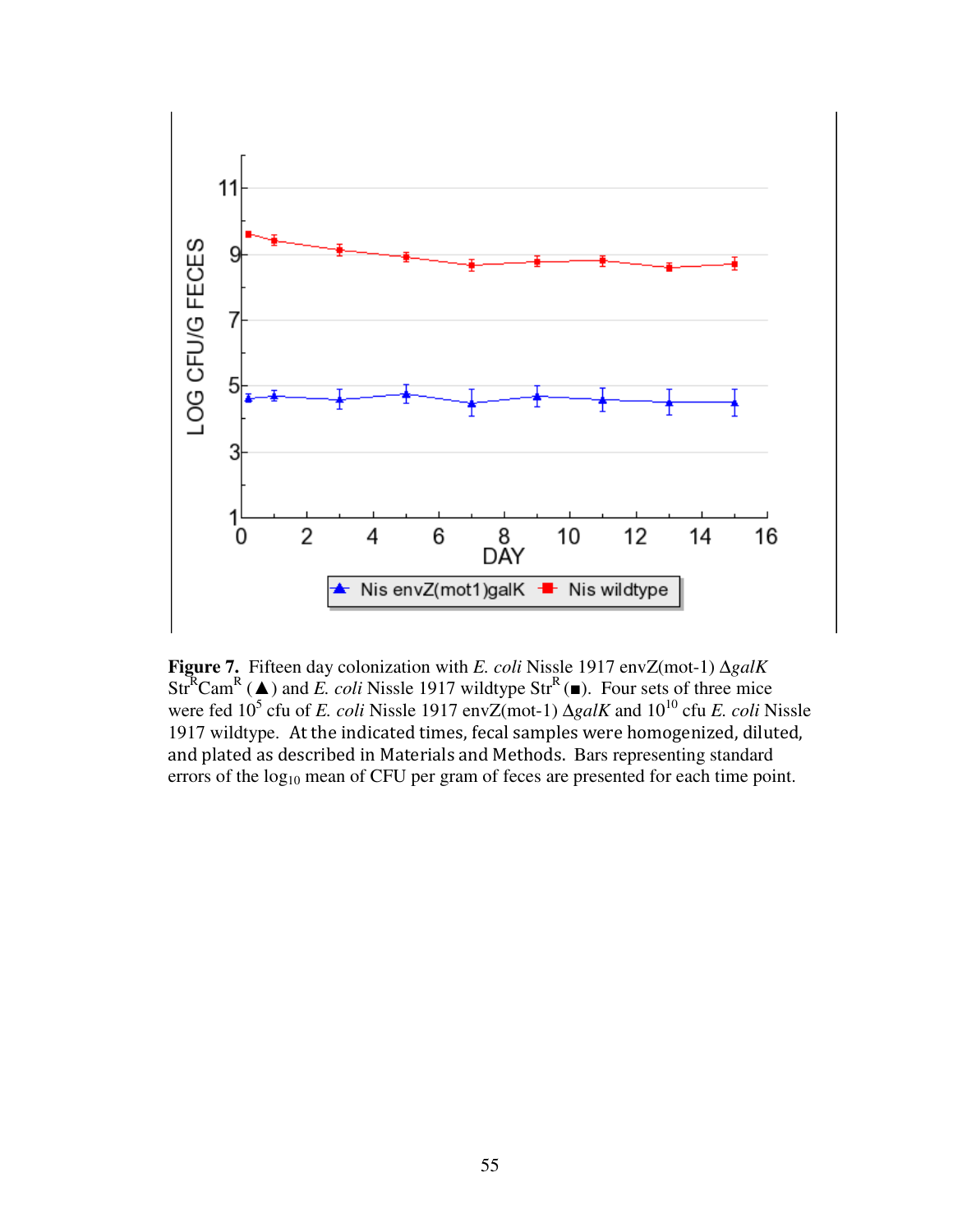

**Figure 7.** Fifteen day colonization with *E. coli* Nissle 1917 envZ(mot-1) ∆*galK* Str<sup>R</sup>Cam<sup>R</sup> ( $\triangle$ ) and *E. coli* Nissle 1917 wildtype Str<sup>R</sup>( $\blacksquare$ ). Four sets of three mice were fed 10<sup>5</sup> cfu of *E. coli* Nissle 1917 envZ(mot-1) ∆*galK* and 10<sup>10</sup> cfu *E. coli* Nissle 1917 wildtype. At the indicated times, fecal samples were homogenized, diluted, and plated as described in Materials and Methods. Bars representing standard errors of the  $log_{10}$  mean of CFU per gram of feces are presented for each time point.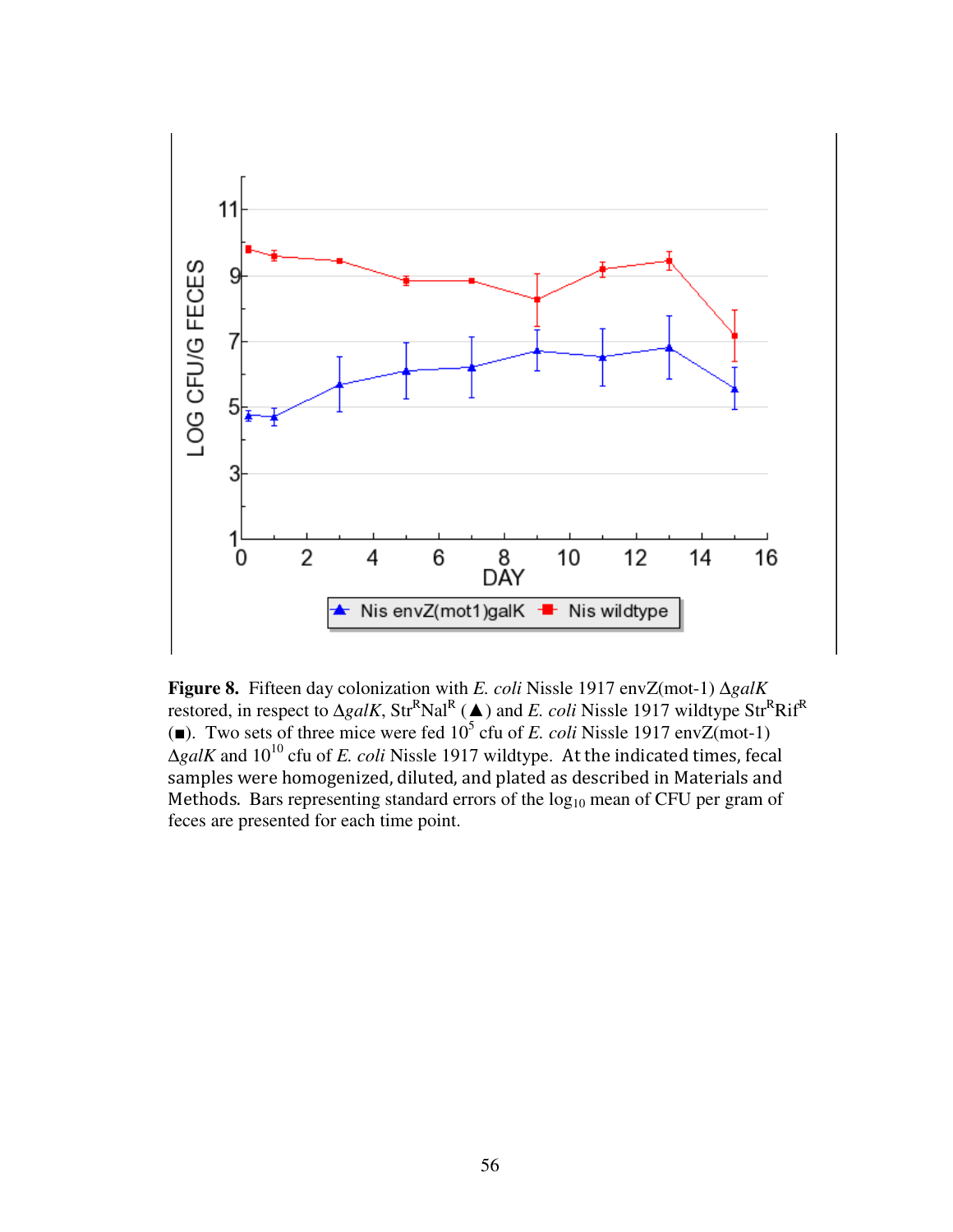

**Figure 8.** Fifteen day colonization with *E. coli* Nissle 1917 envZ(mot-1) ∆*galK*  restored, in respect to  $\Delta galK$ , Str<sup>R</sup>Nal<sup>R</sup> (▲) and *E. coli* Nissle 1917 wildtype Str<sup>R</sup>Rif<sup>R</sup> (a). Two sets of three mice were fed  $10^5$  cfu of *E. coli* Nissle 1917 envZ(mot-1)  $\Delta galK$  and 10<sup>10</sup> cfu of *E. coli* Nissle 1917 wildtype. At the indicated times, fecal samples were homogenized, diluted, and plated as described in Materials and Methods. Bars representing standard errors of the  $log_{10}$  mean of CFU per gram of feces are presented for each time point.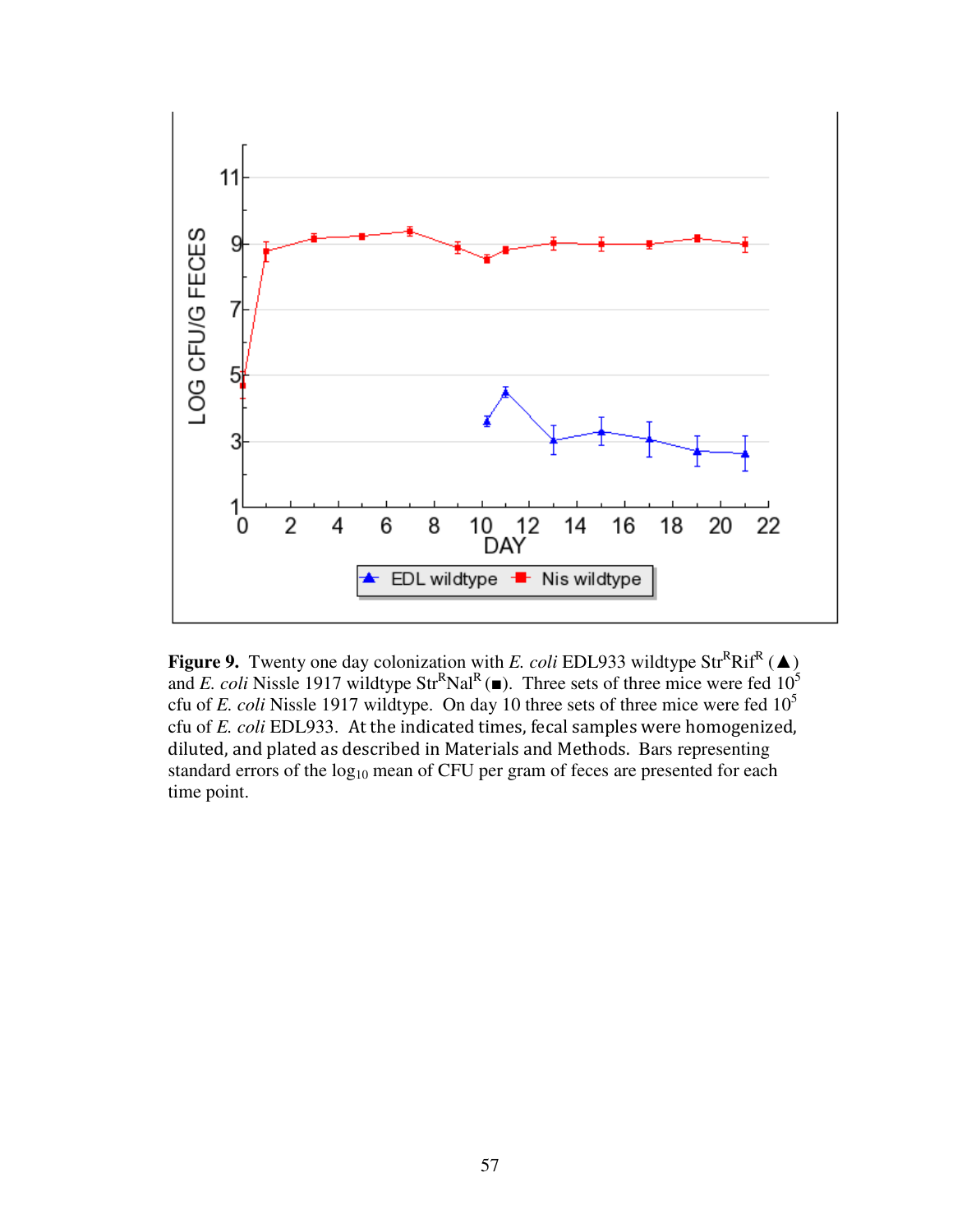

**Figure 9.** Twenty one day colonization with *E. coli* EDL933 wildtype  $Str^R Rif^R (\triangle)$ and *E. coli* Nissle 1917 wildtype Str<sup>R</sup>Nal<sup>R</sup>( $\blacksquare$ ). Three sets of three mice were fed 10<sup>5</sup> cfu of *E. coli* Nissle 1917 wildtype. On day 10 three sets of three mice were fed 10<sup>5</sup> cfu of *E. coli* EDL933. At the indicated times, fecal samples were homogenized, diluted, and plated as described in Materials and Methods. Bars representing standard errors of the  $log_{10}$  mean of CFU per gram of feces are presented for each time point.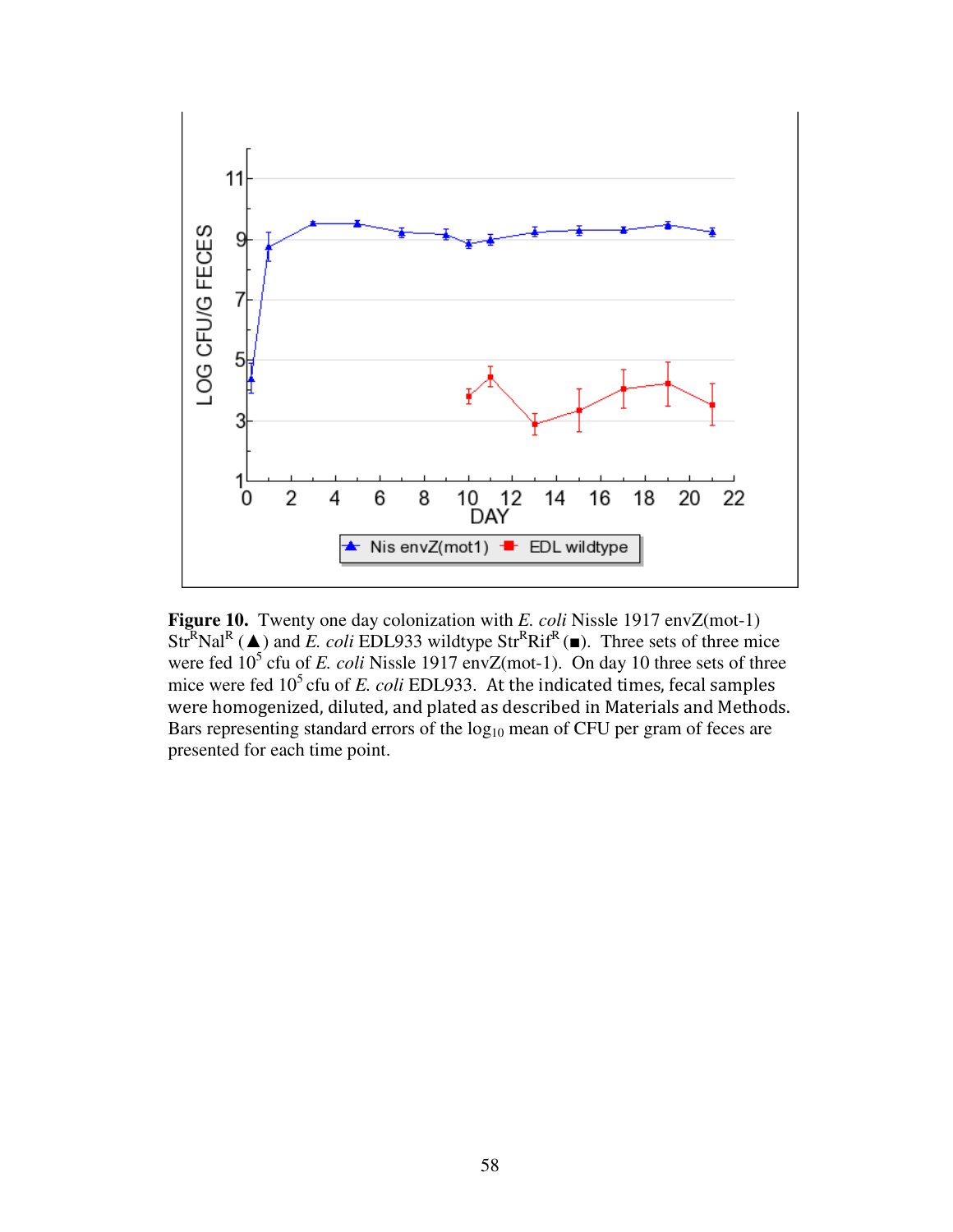

**Figure 10.** Twenty one day colonization with *E. coli* Nissle 1917 envZ(mot-1) Str<sup>R</sup>Nal<sup>R</sup> ( $\blacktriangle$ ) and *E. coli* EDL933 wildtype Str<sup>R</sup>Rif<sup>R</sup> ( $\blacktriangleright$ ). Three sets of three mice were fed  $10^5$  cfu of *E. coli* Nissle 1917 envZ(mot-1). On day 10 three sets of three mice were fed  $10^5$  cfu of *E. coli* EDL933. At the indicated times, fecal samples were homogenized, diluted, and plated as described in Materials and Methods. Bars representing standard errors of the log<sub>10</sub> mean of CFU per gram of feces are presented for each time point.